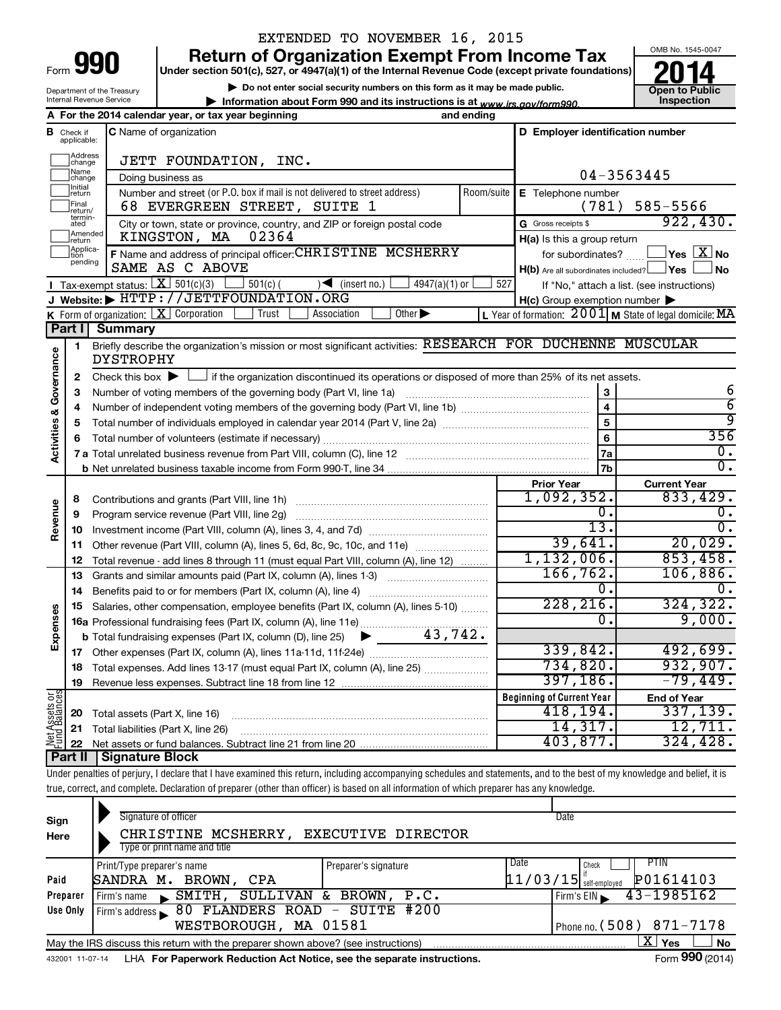| Form |  |
|------|--|

# EXTENDED TO NOVEMBER 16, 2015



|                                                                                                                                                                                                                                                                                                                                                                                                                                                                                                                               |    |                                                                                                    | <b>Return of Organization Exempt From Income Tax</b>                                                                                        |                  |                                                     | OMB No. 1545-0047                                                                     |
|-------------------------------------------------------------------------------------------------------------------------------------------------------------------------------------------------------------------------------------------------------------------------------------------------------------------------------------------------------------------------------------------------------------------------------------------------------------------------------------------------------------------------------|----|----------------------------------------------------------------------------------------------------|---------------------------------------------------------------------------------------------------------------------------------------------|------------------|-----------------------------------------------------|---------------------------------------------------------------------------------------|
| 990<br>Form<br>Department of the Treasury<br>Internal Revenue Service<br><b>B</b> Check if<br>applicable:<br>Address<br> change<br> Name<br>change<br>Initial<br>return<br>Final<br>return/<br>termin-<br>ated<br>Amended<br>return<br>Applica-<br>Ition<br>pending<br>Tax-exempt status: $X \over 301(c)(3)$<br>K Form of organization: $\boxed{\mathbf{X}}$ Corporation<br>Part I<br>1<br>Activities & Governance<br>2<br>3<br>4<br>5<br>6<br>8<br>Revenue<br>9<br>10<br>11<br>12<br>13<br>14<br><b>Ses</b><br>Expens<br>17 |    | Under section 501(c), 527, or 4947(a)(1) of the Internal Revenue Code (except private foundations) |                                                                                                                                             |                  |                                                     |                                                                                       |
|                                                                                                                                                                                                                                                                                                                                                                                                                                                                                                                               |    |                                                                                                    | Do not enter social security numbers on this form as it may be made public.                                                                 |                  |                                                     | <b>Open to Public</b>                                                                 |
|                                                                                                                                                                                                                                                                                                                                                                                                                                                                                                                               |    |                                                                                                    | Information about Form 990 and its instructions is at www.irs.gov/form990.                                                                  |                  |                                                     | Inspection                                                                            |
|                                                                                                                                                                                                                                                                                                                                                                                                                                                                                                                               |    |                                                                                                    | A For the 2014 calendar year, or tax year beginning                                                                                         | and ending       |                                                     |                                                                                       |
|                                                                                                                                                                                                                                                                                                                                                                                                                                                                                                                               |    |                                                                                                    | <b>C</b> Name of organization                                                                                                               |                  | D Employer identification number                    |                                                                                       |
|                                                                                                                                                                                                                                                                                                                                                                                                                                                                                                                               |    |                                                                                                    | JETT FOUNDATION, INC.                                                                                                                       |                  |                                                     |                                                                                       |
|                                                                                                                                                                                                                                                                                                                                                                                                                                                                                                                               |    |                                                                                                    | Doing business as                                                                                                                           |                  |                                                     | 04-3563445                                                                            |
|                                                                                                                                                                                                                                                                                                                                                                                                                                                                                                                               |    |                                                                                                    | Number and street (or P.O. box if mail is not delivered to street address)                                                                  | Room/suite       | E Telephone number                                  |                                                                                       |
|                                                                                                                                                                                                                                                                                                                                                                                                                                                                                                                               |    |                                                                                                    | 68 EVERGREEN STREET, SUITE 1                                                                                                                |                  | (781)                                               | 585-5566                                                                              |
|                                                                                                                                                                                                                                                                                                                                                                                                                                                                                                                               |    |                                                                                                    | City or town, state or province, country, and ZIP or foreign postal code                                                                    |                  | G Gross receipts \$                                 | 922,430.                                                                              |
|                                                                                                                                                                                                                                                                                                                                                                                                                                                                                                                               |    |                                                                                                    | KINGSTON, MA<br>02364                                                                                                                       |                  | H(a) Is this a group return                         |                                                                                       |
|                                                                                                                                                                                                                                                                                                                                                                                                                                                                                                                               |    |                                                                                                    | F Name and address of principal officer: CHRISTINE MCSHERRY                                                                                 |                  | for subordinates?                                   | $\mathsf{\rfloor\mathsf{Yes}}\mathrel{\lfloor}\mathsf{X}\mathrel{\rfloor}\mathsf{No}$ |
|                                                                                                                                                                                                                                                                                                                                                                                                                                                                                                                               |    |                                                                                                    | SAME AS C ABOVE                                                                                                                             |                  | $H(b)$ Are all subordinates included? $\Box$ Yes    | <b>No</b>                                                                             |
|                                                                                                                                                                                                                                                                                                                                                                                                                                                                                                                               |    |                                                                                                    | $501(c)$ (<br>$\sqrt{\phantom{a}}$ (insert no.)<br>$4947(a)(1)$ or                                                                          | 527              |                                                     | If "No," attach a list. (see instructions)                                            |
|                                                                                                                                                                                                                                                                                                                                                                                                                                                                                                                               |    |                                                                                                    | J Website: FITTP://JETTFOUNDATION.ORG                                                                                                       |                  | $H(c)$ Group exemption number $\blacktriangleright$ |                                                                                       |
|                                                                                                                                                                                                                                                                                                                                                                                                                                                                                                                               |    |                                                                                                    | Trust<br>Association<br>Other $\blacktriangleright$                                                                                         |                  |                                                     | L Year of formation: $2001$ M State of legal domicile: MA                             |
|                                                                                                                                                                                                                                                                                                                                                                                                                                                                                                                               |    | <b>Summary</b>                                                                                     |                                                                                                                                             |                  |                                                     |                                                                                       |
|                                                                                                                                                                                                                                                                                                                                                                                                                                                                                                                               |    | <b>DYSTROPHY</b>                                                                                   | Briefly describe the organization's mission or most significant activities: RESEARCH FOR DUCHENNE MUSCULAR                                  |                  |                                                     |                                                                                       |
|                                                                                                                                                                                                                                                                                                                                                                                                                                                                                                                               |    |                                                                                                    | Check this box $\blacktriangleright$ $\Box$ if the organization discontinued its operations or disposed of more than 25% of its net assets. |                  |                                                     |                                                                                       |
|                                                                                                                                                                                                                                                                                                                                                                                                                                                                                                                               |    |                                                                                                    | Number of voting members of the governing body (Part VI, line 1a)                                                                           |                  | 3                                                   | 6                                                                                     |
|                                                                                                                                                                                                                                                                                                                                                                                                                                                                                                                               |    |                                                                                                    |                                                                                                                                             |                  | $\overline{\mathbf{4}}$                             | $\overline{6}$                                                                        |
|                                                                                                                                                                                                                                                                                                                                                                                                                                                                                                                               |    |                                                                                                    |                                                                                                                                             |                  | 5                                                   | ब्र                                                                                   |
|                                                                                                                                                                                                                                                                                                                                                                                                                                                                                                                               |    |                                                                                                    |                                                                                                                                             | 6                | 356                                                 |                                                                                       |
|                                                                                                                                                                                                                                                                                                                                                                                                                                                                                                                               |    |                                                                                                    |                                                                                                                                             | 7a               | $\overline{0}$ .                                    |                                                                                       |
|                                                                                                                                                                                                                                                                                                                                                                                                                                                                                                                               |    |                                                                                                    |                                                                                                                                             |                  | 7b                                                  | $\overline{0}$ .                                                                      |
|                                                                                                                                                                                                                                                                                                                                                                                                                                                                                                                               |    |                                                                                                    |                                                                                                                                             |                  | <b>Prior Year</b>                                   | <b>Current Year</b>                                                                   |
|                                                                                                                                                                                                                                                                                                                                                                                                                                                                                                                               |    |                                                                                                    | Contributions and grants (Part VIII, line 1h)                                                                                               |                  | 1,092,352.                                          | 833,429.                                                                              |
|                                                                                                                                                                                                                                                                                                                                                                                                                                                                                                                               |    | Program service revenue (Part VIII, line 2g)                                                       |                                                                                                                                             | $\overline{0}$ . | 0.                                                  |                                                                                       |
|                                                                                                                                                                                                                                                                                                                                                                                                                                                                                                                               |    |                                                                                                    |                                                                                                                                             |                  | $\overline{13}$ .                                   | $\overline{0}$ .                                                                      |
|                                                                                                                                                                                                                                                                                                                                                                                                                                                                                                                               |    |                                                                                                    | Other revenue (Part VIII, column (A), lines 5, 6d, 8c, 9c, 10c, and 11e)                                                                    |                  | 39,641.                                             | 20,029.                                                                               |
|                                                                                                                                                                                                                                                                                                                                                                                                                                                                                                                               |    |                                                                                                    | Total revenue - add lines 8 through 11 (must equal Part VIII, column (A), line 12)                                                          |                  | 1,132,006.                                          | 853,458.                                                                              |
|                                                                                                                                                                                                                                                                                                                                                                                                                                                                                                                               |    |                                                                                                    | Grants and similar amounts paid (Part IX, column (A), lines 1-3)                                                                            |                  | 166, 762.                                           | 106,886.                                                                              |
|                                                                                                                                                                                                                                                                                                                                                                                                                                                                                                                               |    |                                                                                                    | Benefits paid to or for members (Part IX, column (A), line 4)                                                                               |                  | о.                                                  | 0.                                                                                    |
|                                                                                                                                                                                                                                                                                                                                                                                                                                                                                                                               |    |                                                                                                    | 15 Salaries, other compensation, employee benefits (Part IX, column (A), lines 5-10)                                                        |                  | 228, 216.                                           | 324, 322.                                                                             |
|                                                                                                                                                                                                                                                                                                                                                                                                                                                                                                                               |    |                                                                                                    | 16a Professional fundraising fees (Part IX, column (A), line 11e)                                                                           |                  | $\overline{0}$ .                                    | 9,000.                                                                                |
|                                                                                                                                                                                                                                                                                                                                                                                                                                                                                                                               |    |                                                                                                    | 43,742.<br><b>b</b> Total fundraising expenses (Part IX, column (D), line 25)                                                               |                  |                                                     |                                                                                       |
|                                                                                                                                                                                                                                                                                                                                                                                                                                                                                                                               |    |                                                                                                    |                                                                                                                                             |                  | 339,842.                                            | 492,699.                                                                              |
|                                                                                                                                                                                                                                                                                                                                                                                                                                                                                                                               | 18 |                                                                                                    | Total expenses. Add lines 13-17 (must equal Part IX, column (A), line 25)                                                                   |                  | 734,820.                                            | 932,907.<br>$-79,449.$                                                                |
|                                                                                                                                                                                                                                                                                                                                                                                                                                                                                                                               | 19 |                                                                                                    |                                                                                                                                             |                  | 397, 186.                                           |                                                                                       |
| Net Assets or<br>Fund Balances                                                                                                                                                                                                                                                                                                                                                                                                                                                                                                |    |                                                                                                    |                                                                                                                                             |                  | <b>Beginning of Current Year</b>                    | <b>End of Year</b>                                                                    |
|                                                                                                                                                                                                                                                                                                                                                                                                                                                                                                                               | 20 | Total assets (Part X, line 16)                                                                     |                                                                                                                                             |                  | 418,194.                                            | 337,139.                                                                              |
|                                                                                                                                                                                                                                                                                                                                                                                                                                                                                                                               | 21 |                                                                                                    | Total liabilities (Part X, line 26)                                                                                                         |                  | 14,317.                                             | 12,711.<br>324, 428.                                                                  |
|                                                                                                                                                                                                                                                                                                                                                                                                                                                                                                                               | 22 |                                                                                                    | Net assets or fund balances. Subtract line 21 from line 20                                                                                  |                  | 403,877.                                            |                                                                                       |

Under penalties of perjury, I declare that I have examined this return, including accompanying schedules and statements, and to the best of my knowledge and belief, it is true, correct, and complete. Declaration of preparer (other than officer) is based on all information of which preparer has any knowledge.

**22** Net assets or fund balances. Subtract line 21 from line 20

**Part II Signature Block**

| Sign<br>Here    | Signature of officer<br>CHRISTINE MCSHERRY,<br>Type or print name and title       | <b>EXECUTIVE DIRECTOR</b> | Date                             |                            |
|-----------------|-----------------------------------------------------------------------------------|---------------------------|----------------------------------|----------------------------|
| Paid            | Print/Type preparer's name<br>BROWN,<br>SANDRA M.<br>CPA                          | Preparer's signature      | Date<br>$11/03/15$ self-employed | PTIN<br>Check<br>P01614103 |
| Preparer        | <b>SULLIVAN &amp;</b><br>SMITH,<br>Firm's name                                    | BROWN,<br>P.C.            |                                  | 43-1985162<br>Firm's $EIN$ |
| Use Only        | Firm's address 80 FLANDERS ROAD - SUITE #200<br>WESTBOROUGH, MA 01581             |                           |                                  | Phone no. $(508)$ 871-7178 |
|                 | May the IRS discuss this return with the preparer shown above? (see instructions) |                           |                                  | $\mathbf{X}$<br>Yes<br>No  |
| 432001 11-07-14 | LHA For Paperwork Reduction Act Notice, see the separate instructions.            |                           |                                  | Form 990 (2014)            |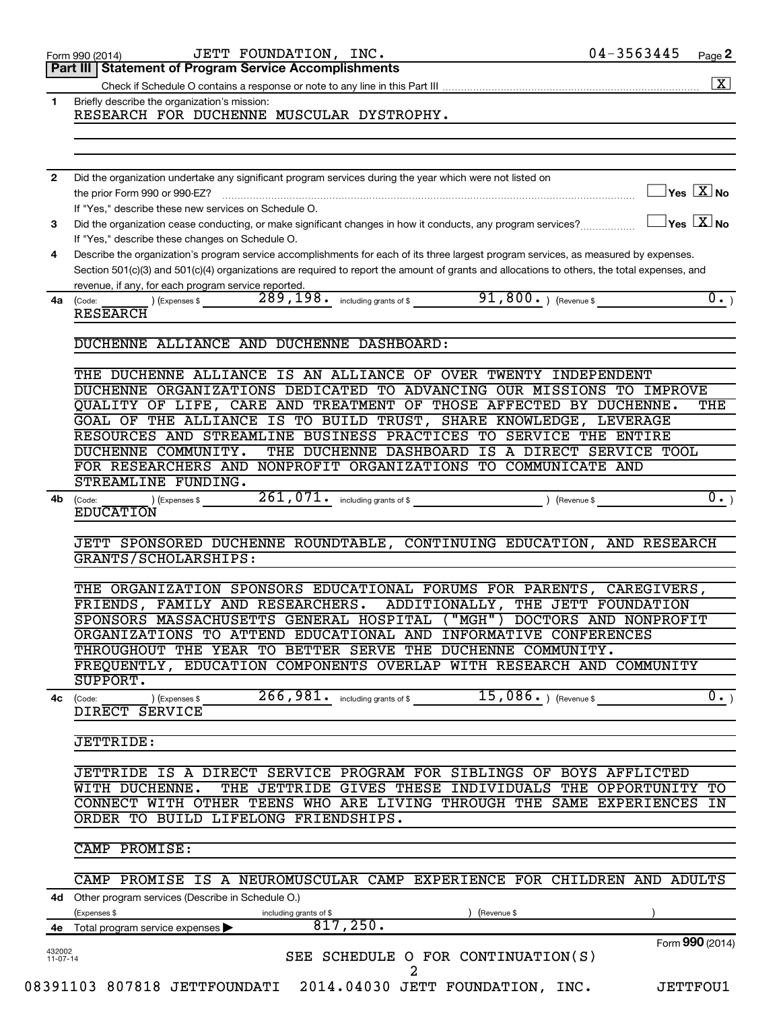|                                              | JETT FOUNDATION, INC.<br>Form 990 (2014)                                                                                                                                                                                                                                                                                                    | 04-3563445                              | Page 2             |
|----------------------------------------------|---------------------------------------------------------------------------------------------------------------------------------------------------------------------------------------------------------------------------------------------------------------------------------------------------------------------------------------------|-----------------------------------------|--------------------|
|                                              | <b>Statement of Program Service Accomplishments</b><br>Part III                                                                                                                                                                                                                                                                             |                                         |                    |
|                                              |                                                                                                                                                                                                                                                                                                                                             |                                         | $\boxed{\text{X}}$ |
| $\mathbf{1}$<br>$\mathbf{2}$<br>3<br>4<br>4a | Briefly describe the organization's mission:<br>RESEARCH FOR DUCHENNE MUSCULAR DYSTROPHY.                                                                                                                                                                                                                                                   |                                         |                    |
|                                              |                                                                                                                                                                                                                                                                                                                                             |                                         |                    |
|                                              | Did the organization undertake any significant program services during the year which were not listed on<br>the prior Form 990 or 990-EZ?                                                                                                                                                                                                   | $\Box$ Yes $[\overline{\mathrm{X}}]$ No |                    |
|                                              | If "Yes," describe these new services on Schedule O.                                                                                                                                                                                                                                                                                        |                                         |                    |
|                                              | Did the organization cease conducting, or make significant changes in how it conducts, any program services?<br>If "Yes," describe these changes on Schedule O.                                                                                                                                                                             | $\Box$ Yes $[\overline{\mathrm{X}}]$ No |                    |
|                                              | Describe the organization's program service accomplishments for each of its three largest program services, as measured by expenses.<br>Section 501(c)(3) and 501(c)(4) organizations are required to report the amount of grants and allocations to others, the total expenses, and<br>revenue, if any, for each program service reported. |                                         |                    |
|                                              | (Code:<br><b>RESEARCH</b>                                                                                                                                                                                                                                                                                                                   |                                         | $\overline{0.}$    |
|                                              | DUCHENNE ALLIANCE AND DUCHENNE DASHBOARD:                                                                                                                                                                                                                                                                                                   |                                         |                    |
|                                              | THE DUCHENNE ALLIANCE IS AN ALLIANCE OF OVER TWENTY INDEPENDENT                                                                                                                                                                                                                                                                             |                                         |                    |
|                                              | DUCHENNE ORGANIZATIONS DEDICATED TO ADVANCING OUR MISSIONS TO IMPROVE                                                                                                                                                                                                                                                                       |                                         |                    |
|                                              | QUALITY OF LIFE, CARE AND TREATMENT OF THOSE AFFECTED BY DUCHENNE.                                                                                                                                                                                                                                                                          |                                         | THE                |
|                                              | GOAL OF THE ALLIANCE IS TO BUILD TRUST, SHARE KNOWLEDGE, LEVERAGE<br>RESOURCES AND STREAMLINE BUSINESS PRACTICES TO SERVICE THE ENTIRE                                                                                                                                                                                                      |                                         |                    |
|                                              | THE DUCHENNE DASHBOARD IS A DIRECT SERVICE TOOL<br>DUCHENNE COMMUNITY.                                                                                                                                                                                                                                                                      |                                         |                    |
|                                              | FOR RESEARCHERS AND NONPROFIT ORGANIZATIONS TO COMMUNICATE AND                                                                                                                                                                                                                                                                              |                                         |                    |
|                                              | STREAMLINE FUNDING.                                                                                                                                                                                                                                                                                                                         |                                         |                    |
| 4b                                           | $(1)$ (Expenses \$ 261, 071. including grants of \$ ) (Revenue \$<br>(Code:<br><b>EDUCATION</b>                                                                                                                                                                                                                                             |                                         | $\overline{0.}$    |
|                                              | JETT SPONSORED DUCHENNE ROUNDTABLE, CONTINUING EDUCATION, AND RESEARCH                                                                                                                                                                                                                                                                      |                                         |                    |
|                                              | GRANTS/SCHOLARSHIPS:                                                                                                                                                                                                                                                                                                                        |                                         |                    |
|                                              | THE ORGANIZATION SPONSORS EDUCATIONAL FORUMS FOR PARENTS, CAREGIVERS,                                                                                                                                                                                                                                                                       |                                         |                    |
|                                              | FRIENDS, FAMILY AND RESEARCHERS. ADDITIONALLY, THE JETT FOUNDATION                                                                                                                                                                                                                                                                          |                                         |                    |
|                                              | SPONSORS MASSACHUSETTS GENERAL HOSPITAL ("MGH") DOCTORS AND NONPROFIT                                                                                                                                                                                                                                                                       |                                         |                    |
|                                              | ORGANIZATIONS TO ATTEND EDUCATIONAL AND INFORMATIVE CONFERENCES                                                                                                                                                                                                                                                                             |                                         |                    |
|                                              | THROUGHOUT THE YEAR TO BETTER SERVE THE DUCHENNE COMMUNITY.                                                                                                                                                                                                                                                                                 |                                         |                    |
|                                              | FREQUENTLY, EDUCATION COMPONENTS OVERLAP WITH RESEARCH AND COMMUNITY<br>SUPPORT.                                                                                                                                                                                                                                                            |                                         |                    |
|                                              | 266,981.<br>15,086.<br>$4c$ (Code:<br>(Expenses \$<br>including grants of \$                                                                                                                                                                                                                                                                | (Revenue \$                             | $\overline{0}$ .   |
|                                              | DIRECT SERVICE                                                                                                                                                                                                                                                                                                                              |                                         |                    |
|                                              | <b>JETTRIDE:</b>                                                                                                                                                                                                                                                                                                                            |                                         |                    |
|                                              | JETTRIDE IS A DIRECT SERVICE PROGRAM FOR SIBLINGS OF BOYS AFFLICTED                                                                                                                                                                                                                                                                         |                                         |                    |
|                                              | THE JETTRIDE GIVES THESE INDIVIDUALS THE OPPORTUNITY TO<br>WITH DUCHENNE.                                                                                                                                                                                                                                                                   |                                         |                    |
|                                              | CONNECT WITH OTHER TEENS WHO ARE LIVING THROUGH THE SAME EXPERIENCES IN                                                                                                                                                                                                                                                                     |                                         |                    |
|                                              | ORDER TO BUILD LIFELONG FRIENDSHIPS.                                                                                                                                                                                                                                                                                                        |                                         |                    |
|                                              | CAMP PROMISE:                                                                                                                                                                                                                                                                                                                               |                                         |                    |
|                                              | CAMP PROMISE IS A NEUROMUSCULAR CAMP EXPERIENCE FOR CHILDREN AND ADULTS                                                                                                                                                                                                                                                                     |                                         |                    |
|                                              | 4d Other program services (Describe in Schedule O.)                                                                                                                                                                                                                                                                                         |                                         |                    |
|                                              | (Expenses \$<br>(Revenue \$<br>including grants of \$<br>817,250.                                                                                                                                                                                                                                                                           |                                         |                    |
| 4е<br>432002                                 | Total program service expenses >                                                                                                                                                                                                                                                                                                            |                                         | Form 990 (2014)    |
| $11 - 07 - 14$                               | SEE SCHEDULE O FOR CONTINUATION(S)<br>2                                                                                                                                                                                                                                                                                                     |                                         |                    |
|                                              | 08391103 807818 JETTFOUNDATI 2014.04030 JETT FOUNDATION, INC.                                                                                                                                                                                                                                                                               |                                         | <b>JETTFOU1</b>    |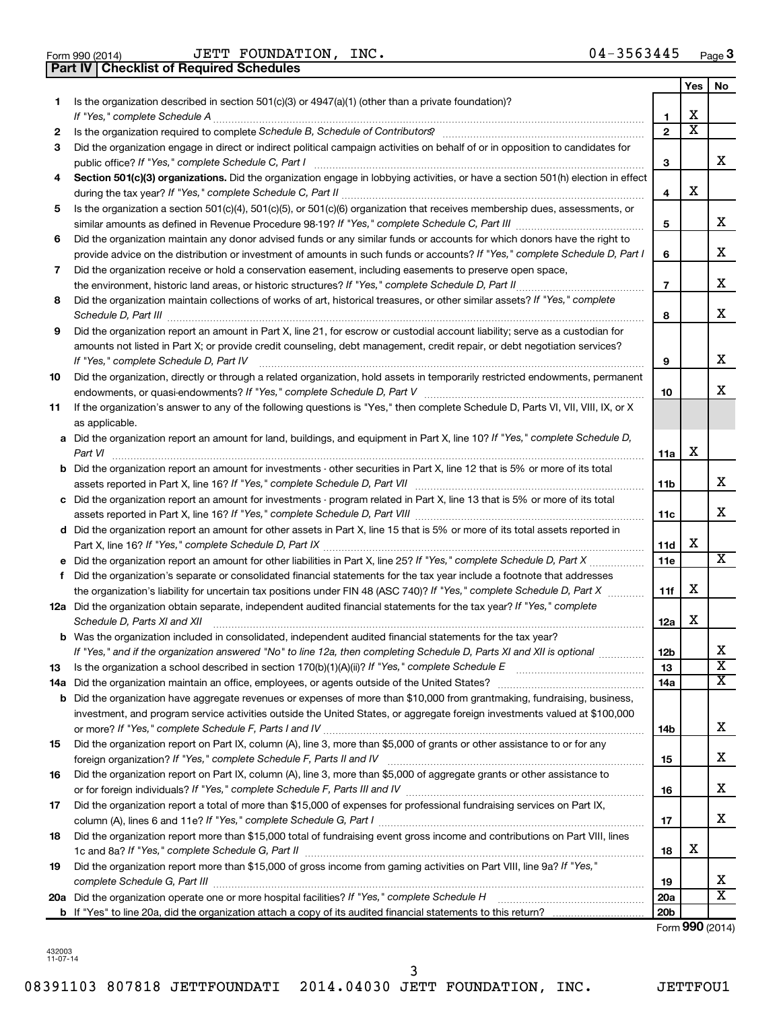| Form 990 (2014 |  |  |
|----------------|--|--|

**Part IV Checklist of Required Schedules**

Form 990 (2014) Page JETT FOUNDATION, INC. 04-3563445

|    |                                                                                                                                                                                                                                                   |                 | Yes                   | No                      |
|----|---------------------------------------------------------------------------------------------------------------------------------------------------------------------------------------------------------------------------------------------------|-----------------|-----------------------|-------------------------|
| 1. | Is the organization described in section $501(c)(3)$ or $4947(a)(1)$ (other than a private foundation)?                                                                                                                                           |                 |                       |                         |
|    | If "Yes," complete Schedule A                                                                                                                                                                                                                     | 1               | х                     |                         |
| 2  | Is the organization required to complete Schedule B, Schedule of Contributors? [11] The organization required to complete Schedule B, Schedule of Contributors?                                                                                   | $\overline{2}$  | $\overline{\text{x}}$ |                         |
| 3  | Did the organization engage in direct or indirect political campaign activities on behalf of or in opposition to candidates for<br>public office? If "Yes," complete Schedule C, Part I                                                           | 3               |                       | x                       |
| 4  | Section 501(c)(3) organizations. Did the organization engage in lobbying activities, or have a section 501(h) election in effect                                                                                                                  |                 |                       |                         |
|    |                                                                                                                                                                                                                                                   | 4               | х                     |                         |
| 5  | Is the organization a section 501(c)(4), 501(c)(5), or 501(c)(6) organization that receives membership dues, assessments, or                                                                                                                      |                 |                       |                         |
|    |                                                                                                                                                                                                                                                   | 5               |                       | X                       |
| 6  | Did the organization maintain any donor advised funds or any similar funds or accounts for which donors have the right to                                                                                                                         |                 |                       |                         |
|    | provide advice on the distribution or investment of amounts in such funds or accounts? If "Yes," complete Schedule D, Part I                                                                                                                      | 6               |                       | х                       |
| 7  | Did the organization receive or hold a conservation easement, including easements to preserve open space,                                                                                                                                         |                 |                       |                         |
|    | the environment, historic land areas, or historic structures? If "Yes," complete Schedule D, Part II                                                                                                                                              | $\overline{7}$  |                       | х                       |
| 8  | Did the organization maintain collections of works of art, historical treasures, or other similar assets? If "Yes," complete                                                                                                                      | 8               |                       | x                       |
| 9  | Did the organization report an amount in Part X, line 21, for escrow or custodial account liability; serve as a custodian for                                                                                                                     |                 |                       |                         |
|    | amounts not listed in Part X; or provide credit counseling, debt management, credit repair, or debt negotiation services?                                                                                                                         |                 |                       |                         |
|    | If "Yes," complete Schedule D, Part IV                                                                                                                                                                                                            | 9               |                       | X                       |
| 10 | Did the organization, directly or through a related organization, hold assets in temporarily restricted endowments, permanent                                                                                                                     |                 |                       |                         |
|    |                                                                                                                                                                                                                                                   | 10              |                       | x                       |
| 11 | If the organization's answer to any of the following questions is "Yes," then complete Schedule D, Parts VI, VII, VIII, IX, or X                                                                                                                  |                 |                       |                         |
|    | as applicable.                                                                                                                                                                                                                                    |                 |                       |                         |
|    | a Did the organization report an amount for land, buildings, and equipment in Part X, line 10? If "Yes," complete Schedule D,<br>Part VI                                                                                                          | 11a             | х                     |                         |
|    | <b>b</b> Did the organization report an amount for investments - other securities in Part X, line 12 that is 5% or more of its total                                                                                                              |                 |                       |                         |
|    |                                                                                                                                                                                                                                                   | 11b             |                       | x                       |
|    | c Did the organization report an amount for investments - program related in Part X, line 13 that is 5% or more of its total                                                                                                                      |                 |                       |                         |
|    |                                                                                                                                                                                                                                                   | 11c             |                       | х                       |
|    | d Did the organization report an amount for other assets in Part X, line 15 that is 5% or more of its total assets reported in                                                                                                                    |                 |                       |                         |
|    |                                                                                                                                                                                                                                                   | 11d             | x                     | х                       |
|    |                                                                                                                                                                                                                                                   | 11e             |                       |                         |
| f  | Did the organization's separate or consolidated financial statements for the tax year include a footnote that addresses                                                                                                                           |                 | х                     |                         |
|    | the organization's liability for uncertain tax positions under FIN 48 (ASC 740)? If "Yes," complete Schedule D, Part X<br>12a Did the organization obtain separate, independent audited financial statements for the tax year? If "Yes," complete | 11f             |                       |                         |
|    | Schedule D, Parts XI and XII                                                                                                                                                                                                                      | 12a             | x                     |                         |
|    | <b>b</b> Was the organization included in consolidated, independent audited financial statements for the tax year?                                                                                                                                |                 |                       |                         |
|    | If "Yes," and if the organization answered "No" to line 12a, then completing Schedule D, Parts XI and XII is optional <i>www.</i>                                                                                                                 | 12b             |                       | 47                      |
| 13 |                                                                                                                                                                                                                                                   | 13              |                       | $\overline{\mathbf{X}}$ |
|    |                                                                                                                                                                                                                                                   | 14a             |                       | х                       |
|    | <b>b</b> Did the organization have aggregate revenues or expenses of more than \$10,000 from grantmaking, fundraising, business,                                                                                                                  |                 |                       |                         |
|    | investment, and program service activities outside the United States, or aggregate foreign investments valued at \$100,000                                                                                                                        |                 |                       |                         |
|    |                                                                                                                                                                                                                                                   | 14b             |                       | x                       |
| 15 | Did the organization report on Part IX, column (A), line 3, more than \$5,000 of grants or other assistance to or for any                                                                                                                         |                 |                       |                         |
|    |                                                                                                                                                                                                                                                   | 15              |                       | x                       |
| 16 | Did the organization report on Part IX, column (A), line 3, more than \$5,000 of aggregate grants or other assistance to                                                                                                                          |                 |                       |                         |
|    |                                                                                                                                                                                                                                                   | 16              |                       | x                       |
| 17 | Did the organization report a total of more than \$15,000 of expenses for professional fundraising services on Part IX,                                                                                                                           |                 |                       |                         |
|    |                                                                                                                                                                                                                                                   | 17              |                       | х                       |
| 18 | Did the organization report more than \$15,000 total of fundraising event gross income and contributions on Part VIII, lines                                                                                                                      |                 |                       |                         |
|    |                                                                                                                                                                                                                                                   | 18              | х                     |                         |
| 19 | Did the organization report more than \$15,000 of gross income from gaming activities on Part VIII, line 9a? If "Yes,"                                                                                                                            | 19              |                       | x                       |
|    |                                                                                                                                                                                                                                                   | 20a             |                       | $\overline{\textbf{x}}$ |
|    |                                                                                                                                                                                                                                                   | 20 <sub>b</sub> |                       |                         |

Form (2014) **990**

432003 11-07-14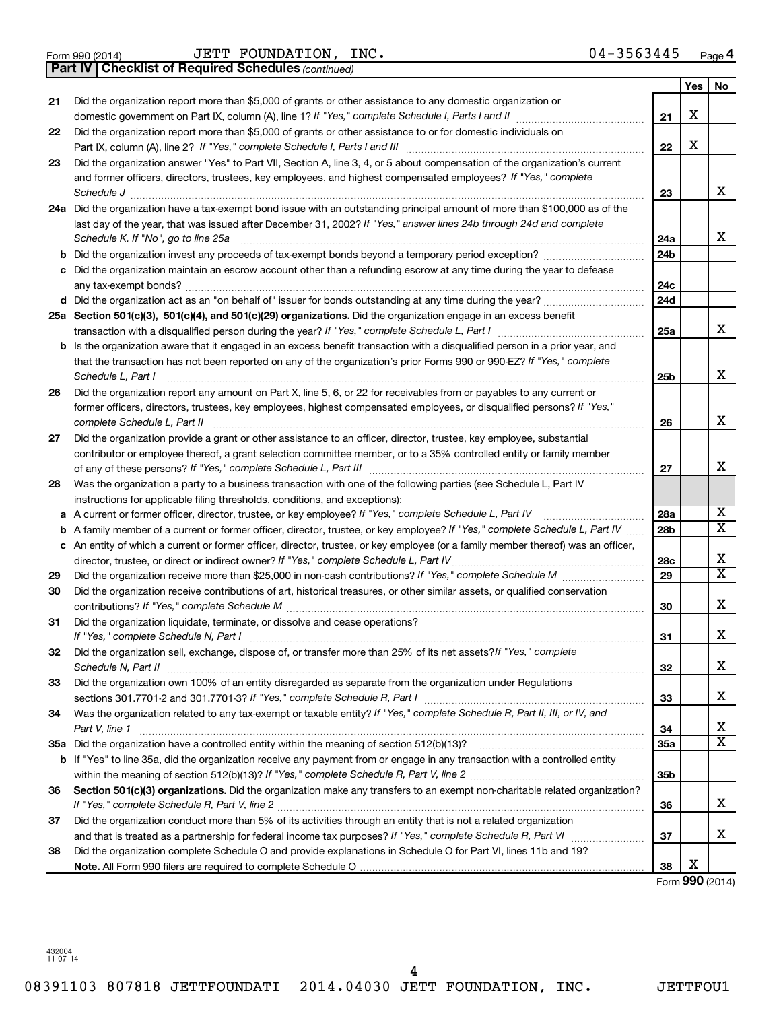JETT FOUNDATION, INC. 04-3563445

|    | <b>Part IV   Checklist of Required Schedules (continued)</b>                                                                      |                 |     |                         |
|----|-----------------------------------------------------------------------------------------------------------------------------------|-----------------|-----|-------------------------|
|    |                                                                                                                                   |                 | Yes | No                      |
| 21 | Did the organization report more than \$5,000 of grants or other assistance to any domestic organization or                       |                 |     |                         |
|    |                                                                                                                                   | 21              | X   |                         |
| 22 | Did the organization report more than \$5,000 of grants or other assistance to or for domestic individuals on                     |                 |     |                         |
|    |                                                                                                                                   | 22              | X   |                         |
| 23 | Did the organization answer "Yes" to Part VII, Section A, line 3, 4, or 5 about compensation of the organization's current        |                 |     |                         |
|    | and former officers, directors, trustees, key employees, and highest compensated employees? If "Yes," complete                    |                 |     |                         |
|    | Schedule J <b>Exercise Construction Construction Construction Construction Construction Construction</b>                          | 23              |     | x                       |
|    | 24a Did the organization have a tax-exempt bond issue with an outstanding principal amount of more than \$100,000 as of the       |                 |     |                         |
|    | last day of the year, that was issued after December 31, 2002? If "Yes," answer lines 24b through 24d and complete                |                 |     |                         |
|    | Schedule K. If "No", go to line 25a                                                                                               | 24a             |     | x                       |
| b  |                                                                                                                                   | 24 <sub>b</sub> |     |                         |
|    | Did the organization maintain an escrow account other than a refunding escrow at any time during the year to defease              |                 |     |                         |
|    |                                                                                                                                   | 24c             |     |                         |
|    |                                                                                                                                   | 24d             |     |                         |
|    | 25a Section 501(c)(3), 501(c)(4), and 501(c)(29) organizations. Did the organization engage in an excess benefit                  |                 |     |                         |
|    |                                                                                                                                   | 25a             |     | x                       |
| b  | Is the organization aware that it engaged in an excess benefit transaction with a disqualified person in a prior year, and        |                 |     |                         |
|    | that the transaction has not been reported on any of the organization's prior Forms 990 or 990-EZ? If "Yes," complete             |                 |     |                         |
|    | Schedule L, Part I                                                                                                                | 25b             |     | х                       |
| 26 | Did the organization report any amount on Part X, line 5, 6, or 22 for receivables from or payables to any current or             |                 |     |                         |
|    | former officers, directors, trustees, key employees, highest compensated employees, or disqualified persons? If "Yes,"            |                 |     |                         |
|    | complete Schedule L, Part II                                                                                                      | 26              |     | х                       |
| 27 | Did the organization provide a grant or other assistance to an officer, director, trustee, key employee, substantial              |                 |     |                         |
|    | contributor or employee thereof, a grant selection committee member, or to a 35% controlled entity or family member               |                 |     |                         |
|    |                                                                                                                                   | 27              |     | x                       |
| 28 | Was the organization a party to a business transaction with one of the following parties (see Schedule L, Part IV                 |                 |     |                         |
|    | instructions for applicable filing thresholds, conditions, and exceptions):                                                       |                 |     |                         |
| а  | A current or former officer, director, trustee, or key employee? If "Yes," complete Schedule L, Part IV                           | 28a             |     | х                       |
| b  | A family member of a current or former officer, director, trustee, or key employee? If "Yes," complete Schedule L, Part IV        | 28 <sub>b</sub> |     | $\overline{\textbf{X}}$ |
|    | c An entity of which a current or former officer, director, trustee, or key employee (or a family member thereof) was an officer, |                 |     |                         |
|    | director, trustee, or direct or indirect owner? If "Yes," complete Schedule L, Part IV                                            | 28c             |     | X                       |
| 29 |                                                                                                                                   | 29              |     | $\overline{\textbf{X}}$ |
| 30 | Did the organization receive contributions of art, historical treasures, or other similar assets, or qualified conservation       |                 |     |                         |
|    |                                                                                                                                   | 30              |     | х                       |
| 31 | Did the organization liquidate, terminate, or dissolve and cease operations?                                                      |                 |     |                         |
|    |                                                                                                                                   | 31              |     | Χ                       |
| 32 | Did the organization sell, exchange, dispose of, or transfer more than 25% of its net assets? If "Yes," complete                  |                 |     |                         |
|    |                                                                                                                                   | 32              |     | x                       |
| 33 | Did the organization own 100% of an entity disregarded as separate from the organization under Regulations                        |                 |     |                         |
|    |                                                                                                                                   | 33              |     | x                       |
| 34 | Was the organization related to any tax-exempt or taxable entity? If "Yes," complete Schedule R, Part II, III, or IV, and         |                 |     |                         |
|    | Part V, line 1                                                                                                                    | 34              |     | х                       |
|    |                                                                                                                                   | 35a             |     | $\overline{\text{X}}$   |
|    | b If "Yes" to line 35a, did the organization receive any payment from or engage in any transaction with a controlled entity       |                 |     |                         |
|    |                                                                                                                                   | 35 <sub>b</sub> |     |                         |
| 36 | Section 501(c)(3) organizations. Did the organization make any transfers to an exempt non-charitable related organization?        |                 |     |                         |
|    |                                                                                                                                   | 36              |     | x                       |
| 37 | Did the organization conduct more than 5% of its activities through an entity that is not a related organization                  |                 |     |                         |
|    |                                                                                                                                   | 37              |     | х                       |
| 38 | Did the organization complete Schedule O and provide explanations in Schedule O for Part VI, lines 11b and 19?                    |                 |     |                         |
|    |                                                                                                                                   | 38              | х   |                         |

Form (2014) **990**

08391103 807818 JETTFOUNDATI 2014.04030 JETT FOUNDATION, INC. JETTFOU1 4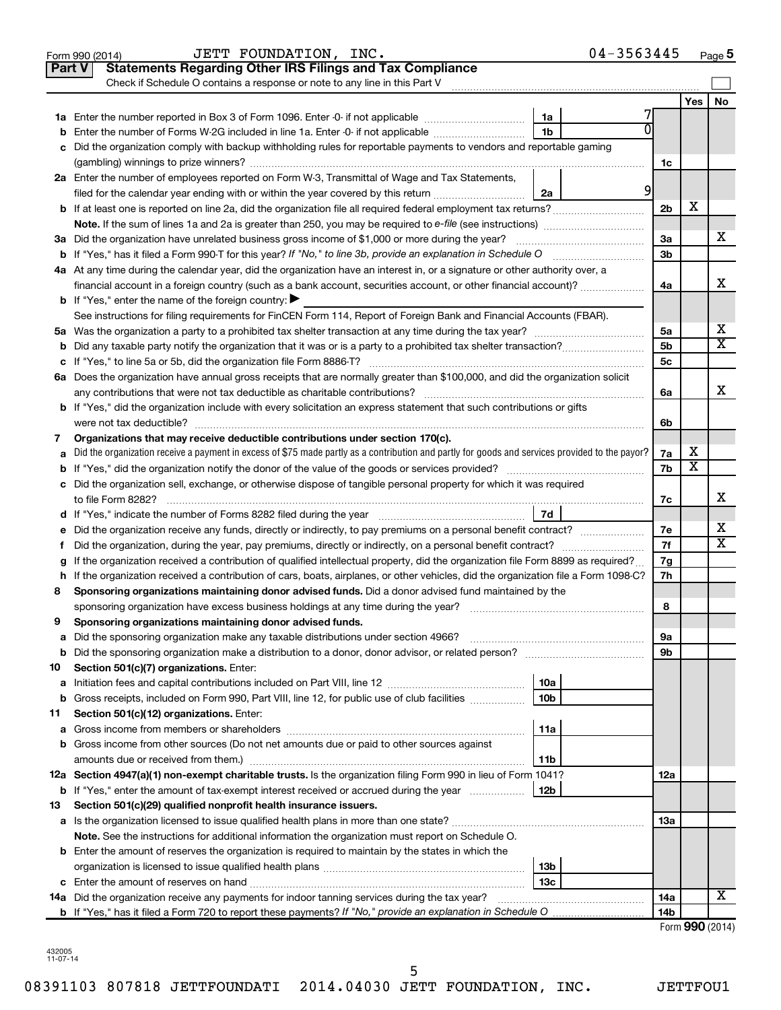|    | 04-3563445<br>JETT FOUNDATION, INC.<br>Form 990 (2014)                                                                                          |                 |                 | Page 5 |
|----|-------------------------------------------------------------------------------------------------------------------------------------------------|-----------------|-----------------|--------|
|    | <b>Statements Regarding Other IRS Filings and Tax Compliance</b><br><b>Part V</b>                                                               |                 |                 |        |
|    | Check if Schedule O contains a response or note to any line in this Part V                                                                      |                 |                 |        |
|    |                                                                                                                                                 |                 | Yes             | No     |
|    | 1a                                                                                                                                              |                 |                 |        |
| b  | 0<br>1 <sub>b</sub><br>Enter the number of Forms W-2G included in line 1a. Enter -0- if not applicable                                          |                 |                 |        |
|    | c Did the organization comply with backup withholding rules for reportable payments to vendors and reportable gaming                            |                 |                 |        |
|    |                                                                                                                                                 | 1c              |                 |        |
|    | 2a Enter the number of employees reported on Form W-3, Transmittal of Wage and Tax Statements,                                                  |                 |                 |        |
|    | $\overline{9}$<br>filed for the calendar year ending with or within the year covered by this return<br>2a                                       |                 |                 |        |
|    |                                                                                                                                                 | 2 <sub>b</sub>  | X               |        |
|    |                                                                                                                                                 |                 |                 |        |
|    | 3a Did the organization have unrelated business gross income of \$1,000 or more during the year?                                                | За              |                 | х      |
|    |                                                                                                                                                 | 3 <sub>b</sub>  |                 |        |
|    | 4a At any time during the calendar year, did the organization have an interest in, or a signature or other authority over, a                    |                 |                 |        |
|    | financial account in a foreign country (such as a bank account, securities account, or other financial account)?                                | 4a              |                 | х      |
|    | <b>b</b> If "Yes," enter the name of the foreign country: $\blacktriangleright$                                                                 |                 |                 |        |
|    | See instructions for filing requirements for FinCEN Form 114, Report of Foreign Bank and Financial Accounts (FBAR).                             |                 |                 |        |
|    |                                                                                                                                                 | 5a              |                 | х      |
|    |                                                                                                                                                 | 5 <sub>b</sub>  |                 | X      |
|    |                                                                                                                                                 | 5 <sub>c</sub>  |                 |        |
|    | 6a Does the organization have annual gross receipts that are normally greater than \$100,000, and did the organization solicit                  |                 |                 |        |
|    |                                                                                                                                                 | 6a              |                 | х      |
|    | <b>b</b> If "Yes," did the organization include with every solicitation an express statement that such contributions or gifts                   |                 |                 |        |
|    |                                                                                                                                                 | 6b              |                 |        |
| 7  | Organizations that may receive deductible contributions under section 170(c).                                                                   |                 |                 |        |
| a  | Did the organization receive a payment in excess of \$75 made partly as a contribution and partly for goods and services provided to the payor? | 7a              | х               |        |
|    |                                                                                                                                                 | 7b              | X               |        |
|    | c Did the organization sell, exchange, or otherwise dispose of tangible personal property for which it was required                             |                 |                 |        |
|    |                                                                                                                                                 | 7с              |                 | x      |
|    | 7d                                                                                                                                              |                 |                 |        |
| е  |                                                                                                                                                 | 7e              |                 | х      |
| f. | Did the organization, during the year, pay premiums, directly or indirectly, on a personal benefit contract?                                    | 7f              |                 | X      |
|    | If the organization received a contribution of qualified intellectual property, did the organization file Form 8899 as required?                | 7g              |                 |        |
|    | h If the organization received a contribution of cars, boats, airplanes, or other vehicles, did the organization file a Form 1098-C?            | 7h              |                 |        |
| 8  | Sponsoring organizations maintaining donor advised funds. Did a donor advised fund maintained by the                                            |                 |                 |        |
|    |                                                                                                                                                 | 8               |                 |        |
|    | Sponsoring organizations maintaining donor advised funds.                                                                                       |                 |                 |        |
| а  | Did the sponsoring organization make any taxable distributions under section 4966?                                                              | 9a              |                 |        |
| b  |                                                                                                                                                 | 9b              |                 |        |
| 10 | Section 501(c)(7) organizations. Enter:                                                                                                         |                 |                 |        |
| a  | 10a                                                                                                                                             |                 |                 |        |
| b  | 10 <sub>b</sub><br>Gross receipts, included on Form 990, Part VIII, line 12, for public use of club facilities                                  |                 |                 |        |
| 11 | Section 501(c)(12) organizations. Enter:                                                                                                        |                 |                 |        |
| а  | 11a                                                                                                                                             |                 |                 |        |
|    | <b>b</b> Gross income from other sources (Do not net amounts due or paid to other sources against                                               |                 |                 |        |
|    | 11b                                                                                                                                             |                 |                 |        |
|    | 12a Section 4947(a)(1) non-exempt charitable trusts. Is the organization filing Form 990 in lieu of Form 1041?                                  | 12a             |                 |        |
|    | 12b<br><b>b</b> If "Yes," enter the amount of tax-exempt interest received or accrued during the year                                           |                 |                 |        |
| 13 | Section 501(c)(29) qualified nonprofit health insurance issuers.                                                                                |                 |                 |        |
|    | a Is the organization licensed to issue qualified health plans in more than one state?                                                          | 13a             |                 |        |
|    | Note. See the instructions for additional information the organization must report on Schedule O.                                               |                 |                 |        |
|    | <b>b</b> Enter the amount of reserves the organization is required to maintain by the states in which the                                       |                 |                 |        |
|    | 13b                                                                                                                                             |                 |                 |        |
|    | 13 <sub>c</sub>                                                                                                                                 |                 |                 |        |
|    | 14a Did the organization receive any payments for indoor tanning services during the tax year?                                                  | 14a             |                 | x      |
|    |                                                                                                                                                 | 14 <sub>b</sub> |                 |        |
|    |                                                                                                                                                 |                 | Form 990 (2014) |        |

| 432005   |
|----------|
| 11-07-14 |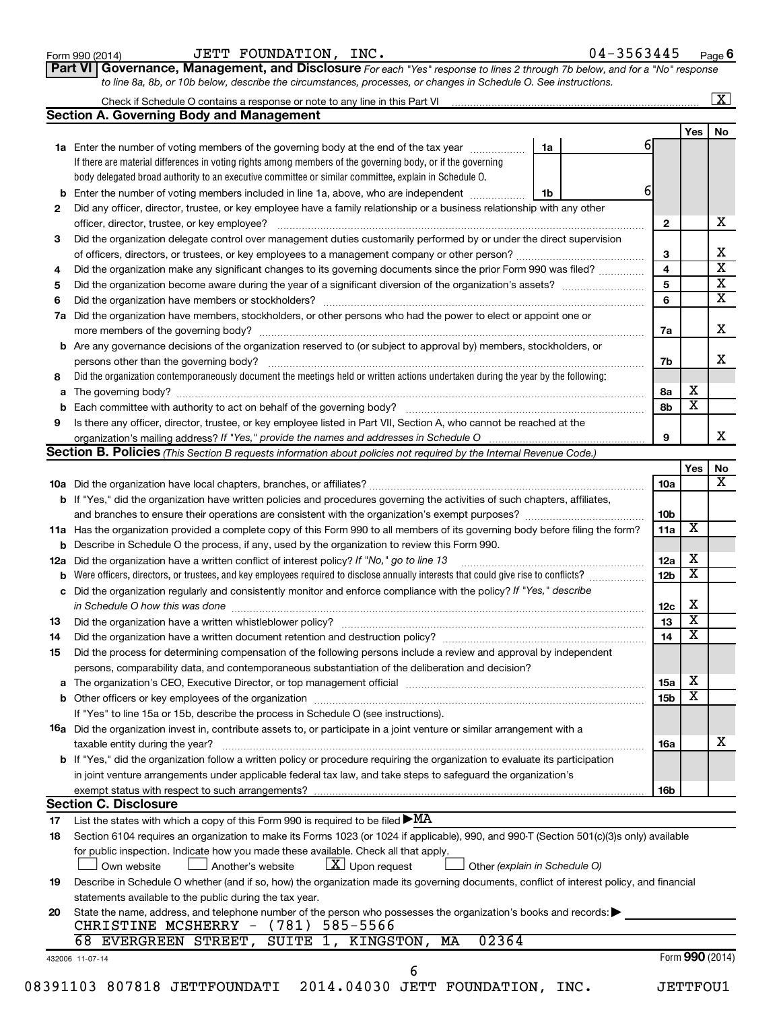| Form 990 (2014) |  |  |
|-----------------|--|--|
|-----------------|--|--|

#### Form 990 (2014) Page JETT FOUNDATION, INC. 04-3563445

|--|

**Part VI** Governance, Management, and Disclosure For each "Yes" response to lines 2 through 7b below, and for a "No" response *to line 8a, 8b, or 10b below, describe the circumstances, processes, or changes in Schedule O. See instructions.*

|     | Check if Schedule O contains a response or note to any line in this Part VI [11] [12] Check if Schedule O contains a response or note to any line in this Part VI                                                              |                               |                 |                 | $\mathbf{X}$            |
|-----|--------------------------------------------------------------------------------------------------------------------------------------------------------------------------------------------------------------------------------|-------------------------------|-----------------|-----------------|-------------------------|
|     | <b>Section A. Governing Body and Management</b>                                                                                                                                                                                |                               |                 |                 |                         |
|     |                                                                                                                                                                                                                                |                               | 61              | Yes             | No                      |
|     | <b>1a</b> Enter the number of voting members of the governing body at the end of the tax year                                                                                                                                  | 1a                            |                 |                 |                         |
|     | If there are material differences in voting rights among members of the governing body, or if the governing                                                                                                                    |                               |                 |                 |                         |
|     | body delegated broad authority to an executive committee or similar committee, explain in Schedule O.                                                                                                                          |                               | 6               |                 |                         |
| b   | Enter the number of voting members included in line 1a, above, who are independent                                                                                                                                             | 1b                            |                 |                 |                         |
| 2   | Did any officer, director, trustee, or key employee have a family relationship or a business relationship with any other                                                                                                       |                               |                 |                 |                         |
|     | officer, director, trustee, or key employee?                                                                                                                                                                                   |                               | $\mathbf{2}$    |                 | х                       |
| 3   | Did the organization delegate control over management duties customarily performed by or under the direct supervision                                                                                                          |                               |                 |                 |                         |
|     |                                                                                                                                                                                                                                |                               | 3               |                 | х                       |
| 4   | Did the organization make any significant changes to its governing documents since the prior Form 990 was filed?                                                                                                               |                               | 4               |                 | $\overline{\mathbf{x}}$ |
| 5   |                                                                                                                                                                                                                                |                               | 5               |                 | $\overline{\mathbf{x}}$ |
| 6   |                                                                                                                                                                                                                                |                               | 6               |                 | $\overline{\mathbf{X}}$ |
| 7a  | Did the organization have members, stockholders, or other persons who had the power to elect or appoint one or                                                                                                                 |                               |                 |                 |                         |
|     |                                                                                                                                                                                                                                |                               | 7a              |                 | X                       |
| b   | Are any governance decisions of the organization reserved to (or subject to approval by) members, stockholders, or                                                                                                             |                               |                 |                 |                         |
|     |                                                                                                                                                                                                                                |                               | 7b              |                 | x                       |
| 8   | Did the organization contemporaneously document the meetings held or written actions undertaken during the year by the following:                                                                                              |                               |                 |                 |                         |
| а   |                                                                                                                                                                                                                                |                               | 8а              | X               |                         |
| b   |                                                                                                                                                                                                                                |                               | 8b              | х               |                         |
| 9   | Is there any officer, director, trustee, or key employee listed in Part VII, Section A, who cannot be reached at the                                                                                                           |                               |                 |                 |                         |
|     |                                                                                                                                                                                                                                |                               | 9               |                 |                         |
|     | <b>Section B. Policies</b> (This Section B requests information about policies not required by the Internal Revenue Code.)                                                                                                     |                               |                 |                 |                         |
|     |                                                                                                                                                                                                                                |                               |                 | Yes             | No                      |
|     |                                                                                                                                                                                                                                |                               | 10a             |                 |                         |
|     | <b>b</b> If "Yes," did the organization have written policies and procedures governing the activities of such chapters, affiliates,                                                                                            |                               |                 |                 |                         |
|     |                                                                                                                                                                                                                                |                               | 10b             |                 |                         |
|     | 11a Has the organization provided a complete copy of this Form 990 to all members of its governing body before filing the form?                                                                                                |                               | 11a             | X               |                         |
|     | <b>b</b> Describe in Schedule O the process, if any, used by the organization to review this Form 990.                                                                                                                         |                               |                 |                 |                         |
| 12a | Did the organization have a written conflict of interest policy? If "No," go to line 13                                                                                                                                        |                               | 12a             | х               |                         |
| b   | Were officers, directors, or trustees, and key employees required to disclose annually interests that could give rise to conflicts?                                                                                            |                               | 12 <sub>b</sub> | X               |                         |
| с   | Did the organization regularly and consistently monitor and enforce compliance with the policy? If "Yes," describe                                                                                                             |                               |                 |                 |                         |
|     |                                                                                                                                                                                                                                |                               | 12c             | X               |                         |
| 13  |                                                                                                                                                                                                                                |                               | 13              | X               |                         |
|     |                                                                                                                                                                                                                                |                               | 14              | X               |                         |
| 14  | Did the organization have a written document retention and destruction policy? [11] manufaction model of the organization have a written document retention and destruction policy?                                            |                               |                 |                 |                         |
| 15  | Did the process for determining compensation of the following persons include a review and approval by independent                                                                                                             |                               |                 |                 |                         |
|     | persons, comparability data, and contemporaneous substantiation of the deliberation and decision?                                                                                                                              |                               |                 |                 |                         |
| а   | The organization's CEO, Executive Director, or top management official manufactured content content of the organization's CEO, Executive Director, or top management official manufactured content of the original manufacture |                               | <b>15a</b>      | х               |                         |
|     |                                                                                                                                                                                                                                |                               | 15 <sub>b</sub> | X               |                         |
|     | If "Yes" to line 15a or 15b, describe the process in Schedule O (see instructions).                                                                                                                                            |                               |                 |                 |                         |
|     | <b>16a</b> Did the organization invest in, contribute assets to, or participate in a joint venture or similar arrangement with a                                                                                               |                               |                 |                 |                         |
|     | taxable entity during the year?                                                                                                                                                                                                |                               | 16a             |                 | x                       |
|     | b If "Yes," did the organization follow a written policy or procedure requiring the organization to evaluate its participation                                                                                                 |                               |                 |                 |                         |
|     | in joint venture arrangements under applicable federal tax law, and take steps to safeguard the organization's                                                                                                                 |                               |                 |                 |                         |
|     | exempt status with respect to such arrangements?                                                                                                                                                                               |                               | 16b             |                 |                         |
|     | <b>Section C. Disclosure</b>                                                                                                                                                                                                   |                               |                 |                 |                         |
| 17  | List the states with which a copy of this Form 990 is required to be filed $\blacktriangleright$ MA                                                                                                                            |                               |                 |                 |                         |
| 18  | Section 6104 requires an organization to make its Forms 1023 (or 1024 if applicable), 990, and 990-T (Section 501(c)(3)s only) available                                                                                       |                               |                 |                 |                         |
|     | for public inspection. Indicate how you made these available. Check all that apply.<br>$\lfloor x \rfloor$ Upon request<br>Another's website<br>Own website                                                                    | Other (explain in Schedule O) |                 |                 |                         |
| 19  | Describe in Schedule O whether (and if so, how) the organization made its governing documents, conflict of interest policy, and financial                                                                                      |                               |                 |                 |                         |
|     | statements available to the public during the tax year.                                                                                                                                                                        |                               |                 |                 |                         |
| 20  | State the name, address, and telephone number of the person who possesses the organization's books and records:                                                                                                                |                               |                 |                 |                         |
|     | CHRISTINE MCSHERRY - (781) 585-5566                                                                                                                                                                                            |                               |                 |                 |                         |
|     | 02364<br>68 EVERGREEN STREET,<br>SUITE 1, KINGSTON,<br>МA                                                                                                                                                                      |                               |                 |                 |                         |
|     |                                                                                                                                                                                                                                |                               |                 | Form 990 (2014) |                         |
|     | 432006 11-07-14<br>6                                                                                                                                                                                                           |                               |                 |                 |                         |
|     | 08391103 807818 JETTFOUNDATI 2014.04030 JETT FOUNDATION, INC.                                                                                                                                                                  |                               |                 | <b>JETTFOU1</b> |                         |
|     |                                                                                                                                                                                                                                |                               |                 |                 |                         |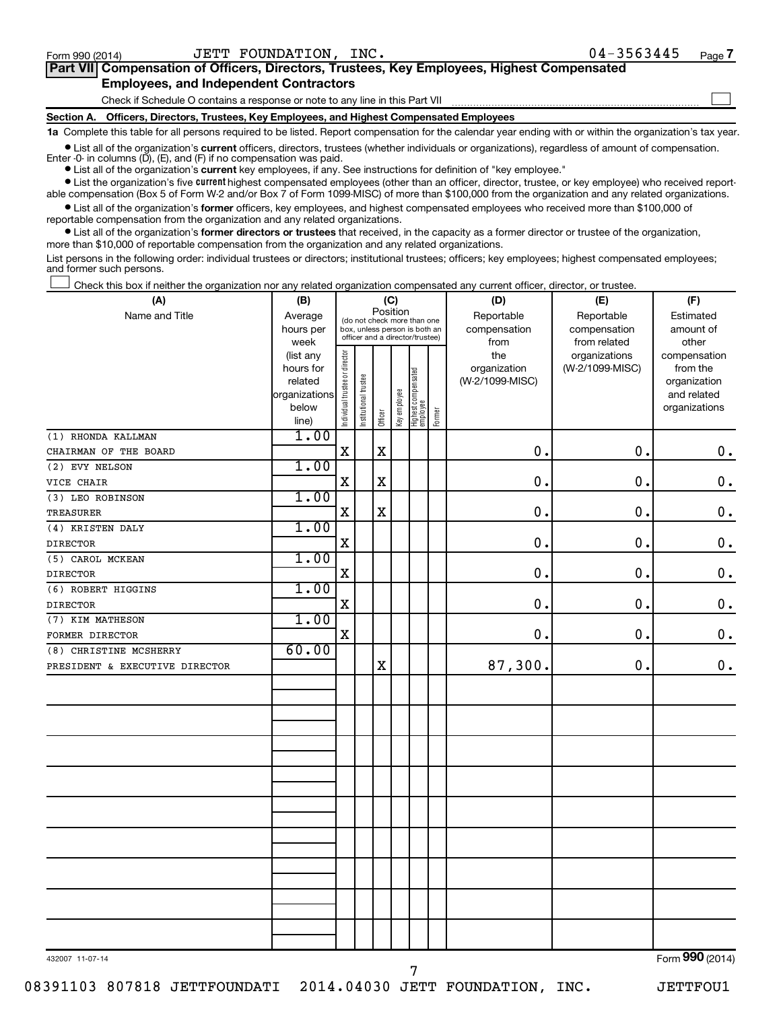$\Box$ 

| Part VII Compensation of Officers, Directors, Trustees, Key Employees, Highest Compensated |  |
|--------------------------------------------------------------------------------------------|--|
| <b>Employees, and Independent Contractors</b>                                              |  |

Check if Schedule O contains a response or note to any line in this Part VII

**Section A. Officers, Directors, Trustees, Key Employees, and Highest Compensated Employees**

**1a**  Complete this table for all persons required to be listed. Report compensation for the calendar year ending with or within the organization's tax year.

**•** List all of the organization's current officers, directors, trustees (whether individuals or organizations), regardless of amount of compensation. Enter -0- in columns  $(D)$ ,  $(E)$ , and  $(F)$  if no compensation was paid.

**•** List all of the organization's **current** key employees, if any. See instructions for definition of "key employee."

**•** List the organization's five current highest compensated employees (other than an officer, director, trustee, or key employee) who received reportable compensation (Box 5 of Form W-2 and/or Box 7 of Form 1099-MISC) of more than \$100,000 from the organization and any related organizations.

**•** List all of the organization's former officers, key employees, and highest compensated employees who received more than \$100,000 of reportable compensation from the organization and any related organizations.

**•** List all of the organization's former directors or trustees that received, in the capacity as a former director or trustee of the organization, more than \$10,000 of reportable compensation from the organization and any related organizations.

List persons in the following order: individual trustees or directors; institutional trustees; officers; key employees; highest compensated employees; and former such persons.

Check this box if neither the organization nor any related organization compensated any current officer, director, or trustee.  $\Box$ 

| (A)                            | (B)                  | (C)                                                                                                         |                       |             |              |                                 |        | (D)                             | (E)             | (F)                      |  |  |
|--------------------------------|----------------------|-------------------------------------------------------------------------------------------------------------|-----------------------|-------------|--------------|---------------------------------|--------|---------------------------------|-----------------|--------------------------|--|--|
| Name and Title                 | Average              | Position<br>(do not check more than one<br>box, unless person is both an<br>officer and a director/trustee) |                       |             |              |                                 |        | Reportable                      | Reportable      | Estimated                |  |  |
|                                | hours per            |                                                                                                             |                       |             |              |                                 |        | compensation                    | compensation    | amount of                |  |  |
|                                | week                 |                                                                                                             |                       |             |              |                                 |        | from                            | from related    | other                    |  |  |
|                                | (list any            |                                                                                                             |                       |             |              |                                 |        | the                             | organizations   | compensation             |  |  |
|                                | hours for<br>related |                                                                                                             |                       |             |              |                                 |        | organization<br>(W-2/1099-MISC) | (W-2/1099-MISC) | from the<br>organization |  |  |
|                                | organizations        |                                                                                                             |                       |             |              |                                 |        |                                 |                 | and related              |  |  |
|                                | below                |                                                                                                             | Institutional trustee |             | Key employee |                                 |        |                                 |                 | organizations            |  |  |
|                                | line)                | Individual trustee or director                                                                              |                       | Officer     |              | Highest compensated<br>employee | Former |                                 |                 |                          |  |  |
| (1) RHONDA KALLMAN             | 1.00                 |                                                                                                             |                       |             |              |                                 |        |                                 |                 |                          |  |  |
| CHAIRMAN OF THE BOARD          |                      | X                                                                                                           |                       | $\mathbf X$ |              |                                 |        | $\mathbf 0$ .                   | 0.              | 0.                       |  |  |
| (2) EVY NELSON                 | 1.00                 |                                                                                                             |                       |             |              |                                 |        |                                 |                 |                          |  |  |
| VICE CHAIR                     |                      | X                                                                                                           |                       | $\mathbf X$ |              |                                 |        | $\mathbf 0$ .                   | $\mathbf 0$ .   | $\mathbf 0$ .            |  |  |
| (3) LEO ROBINSON               | 1.00                 |                                                                                                             |                       |             |              |                                 |        |                                 |                 |                          |  |  |
| <b>TREASURER</b>               |                      | $\mathbf X$                                                                                                 |                       | $\mathbf X$ |              |                                 |        | 0.                              | 0.              | $\mathbf 0$ .            |  |  |
| (4) KRISTEN DALY               | 1.00                 |                                                                                                             |                       |             |              |                                 |        |                                 |                 |                          |  |  |
| <b>DIRECTOR</b>                |                      | $\mathbf X$                                                                                                 |                       |             |              |                                 |        | 0.                              | 0.              | $\mathbf 0$ .            |  |  |
| (5) CAROL MCKEAN               | 1.00                 |                                                                                                             |                       |             |              |                                 |        |                                 |                 |                          |  |  |
| <b>DIRECTOR</b>                |                      | $\mathbf X$                                                                                                 |                       |             |              |                                 |        | 0.                              | $\mathbf 0$ .   | $\mathbf 0$ .            |  |  |
| (6) ROBERT HIGGINS             | 1.00                 |                                                                                                             |                       |             |              |                                 |        |                                 |                 |                          |  |  |
| <b>DIRECTOR</b>                |                      | X                                                                                                           |                       |             |              |                                 |        | $\mathbf 0$ .                   | $\mathbf 0$ .   | $\mathbf 0$ .            |  |  |
| (7) KIM MATHESON               | 1.00                 |                                                                                                             |                       |             |              |                                 |        |                                 |                 |                          |  |  |
| FORMER DIRECTOR                |                      | $\mathbf X$                                                                                                 |                       |             |              |                                 |        | $\mathbf 0$ .                   | 0.              | $\mathbf 0$ .            |  |  |
| (8) CHRISTINE MCSHERRY         | 60.00                |                                                                                                             |                       |             |              |                                 |        |                                 |                 |                          |  |  |
| PRESIDENT & EXECUTIVE DIRECTOR |                      |                                                                                                             |                       | $\rm X$     |              |                                 |        | 87,300.                         | 0.              | 0.                       |  |  |
|                                |                      |                                                                                                             |                       |             |              |                                 |        |                                 |                 |                          |  |  |
|                                |                      |                                                                                                             |                       |             |              |                                 |        |                                 |                 |                          |  |  |
|                                |                      |                                                                                                             |                       |             |              |                                 |        |                                 |                 |                          |  |  |
|                                |                      |                                                                                                             |                       |             |              |                                 |        |                                 |                 |                          |  |  |
|                                |                      |                                                                                                             |                       |             |              |                                 |        |                                 |                 |                          |  |  |
|                                |                      |                                                                                                             |                       |             |              |                                 |        |                                 |                 |                          |  |  |
|                                |                      |                                                                                                             |                       |             |              |                                 |        |                                 |                 |                          |  |  |
|                                |                      |                                                                                                             |                       |             |              |                                 |        |                                 |                 |                          |  |  |
|                                |                      |                                                                                                             |                       |             |              |                                 |        |                                 |                 |                          |  |  |
|                                |                      |                                                                                                             |                       |             |              |                                 |        |                                 |                 |                          |  |  |
|                                |                      |                                                                                                             |                       |             |              |                                 |        |                                 |                 |                          |  |  |
|                                |                      |                                                                                                             |                       |             |              |                                 |        |                                 |                 |                          |  |  |
|                                |                      |                                                                                                             |                       |             |              |                                 |        |                                 |                 |                          |  |  |
|                                |                      |                                                                                                             |                       |             |              |                                 |        |                                 |                 |                          |  |  |
|                                |                      |                                                                                                             |                       |             |              |                                 |        |                                 |                 |                          |  |  |
|                                |                      |                                                                                                             |                       |             |              |                                 |        |                                 |                 |                          |  |  |
|                                |                      |                                                                                                             |                       |             |              |                                 |        |                                 |                 |                          |  |  |
|                                |                      |                                                                                                             |                       |             |              |                                 |        |                                 |                 |                          |  |  |
| 432007 11-07-14                |                      |                                                                                                             |                       |             |              |                                 |        |                                 |                 | Form 990 (2014)          |  |  |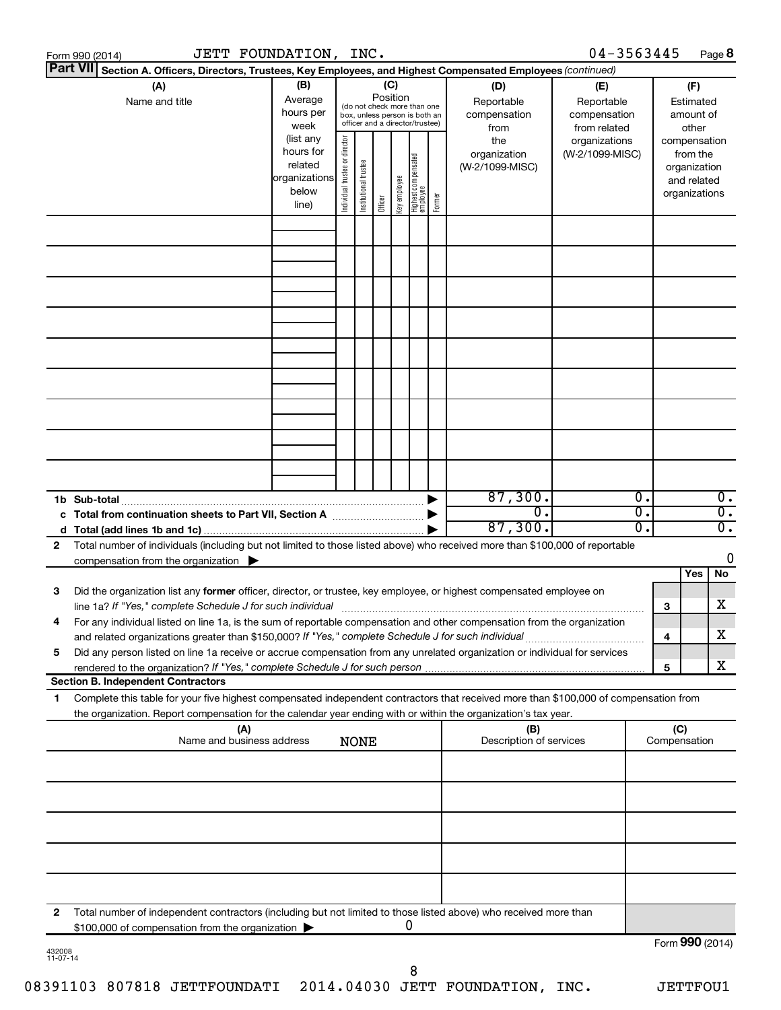| Form 990 (2014) | JETT FOUNDATION, INC.                                                                                                                                                                                                                                  |                                                                      |                                                                                                                    |                       |         |              |                                   |        |                                           | $04 - 3563445$                                    |          |                                        | Page 8                                                                   |                                      |
|-----------------|--------------------------------------------------------------------------------------------------------------------------------------------------------------------------------------------------------------------------------------------------------|----------------------------------------------------------------------|--------------------------------------------------------------------------------------------------------------------|-----------------------|---------|--------------|-----------------------------------|--------|-------------------------------------------|---------------------------------------------------|----------|----------------------------------------|--------------------------------------------------------------------------|--------------------------------------|
| <b>Part VII</b> | Section A. Officers, Directors, Trustees, Key Employees, and Highest Compensated Employees (continued)                                                                                                                                                 |                                                                      |                                                                                                                    |                       |         |              |                                   |        |                                           |                                                   |          |                                        |                                                                          |                                      |
|                 | (A)<br>Name and title                                                                                                                                                                                                                                  | (B)<br>Average<br>hours per<br>week                                  | (C)<br>Position<br>(do not check more than one<br>box, unless person is both an<br>officer and a director/trustee) |                       |         |              |                                   |        | (D)<br>Reportable<br>compensation<br>from | (E)<br>Reportable<br>compensation<br>from related |          | (F)<br>Estimated<br>amount of<br>other |                                                                          |                                      |
|                 |                                                                                                                                                                                                                                                        | (list any<br>hours for<br>related<br>organizations<br>below<br>line) | Individual trustee or director                                                                                     | Institutional trustee | Officer | Key employee | Highest compensated<br>  employee | Former | the<br>organization<br>(W-2/1099-MISC)    | organizations<br>(W-2/1099-MISC)                  |          |                                        | compensation<br>from the<br>organization<br>and related<br>organizations |                                      |
|                 |                                                                                                                                                                                                                                                        |                                                                      |                                                                                                                    |                       |         |              |                                   |        |                                           |                                                   |          |                                        |                                                                          |                                      |
|                 |                                                                                                                                                                                                                                                        |                                                                      |                                                                                                                    |                       |         |              |                                   |        |                                           |                                                   |          |                                        |                                                                          |                                      |
|                 |                                                                                                                                                                                                                                                        |                                                                      |                                                                                                                    |                       |         |              |                                   |        |                                           |                                                   |          |                                        |                                                                          |                                      |
|                 |                                                                                                                                                                                                                                                        |                                                                      |                                                                                                                    |                       |         |              |                                   |        |                                           |                                                   |          |                                        |                                                                          |                                      |
|                 |                                                                                                                                                                                                                                                        |                                                                      |                                                                                                                    |                       |         |              |                                   |        |                                           |                                                   |          |                                        |                                                                          |                                      |
|                 |                                                                                                                                                                                                                                                        |                                                                      |                                                                                                                    |                       |         |              |                                   |        |                                           |                                                   |          |                                        |                                                                          |                                      |
|                 | 1b Sub-total                                                                                                                                                                                                                                           |                                                                      |                                                                                                                    |                       |         |              |                                   |        | 87,300.<br>$\overline{0}$ .               |                                                   | 0.<br>σ. |                                        |                                                                          | $\overline{0}$ .<br>$\overline{0}$ . |
|                 | c Total from continuation sheets to Part VII, Section A manufactured by                                                                                                                                                                                |                                                                      |                                                                                                                    |                       |         |              |                                   |        | 87,300.                                   |                                                   | о.       |                                        |                                                                          | $\overline{0}$ .                     |
| 2               | Total number of individuals (including but not limited to those listed above) who received more than \$100,000 of reportable<br>compensation from the organization $\blacktriangleright$                                                               |                                                                      |                                                                                                                    |                       |         |              |                                   |        |                                           |                                                   |          |                                        |                                                                          | 0                                    |
| 3               | Did the organization list any former officer, director, or trustee, key employee, or highest compensated employee on<br>line 1a? If "Yes," complete Schedule J for such individual manufactured content to the set of the set of the s                 |                                                                      |                                                                                                                    |                       |         |              |                                   |        |                                           |                                                   |          | 3                                      | Yes                                                                      | No<br>х                              |
|                 | For any individual listed on line 1a, is the sum of reportable compensation and other compensation from the organization<br>and related organizations greater than \$150,000? If "Yes," complete Schedule J for such individual                        |                                                                      |                                                                                                                    |                       |         |              |                                   |        |                                           |                                                   |          | 4                                      |                                                                          | х                                    |
| 5               | Did any person listed on line 1a receive or accrue compensation from any unrelated organization or individual for services<br><b>Section B. Independent Contractors</b>                                                                                |                                                                      |                                                                                                                    |                       |         |              |                                   |        |                                           |                                                   |          | 5                                      |                                                                          | х                                    |
| 1.              | Complete this table for your five highest compensated independent contractors that received more than \$100,000 of compensation from<br>the organization. Report compensation for the calendar year ending with or within the organization's tax year. |                                                                      |                                                                                                                    |                       |         |              |                                   |        |                                           |                                                   |          |                                        |                                                                          |                                      |
|                 | (A)<br>Name and business address                                                                                                                                                                                                                       |                                                                      |                                                                                                                    | <b>NONE</b>           |         |              |                                   |        | (B)<br>Description of services            |                                                   |          | (C)<br>Compensation                    |                                                                          |                                      |
|                 |                                                                                                                                                                                                                                                        |                                                                      |                                                                                                                    |                       |         |              |                                   |        |                                           |                                                   |          |                                        |                                                                          |                                      |
|                 |                                                                                                                                                                                                                                                        |                                                                      |                                                                                                                    |                       |         |              |                                   |        |                                           |                                                   |          |                                        |                                                                          |                                      |
|                 |                                                                                                                                                                                                                                                        |                                                                      |                                                                                                                    |                       |         |              |                                   |        |                                           |                                                   |          |                                        |                                                                          |                                      |
| 2               | Total number of independent contractors (including but not limited to those listed above) who received more than<br>\$100,000 of compensation from the organization                                                                                    |                                                                      |                                                                                                                    |                       |         |              | 0                                 |        |                                           |                                                   |          |                                        |                                                                          |                                      |
| 432008          |                                                                                                                                                                                                                                                        |                                                                      |                                                                                                                    |                       |         |              |                                   |        |                                           |                                                   |          |                                        | Form 990 (2014)                                                          |                                      |

| 432008   |  |
|----------|--|
| 11-07-14 |  |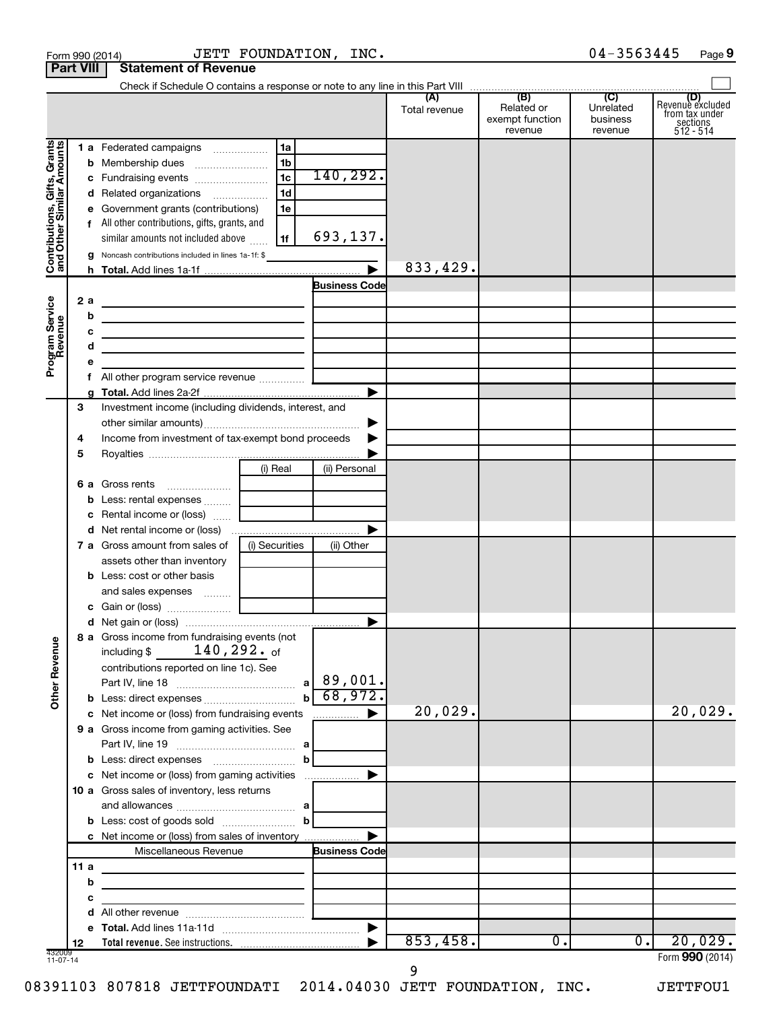|                                                           | <b>Part VIII</b> | <b>Statement of Revenue</b>                                                                                                                                                                    |                                                                |                       |                      |                                                 |                                         |                                                                    |
|-----------------------------------------------------------|------------------|------------------------------------------------------------------------------------------------------------------------------------------------------------------------------------------------|----------------------------------------------------------------|-----------------------|----------------------|-------------------------------------------------|-----------------------------------------|--------------------------------------------------------------------|
|                                                           |                  |                                                                                                                                                                                                |                                                                |                       | (A)<br>Total revenue | (B)<br>Related or<br>exempt function<br>revenue | (C)<br>Unrelated<br>business<br>revenue | (D)<br>Revenue excluded<br>from tax under<br>sections<br>512 - 514 |
| Contributions, Gifts, Grants<br>and Other Similar Amounts |                  | 1 a Federated campaigns<br><b>b</b> Membership dues<br>c Fundraising events<br>d Related organizations<br>e Government grants (contributions)<br>f All other contributions, gifts, grants, and | 1a<br>1 <sub>b</sub><br>1 <sub>c</sub><br>1 <sub>d</sub><br>1e | 140,292.              |                      |                                                 |                                         |                                                                    |
|                                                           |                  | similar amounts not included above<br>g Noncash contributions included in lines 1a-1f: \$                                                                                                      | 1f                                                             | 693,137.              |                      |                                                 |                                         |                                                                    |
|                                                           |                  |                                                                                                                                                                                                |                                                                | $\blacktriangleright$ | 833,429.             |                                                 |                                         |                                                                    |
| Program Service<br>Revenue                                | 2a<br>b<br>c     | the contract of the contract of the contract of the contract of<br>the contract of the contract of the contract of the contract of the<br><u> 1989 - Johann Barbara, martxa alemaniar arg</u>  |                                                                | <b>Business Code</b>  |                      |                                                 |                                         |                                                                    |
|                                                           | d<br>е           | the control of the control of the control of the control of the control of                                                                                                                     |                                                                |                       |                      |                                                 |                                         |                                                                    |
|                                                           |                  |                                                                                                                                                                                                |                                                                | ▶                     |                      |                                                 |                                         |                                                                    |
|                                                           | 3<br>4<br>5      | Investment income (including dividends, interest, and<br>Income from investment of tax-exempt bond proceeds                                                                                    |                                                                | ▶                     |                      |                                                 |                                         |                                                                    |
|                                                           |                  |                                                                                                                                                                                                | (i) Real                                                       | (ii) Personal         |                      |                                                 |                                         |                                                                    |
|                                                           |                  | 6 a Gross rents                                                                                                                                                                                |                                                                |                       |                      |                                                 |                                         |                                                                    |
|                                                           |                  | <b>b</b> Less: rental expenses  [                                                                                                                                                              |                                                                |                       |                      |                                                 |                                         |                                                                    |
|                                                           |                  | c Rental income or (loss)                                                                                                                                                                      |                                                                |                       |                      |                                                 |                                         |                                                                    |
|                                                           |                  |                                                                                                                                                                                                |                                                                | ▶                     |                      |                                                 |                                         |                                                                    |
|                                                           |                  | <b>7 a</b> Gross amount from sales of<br>assets other than inventory                                                                                                                           | (i) Securities                                                 | (ii) Other            |                      |                                                 |                                         |                                                                    |
|                                                           |                  | <b>b</b> Less: cost or other basis<br>and sales expenses  [                                                                                                                                    |                                                                |                       |                      |                                                 |                                         |                                                                    |
|                                                           |                  |                                                                                                                                                                                                |                                                                |                       |                      |                                                 |                                         |                                                                    |
|                                                           |                  |                                                                                                                                                                                                |                                                                |                       |                      |                                                 |                                         |                                                                    |
| <b>Other Revenue</b>                                      |                  | 8 a Gross income from fundraising events (not<br>$140$ , $292\centerdot$ of<br>including \$<br>contributions reported on line 1c). See                                                         |                                                                |                       |                      |                                                 |                                         |                                                                    |
|                                                           |                  |                                                                                                                                                                                                | b                                                              | 68,972.               |                      |                                                 |                                         |                                                                    |
|                                                           |                  | c Net income or (loss) from fundraising events                                                                                                                                                 |                                                                | ▶<br>.                | 20,029.              |                                                 |                                         | 20,029.                                                            |
|                                                           |                  | 9 a Gross income from gaming activities. See                                                                                                                                                   |                                                                |                       |                      |                                                 |                                         |                                                                    |
|                                                           |                  |                                                                                                                                                                                                | b                                                              |                       |                      |                                                 |                                         |                                                                    |
|                                                           |                  | c Net income or (loss) from gaming activities<br>10 a Gross sales of inventory, less returns                                                                                                   |                                                                | ▶                     |                      |                                                 |                                         |                                                                    |
|                                                           |                  |                                                                                                                                                                                                | $\mathbf b$                                                    |                       |                      |                                                 |                                         |                                                                    |
|                                                           |                  | c Net income or (loss) from sales of inventory                                                                                                                                                 |                                                                |                       |                      |                                                 |                                         |                                                                    |
|                                                           |                  | Miscellaneous Revenue                                                                                                                                                                          |                                                                | <b>Business Code</b>  |                      |                                                 |                                         |                                                                    |
|                                                           | 11a              |                                                                                                                                                                                                |                                                                |                       |                      |                                                 |                                         |                                                                    |
|                                                           | b                | <u> 1989 - Johann Stein, mars an deus an deus Amerikaansk kommunister (</u>                                                                                                                    |                                                                |                       |                      |                                                 |                                         |                                                                    |
|                                                           | с                | the control of the control of the control of the control of                                                                                                                                    |                                                                |                       |                      |                                                 |                                         |                                                                    |
|                                                           | d                |                                                                                                                                                                                                |                                                                |                       |                      |                                                 |                                         |                                                                    |
|                                                           |                  |                                                                                                                                                                                                |                                                                |                       |                      |                                                 |                                         |                                                                    |
|                                                           | 12               |                                                                                                                                                                                                |                                                                |                       | 853,458.             | $\overline{0}$ .                                | $\overline{0}$ .                        | 20,029.                                                            |
| 432009<br>11-07-14                                        |                  |                                                                                                                                                                                                |                                                                |                       | 9                    |                                                 |                                         | Form 990 (2014)                                                    |

Form 990 (2014)  $JETT$   $FOUNDATION$ ,  $INC.$   $04-3563445$   $Page$ 

08391103 807818 JETTFOUNDATI 2014.04030 JETT FOUNDATION, INC. JETTFOU1

04-3563445 Page 9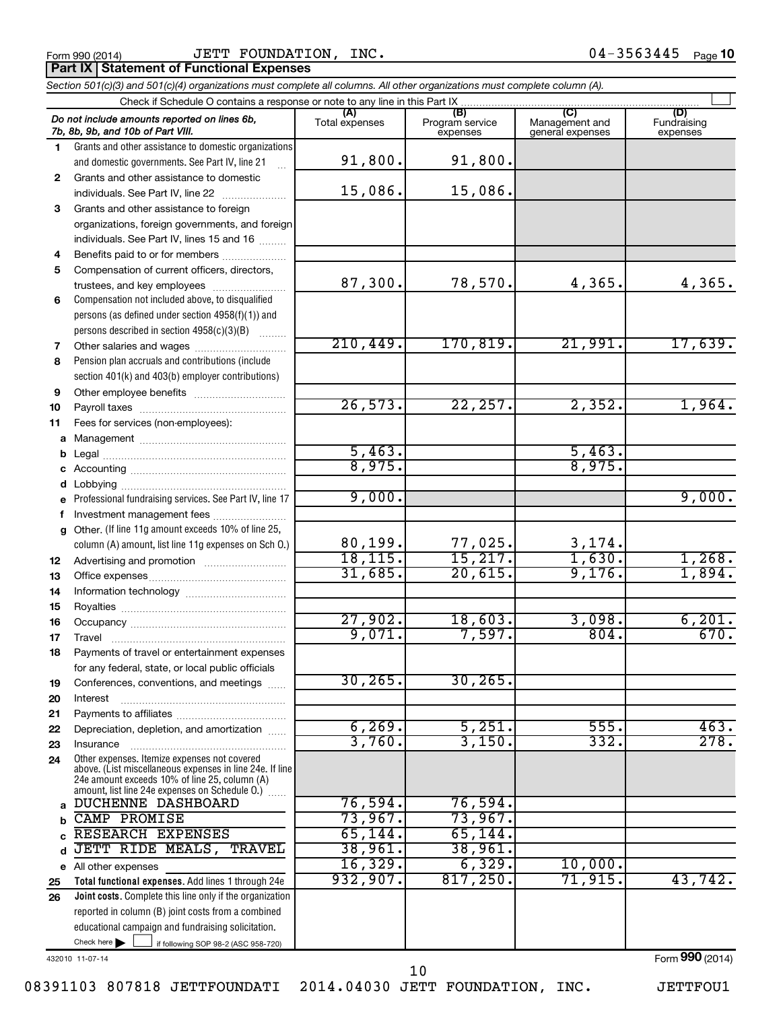Form 990 (2014) Page JETT FOUNDATION, INC. 04-3563445 **Part IX | Statement of Functional Expenses** 

|              | Section 501(c)(3) and 501(c)(4) organizations must complete all columns. All other organizations must complete column (A).                                                                                  |                       |                                    |                                           |                                |
|--------------|-------------------------------------------------------------------------------------------------------------------------------------------------------------------------------------------------------------|-----------------------|------------------------------------|-------------------------------------------|--------------------------------|
|              | Check if Schedule O contains a response or note to any line in this Part IX                                                                                                                                 |                       |                                    |                                           |                                |
|              | Do not include amounts reported on lines 6b,<br>7b, 8b, 9b, and 10b of Part VIII.                                                                                                                           | (A)<br>Total expenses | (B)<br>Program service<br>expenses | (C)<br>Management and<br>general expenses | (D)<br>Fundraising<br>expenses |
| 1.           | Grants and other assistance to domestic organizations                                                                                                                                                       |                       |                                    |                                           |                                |
|              | and domestic governments. See Part IV, line 21                                                                                                                                                              | 91,800.               | 91,800.                            |                                           |                                |
| $\mathbf{2}$ | Grants and other assistance to domestic                                                                                                                                                                     |                       |                                    |                                           |                                |
|              | individuals. See Part IV, line 22                                                                                                                                                                           | 15,086.               | 15,086.                            |                                           |                                |
| 3            | Grants and other assistance to foreign                                                                                                                                                                      |                       |                                    |                                           |                                |
|              | organizations, foreign governments, and foreign                                                                                                                                                             |                       |                                    |                                           |                                |
|              | individuals. See Part IV, lines 15 and 16                                                                                                                                                                   |                       |                                    |                                           |                                |
| 4            | Benefits paid to or for members                                                                                                                                                                             |                       |                                    |                                           |                                |
| 5            | Compensation of current officers, directors,                                                                                                                                                                |                       |                                    |                                           |                                |
|              | trustees, and key employees                                                                                                                                                                                 | 87,300.               | 78,570.                            | 4,365.                                    | 4,365.                         |
| 6            | Compensation not included above, to disqualified                                                                                                                                                            |                       |                                    |                                           |                                |
|              | persons (as defined under section 4958(f)(1)) and                                                                                                                                                           |                       |                                    |                                           |                                |
|              | persons described in section 4958(c)(3)(B)                                                                                                                                                                  |                       |                                    |                                           |                                |
| 7            |                                                                                                                                                                                                             | 210, 449.             | 170,819.                           | 21,991.                                   | 17,639.                        |
| 8            | Pension plan accruals and contributions (include                                                                                                                                                            |                       |                                    |                                           |                                |
|              | section 401(k) and 403(b) employer contributions)                                                                                                                                                           |                       |                                    |                                           |                                |
| 9            | Other employee benefits                                                                                                                                                                                     |                       |                                    |                                           |                                |
| 10           |                                                                                                                                                                                                             | 26,573.               | 22, 257.                           | 2,352.                                    | 1,964.                         |
| 11           | Fees for services (non-employees):                                                                                                                                                                          |                       |                                    |                                           |                                |
| a            |                                                                                                                                                                                                             |                       |                                    |                                           |                                |
| b            |                                                                                                                                                                                                             | 5,463.<br>8,975.      |                                    | 5,463.<br>8,975.                          |                                |
|              |                                                                                                                                                                                                             |                       |                                    |                                           |                                |
| d            |                                                                                                                                                                                                             | 9,000.                |                                    |                                           | 9,000.                         |
|              | Professional fundraising services. See Part IV, line 17                                                                                                                                                     |                       |                                    |                                           |                                |
| f            | Investment management fees<br>Other. (If line 11g amount exceeds 10% of line 25,                                                                                                                            |                       |                                    |                                           |                                |
| $\mathbf{q}$ | column (A) amount, list line 11g expenses on Sch O.)                                                                                                                                                        | 80,199.               |                                    |                                           |                                |
| 12           |                                                                                                                                                                                                             | 18, 115.              | $\frac{77,025}{15,217}$            | $\frac{3,174}{1,630}$ .                   | 1,268.                         |
| 13           |                                                                                                                                                                                                             | 31,685.               | 20,615.                            | 9,176.                                    | 1,894.                         |
| 14           |                                                                                                                                                                                                             |                       |                                    |                                           |                                |
| 15           |                                                                                                                                                                                                             |                       |                                    |                                           |                                |
| 16           |                                                                                                                                                                                                             | 27,902.               | 18,603.                            | 3,098.                                    | 6,201.                         |
| 17           |                                                                                                                                                                                                             | 9,071.                | 7,597.                             | 804.                                      | 670.                           |
| 18           | Payments of travel or entertainment expenses                                                                                                                                                                |                       |                                    |                                           |                                |
|              | for any federal, state, or local public officials                                                                                                                                                           |                       |                                    |                                           |                                |
| 19           | Conferences, conventions, and meetings                                                                                                                                                                      | 30, 265.              | 30, 265.                           |                                           |                                |
| 20           | Interest                                                                                                                                                                                                    |                       |                                    |                                           |                                |
| 21           |                                                                                                                                                                                                             |                       |                                    |                                           |                                |
| 22           | Depreciation, depletion, and amortization                                                                                                                                                                   | 6, 269.               | 5,251.                             | 555.                                      | 463.                           |
| 23           | Insurance                                                                                                                                                                                                   | 3,760.                | 3,150.                             | 332.                                      | 278.                           |
| 24           | Other expenses. Itemize expenses not covered<br>above. (List miscellaneous expenses in line 24e. If line<br>24e amount exceeds 10% of line 25, column (A)<br>amount, list line 24e expenses on Schedule O.) |                       |                                    |                                           |                                |
| a            | <b>DUCHENNE DASHBOARD</b>                                                                                                                                                                                   | 76,594.               | 76,594.                            |                                           |                                |
| b            | <b>CAMP PROMISE</b>                                                                                                                                                                                         | 73,967.               | 73,967.                            |                                           |                                |
| C            | RESEARCH EXPENSES                                                                                                                                                                                           | 65, 144.              | 65, 144.                           |                                           |                                |
| d            | JETT RIDE MEALS, TRAVEL                                                                                                                                                                                     | 38,961.               | 38,961.                            |                                           |                                |
|              | e All other expenses                                                                                                                                                                                        | 16,329.               | 6,329.                             | 10,000.                                   |                                |
| 25           | Total functional expenses. Add lines 1 through 24e                                                                                                                                                          | 932,907.              | 817,250.                           | 71,915.                                   | 43,742.                        |
| 26           | Joint costs. Complete this line only if the organization                                                                                                                                                    |                       |                                    |                                           |                                |
|              | reported in column (B) joint costs from a combined                                                                                                                                                          |                       |                                    |                                           |                                |
|              | educational campaign and fundraising solicitation.                                                                                                                                                          |                       |                                    |                                           |                                |
|              | Check here $\blacktriangleright$<br>if following SOP 98-2 (ASC 958-720)                                                                                                                                     |                       |                                    |                                           |                                |

432010 11-07-14

Form (2014) **990**

08391103 807818 JETTFOUNDATI 2014.04030 JETT FOUNDATION, INC. JETTFOU1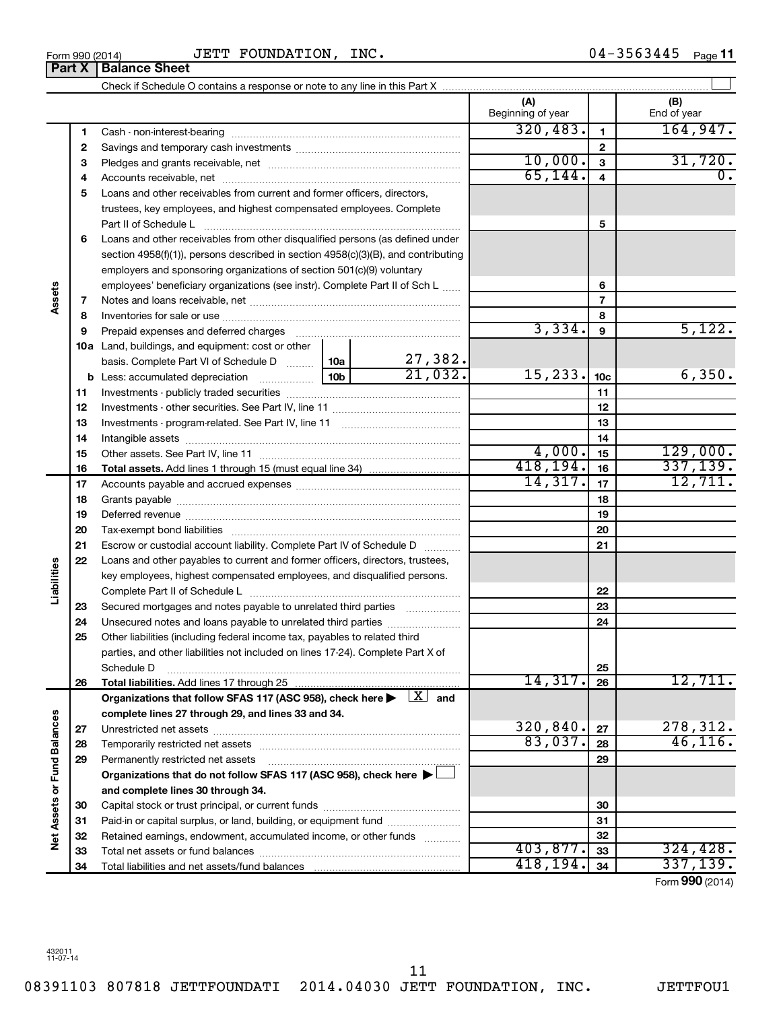08391103 807818 JETTFOUNDATI 2014.04030 JETT FOUNDATION, INC. JETTFOU1 11

#### $_{\rm Form}$   $_{990}$  (2014)  $_{\rm H}$   $_{\rm JETT}$   $_{\rm F}$   $_{\rm CO}$   $_{\rm F}$   $_{\rm H}$   $_{\rm H}$   $_{\rm H}$   $_{\rm H}$   $_{\rm H}$   $_{\rm H}$   $_{\rm H}$   $_{\rm H}$   $_{\rm H}$   $_{\rm H}$   $_{\rm H}$   $_{\rm H}$   $_{\rm H}$   $_{\rm H}$   $_{\rm H}$   $_{\rm H}$   $_{\rm H}$   $_{\rm H}$   $_{\rm H}$   $_{\rm$ JETT FOUNDATION, INC.

|                             |    |                                                                                                                         |  |                | (A)<br>Beginning of year |                         | (B)<br>End of year |
|-----------------------------|----|-------------------------------------------------------------------------------------------------------------------------|--|----------------|--------------------------|-------------------------|--------------------|
|                             | 1  |                                                                                                                         |  |                | 320, 483.                | $\mathbf{1}$            | 164,947.           |
|                             | 2  |                                                                                                                         |  | $\overline{2}$ |                          |                         |                    |
|                             | З  |                                                                                                                         |  |                | 10,000.                  | $\overline{\mathbf{3}}$ | 31,720.            |
|                             | 4  |                                                                                                                         |  |                | 65, 144.                 | 4                       | 0.                 |
|                             | 5  | Loans and other receivables from current and former officers, directors,                                                |  |                |                          |                         |                    |
|                             |    | trustees, key employees, and highest compensated employees. Complete                                                    |  |                |                          |                         |                    |
|                             |    | Part II of Schedule L                                                                                                   |  |                |                          | 5                       |                    |
|                             | 6  | Loans and other receivables from other disqualified persons (as defined under                                           |  |                |                          |                         |                    |
|                             |    | section 4958(f)(1)), persons described in section 4958(c)(3)(B), and contributing                                       |  |                |                          |                         |                    |
|                             |    | employers and sponsoring organizations of section 501(c)(9) voluntary                                                   |  |                |                          |                         |                    |
|                             |    | employees' beneficiary organizations (see instr). Complete Part II of Sch L                                             |  |                |                          | 6                       |                    |
|                             | 7  |                                                                                                                         |  |                |                          | $\overline{7}$          |                    |
|                             | 8  |                                                                                                                         |  |                |                          | 8                       |                    |
|                             | 9  |                                                                                                                         |  |                | 3,334.                   | $\boldsymbol{9}$        | 5,122.             |
|                             |    | 10a Land, buildings, and equipment: cost or other                                                                       |  |                |                          |                         |                    |
|                             |    | basis. Complete Part VI of Schedule D  10a                                                                              |  | 27,382.        |                          |                         |                    |
|                             |    |                                                                                                                         |  | 21,032.        | 15,233.                  | 10 <sub>c</sub>         | 6,350.             |
|                             | 11 |                                                                                                                         |  | 11             |                          |                         |                    |
|                             | 12 |                                                                                                                         |  |                |                          | 12                      |                    |
|                             | 13 |                                                                                                                         |  |                |                          | 13                      |                    |
|                             | 14 |                                                                                                                         |  | 14             |                          |                         |                    |
|                             | 15 |                                                                                                                         |  |                | 4,000.                   | 15                      | 129,000.           |
|                             | 16 |                                                                                                                         |  |                | 418, 194.                | 16                      | 337,139.           |
|                             | 17 |                                                                                                                         |  | 14,317.        | 17                       | 12,711.                 |                    |
|                             | 18 |                                                                                                                         |  |                |                          | 18                      |                    |
|                             | 19 |                                                                                                                         |  |                |                          | 19                      |                    |
|                             | 20 |                                                                                                                         |  |                |                          | 20                      |                    |
|                             | 21 | Escrow or custodial account liability. Complete Part IV of Schedule D                                                   |  |                |                          | 21                      |                    |
|                             | 22 | Loans and other payables to current and former officers, directors, trustees,                                           |  |                |                          |                         |                    |
| iabilities                  |    | key employees, highest compensated employees, and disqualified persons.                                                 |  |                |                          |                         |                    |
|                             |    |                                                                                                                         |  |                |                          | 22                      |                    |
|                             | 23 | Secured mortgages and notes payable to unrelated third parties                                                          |  |                |                          | 23                      |                    |
|                             | 24 |                                                                                                                         |  |                |                          | 24                      |                    |
|                             | 25 | Other liabilities (including federal income tax, payables to related third                                              |  |                |                          |                         |                    |
|                             |    | parties, and other liabilities not included on lines 17-24). Complete Part X of                                         |  |                |                          |                         |                    |
|                             |    | Schedule D                                                                                                              |  |                |                          | 25                      |                    |
|                             | 26 |                                                                                                                         |  |                | 14,317.                  | 26                      | 12,711.            |
|                             |    | Organizations that follow SFAS 117 (ASC 958), check here $\blacktriangleright \begin{array}{c} \perp X \end{array}$ and |  |                |                          |                         |                    |
|                             |    | complete lines 27 through 29, and lines 33 and 34.                                                                      |  |                |                          |                         |                    |
|                             | 27 |                                                                                                                         |  |                | 320,840.                 | 27                      | 278,312.           |
|                             | 28 |                                                                                                                         |  |                | 83,037.                  | 28                      | 46, 116.           |
|                             | 29 | Permanently restricted net assets                                                                                       |  |                |                          | 29                      |                    |
|                             |    | Organizations that do not follow SFAS 117 (ASC 958), check here ▶ □                                                     |  |                |                          |                         |                    |
| Net Assets or Fund Balances |    | and complete lines 30 through 34.                                                                                       |  |                |                          |                         |                    |
|                             | 30 |                                                                                                                         |  |                | 30                       |                         |                    |
|                             | 31 | Paid-in or capital surplus, or land, building, or equipment fund                                                        |  |                |                          | 31                      |                    |
|                             | 32 | Retained earnings, endowment, accumulated income, or other funds                                                        |  |                |                          | 32                      |                    |
|                             | 33 |                                                                                                                         |  |                | 403,877.                 | 33                      | 324, 428.          |
|                             | 34 |                                                                                                                         |  | 418,194.       | 34                       | 337,139.                |                    |

Form (2014) **990**

**Part X** | Balance Sheet

**Assets**

**Liabilities**

Net Assets or Fund Balances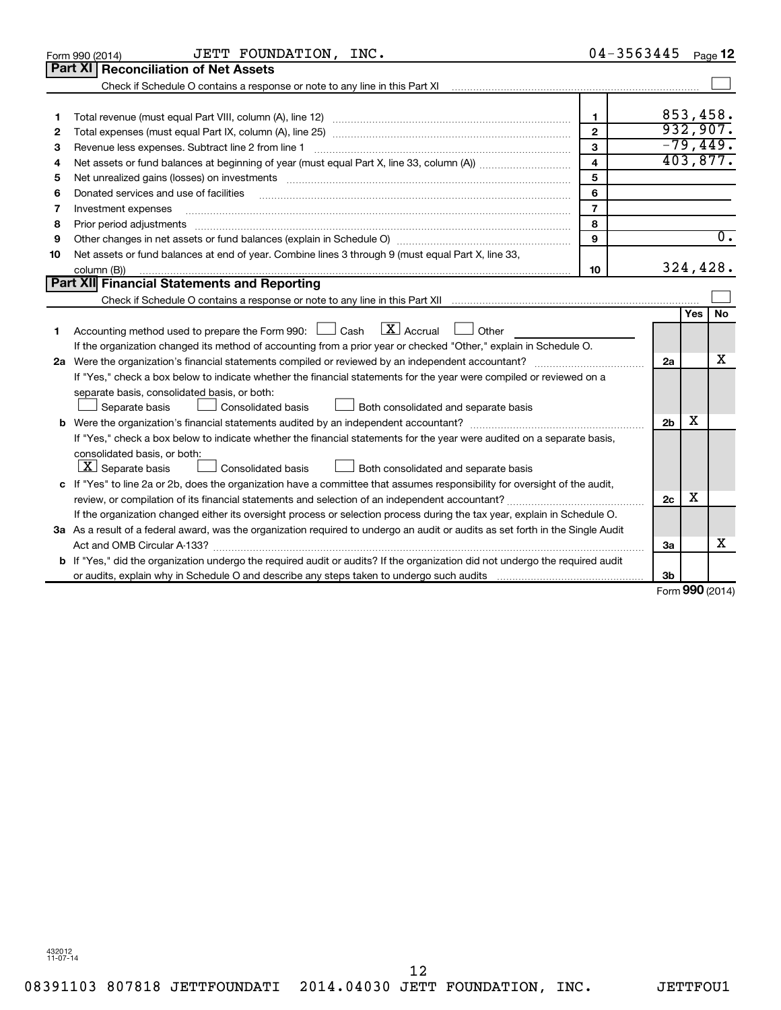|    | JETT FOUNDATION, INC.<br>Form 990 (2014)                                                                                             |                | 04-3563445     |                     | Page 12          |
|----|--------------------------------------------------------------------------------------------------------------------------------------|----------------|----------------|---------------------|------------------|
|    | Part XI Reconciliation of Net Assets                                                                                                 |                |                |                     |                  |
|    |                                                                                                                                      |                |                |                     |                  |
|    |                                                                                                                                      |                |                |                     |                  |
| 1  |                                                                                                                                      | 1              |                |                     | 853,458.         |
| 2  |                                                                                                                                      | $\mathbf{2}$   |                |                     | 932,907.         |
| З  |                                                                                                                                      | 3              |                |                     | $-79,449.$       |
| 4  |                                                                                                                                      | $\overline{4}$ |                |                     | 403,877.         |
| 5  |                                                                                                                                      | 5              |                |                     |                  |
| 6  | Donated services and use of facilities                                                                                               | 6              |                |                     |                  |
| 7  | Investment expenses                                                                                                                  | $\overline{7}$ |                |                     |                  |
| 8  | Prior period adjustments                                                                                                             | 8              |                |                     |                  |
| 9  |                                                                                                                                      | 9              |                |                     | $\overline{0}$ . |
| 10 | Net assets or fund balances at end of year. Combine lines 3 through 9 (must equal Part X, line 33,                                   |                |                |                     |                  |
|    | column (B))                                                                                                                          | 10             |                |                     | 324,428.         |
|    | Part XII Financial Statements and Reporting                                                                                          |                |                |                     |                  |
|    |                                                                                                                                      |                |                |                     |                  |
|    |                                                                                                                                      |                |                | Yes                 | No               |
| 1  | $\lfloor \mathbf{X} \rfloor$ Accrual<br>Accounting method used to prepare the Form 990: $\Box$ Cash<br>Other                         |                |                |                     |                  |
|    | If the organization changed its method of accounting from a prior year or checked "Other," explain in Schedule O.                    |                |                |                     |                  |
|    |                                                                                                                                      |                | 2a             |                     | x                |
|    | If "Yes," check a box below to indicate whether the financial statements for the year were compiled or reviewed on a                 |                |                |                     |                  |
|    | separate basis, consolidated basis, or both:                                                                                         |                |                |                     |                  |
|    | Both consolidated and separate basis<br>Separate basis<br><b>Consolidated basis</b>                                                  |                |                |                     |                  |
|    |                                                                                                                                      |                | 2 <sub>b</sub> | x                   |                  |
|    | If "Yes," check a box below to indicate whether the financial statements for the year were audited on a separate basis,              |                |                |                     |                  |
|    | consolidated basis, or both:                                                                                                         |                |                |                     |                  |
|    | $ \mathbf{X} $ Separate basis<br><b>Consolidated basis</b><br>Both consolidated and separate basis                                   |                |                |                     |                  |
|    | c If "Yes" to line 2a or 2b, does the organization have a committee that assumes responsibility for oversight of the audit,          |                |                |                     |                  |
|    |                                                                                                                                      |                | 2 <sub>c</sub> | х                   |                  |
|    | If the organization changed either its oversight process or selection process during the tax year, explain in Schedule O.            |                |                |                     |                  |
|    | 3a As a result of a federal award, was the organization required to undergo an audit or audits as set forth in the Single Audit      |                |                |                     |                  |
|    |                                                                                                                                      |                | За             |                     | x                |
|    | <b>b</b> If "Yes," did the organization undergo the required audit or audits? If the organization did not undergo the required audit |                |                |                     |                  |
|    |                                                                                                                                      |                | 3b             |                     |                  |
|    |                                                                                                                                      |                |                | $000 \, \text{GeV}$ |                  |

Form (2014) **990**

432012 11-07-14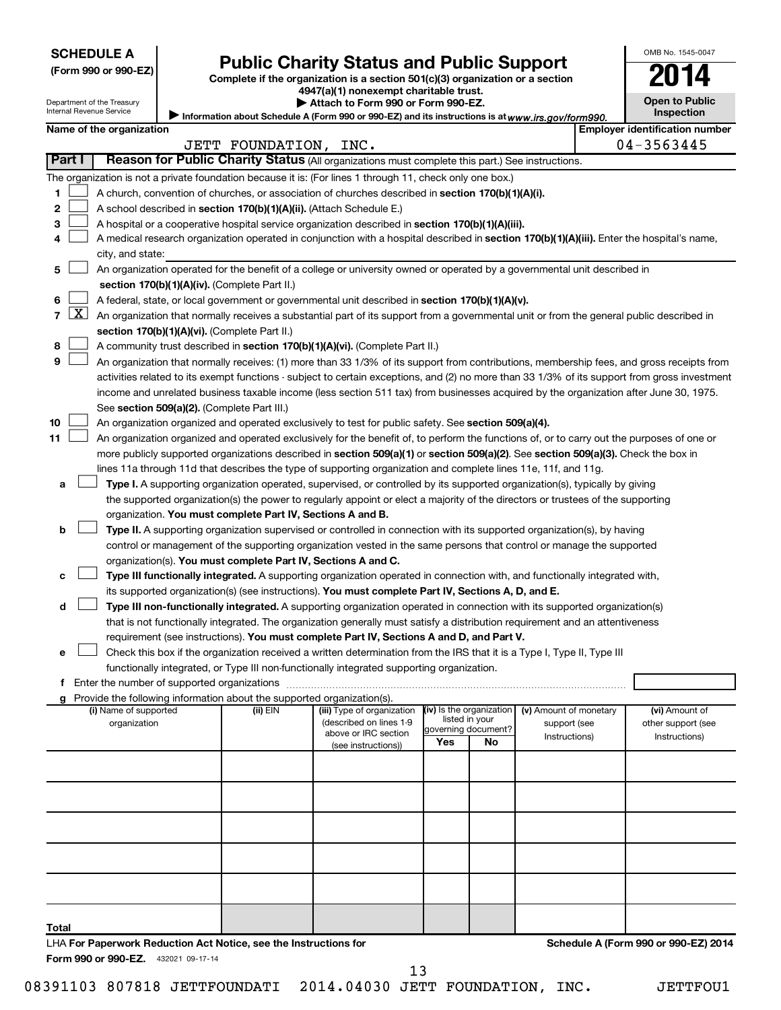| <b>SCHEDULE A</b> |  |
|-------------------|--|
|-------------------|--|

# Form 990 or 990-EZ) **Public Charity Status and Public Support**<br>
Complete if the organization is a section 501(c)(3) organization or a section<br> **2014**

Information about Schedule A (Form 990 or 990-EZ) and its instructions is at www.irs.gov/form990.

**4947(a)(1) nonexempt charitable trust. | Attach to Form 990 or Form 990-EZ.** 

| <b>Open to Public</b><br>Inspection |
|-------------------------------------|
|                                     |

OMB No. 1545-0047

Department of the Treasury Internal Revenue Service

|                |        | Name of the organization                                                                                                                                                                                                                          |                  |                                                 |                                            |    |                               |  | <b>Employer identification number</b> |  |  |  |
|----------------|--------|---------------------------------------------------------------------------------------------------------------------------------------------------------------------------------------------------------------------------------------------------|------------------|-------------------------------------------------|--------------------------------------------|----|-------------------------------|--|---------------------------------------|--|--|--|
|                | Part I | Reason for Public Charity Status (All organizations must complete this part.) See instructions.                                                                                                                                                   | JETT FOUNDATION, | INC.                                            |                                            |    |                               |  | 04-3563445                            |  |  |  |
|                |        |                                                                                                                                                                                                                                                   |                  |                                                 |                                            |    |                               |  |                                       |  |  |  |
|                |        | The organization is not a private foundation because it is: (For lines 1 through 11, check only one box.)                                                                                                                                         |                  |                                                 |                                            |    |                               |  |                                       |  |  |  |
| 1              |        | A church, convention of churches, or association of churches described in section 170(b)(1)(A)(i).                                                                                                                                                |                  |                                                 |                                            |    |                               |  |                                       |  |  |  |
| 2<br>3         |        | A school described in section 170(b)(1)(A)(ii). (Attach Schedule E.)                                                                                                                                                                              |                  |                                                 |                                            |    |                               |  |                                       |  |  |  |
| 4              |        | A hospital or a cooperative hospital service organization described in section 170(b)(1)(A)(iii).<br>A medical research organization operated in conjunction with a hospital described in section 170(b)(1)(A)(iii). Enter the hospital's name,   |                  |                                                 |                                            |    |                               |  |                                       |  |  |  |
|                |        | city, and state:                                                                                                                                                                                                                                  |                  |                                                 |                                            |    |                               |  |                                       |  |  |  |
| 5.             |        | An organization operated for the benefit of a college or university owned or operated by a governmental unit described in                                                                                                                         |                  |                                                 |                                            |    |                               |  |                                       |  |  |  |
|                |        | section 170(b)(1)(A)(iv). (Complete Part II.)                                                                                                                                                                                                     |                  |                                                 |                                            |    |                               |  |                                       |  |  |  |
| 6              |        |                                                                                                                                                                                                                                                   |                  |                                                 |                                            |    |                               |  |                                       |  |  |  |
| $\overline{7}$ |        | A federal, state, or local government or governmental unit described in section 170(b)(1)(A)(v).<br>$X$ An organization that normally receives a substantial part of its support from a governmental unit or from the general public described in |                  |                                                 |                                            |    |                               |  |                                       |  |  |  |
|                |        | section 170(b)(1)(A)(vi). (Complete Part II.)                                                                                                                                                                                                     |                  |                                                 |                                            |    |                               |  |                                       |  |  |  |
| 8              |        | A community trust described in section 170(b)(1)(A)(vi). (Complete Part II.)                                                                                                                                                                      |                  |                                                 |                                            |    |                               |  |                                       |  |  |  |
| 9              |        | An organization that normally receives: (1) more than 33 1/3% of its support from contributions, membership fees, and gross receipts from                                                                                                         |                  |                                                 |                                            |    |                               |  |                                       |  |  |  |
|                |        | activities related to its exempt functions - subject to certain exceptions, and (2) no more than 33 1/3% of its support from gross investment                                                                                                     |                  |                                                 |                                            |    |                               |  |                                       |  |  |  |
|                |        | income and unrelated business taxable income (less section 511 tax) from businesses acquired by the organization after June 30, 1975.                                                                                                             |                  |                                                 |                                            |    |                               |  |                                       |  |  |  |
|                |        | See section 509(a)(2). (Complete Part III.)                                                                                                                                                                                                       |                  |                                                 |                                            |    |                               |  |                                       |  |  |  |
| 10             |        | An organization organized and operated exclusively to test for public safety. See section 509(a)(4).                                                                                                                                              |                  |                                                 |                                            |    |                               |  |                                       |  |  |  |
| 11             |        | An organization organized and operated exclusively for the benefit of, to perform the functions of, or to carry out the purposes of one or                                                                                                        |                  |                                                 |                                            |    |                               |  |                                       |  |  |  |
|                |        | more publicly supported organizations described in section 509(a)(1) or section 509(a)(2). See section 509(a)(3). Check the box in                                                                                                                |                  |                                                 |                                            |    |                               |  |                                       |  |  |  |
|                |        | lines 11a through 11d that describes the type of supporting organization and complete lines 11e, 11f, and 11g.                                                                                                                                    |                  |                                                 |                                            |    |                               |  |                                       |  |  |  |
| а              |        | Type I. A supporting organization operated, supervised, or controlled by its supported organization(s), typically by giving                                                                                                                       |                  |                                                 |                                            |    |                               |  |                                       |  |  |  |
|                |        | the supported organization(s) the power to regularly appoint or elect a majority of the directors or trustees of the supporting                                                                                                                   |                  |                                                 |                                            |    |                               |  |                                       |  |  |  |
|                |        | organization. You must complete Part IV, Sections A and B.                                                                                                                                                                                        |                  |                                                 |                                            |    |                               |  |                                       |  |  |  |
| b              |        | Type II. A supporting organization supervised or controlled in connection with its supported organization(s), by having                                                                                                                           |                  |                                                 |                                            |    |                               |  |                                       |  |  |  |
|                |        | control or management of the supporting organization vested in the same persons that control or manage the supported<br>organization(s). You must complete Part IV, Sections A and C.                                                             |                  |                                                 |                                            |    |                               |  |                                       |  |  |  |
| с              |        | Type III functionally integrated. A supporting organization operated in connection with, and functionally integrated with,                                                                                                                        |                  |                                                 |                                            |    |                               |  |                                       |  |  |  |
|                |        | its supported organization(s) (see instructions). You must complete Part IV, Sections A, D, and E.                                                                                                                                                |                  |                                                 |                                            |    |                               |  |                                       |  |  |  |
| d              |        | Type III non-functionally integrated. A supporting organization operated in connection with its supported organization(s)                                                                                                                         |                  |                                                 |                                            |    |                               |  |                                       |  |  |  |
|                |        | that is not functionally integrated. The organization generally must satisfy a distribution requirement and an attentiveness                                                                                                                      |                  |                                                 |                                            |    |                               |  |                                       |  |  |  |
|                |        | requirement (see instructions). You must complete Part IV, Sections A and D, and Part V.                                                                                                                                                          |                  |                                                 |                                            |    |                               |  |                                       |  |  |  |
| е              |        | Check this box if the organization received a written determination from the IRS that it is a Type I, Type II, Type III                                                                                                                           |                  |                                                 |                                            |    |                               |  |                                       |  |  |  |
|                |        | functionally integrated, or Type III non-functionally integrated supporting organization.                                                                                                                                                         |                  |                                                 |                                            |    |                               |  |                                       |  |  |  |
|                |        |                                                                                                                                                                                                                                                   |                  |                                                 |                                            |    |                               |  |                                       |  |  |  |
|                |        | g Provide the following information about the supported organization(s).                                                                                                                                                                          |                  |                                                 |                                            |    |                               |  |                                       |  |  |  |
|                |        | (i) Name of supported                                                                                                                                                                                                                             | (ii) $EIN$       | (iii) Type of organization                      | (iv) Is the organization<br>listed in your |    | (v) Amount of monetary        |  | (vi) Amount of                        |  |  |  |
|                |        | organization                                                                                                                                                                                                                                      |                  | (described on lines 1-9<br>above or IRC section | governing document?                        |    | support (see<br>Instructions) |  | other support (see<br>Instructions)   |  |  |  |
|                |        |                                                                                                                                                                                                                                                   |                  | (see instructions))                             | Yes                                        | No |                               |  |                                       |  |  |  |
|                |        |                                                                                                                                                                                                                                                   |                  |                                                 |                                            |    |                               |  |                                       |  |  |  |
|                |        |                                                                                                                                                                                                                                                   |                  |                                                 |                                            |    |                               |  |                                       |  |  |  |
|                |        |                                                                                                                                                                                                                                                   |                  |                                                 |                                            |    |                               |  |                                       |  |  |  |
|                |        |                                                                                                                                                                                                                                                   |                  |                                                 |                                            |    |                               |  |                                       |  |  |  |
|                |        |                                                                                                                                                                                                                                                   |                  |                                                 |                                            |    |                               |  |                                       |  |  |  |
|                |        |                                                                                                                                                                                                                                                   |                  |                                                 |                                            |    |                               |  |                                       |  |  |  |
|                |        |                                                                                                                                                                                                                                                   |                  |                                                 |                                            |    |                               |  |                                       |  |  |  |
|                |        |                                                                                                                                                                                                                                                   |                  |                                                 |                                            |    |                               |  |                                       |  |  |  |
|                |        |                                                                                                                                                                                                                                                   |                  |                                                 |                                            |    |                               |  |                                       |  |  |  |
|                |        |                                                                                                                                                                                                                                                   |                  |                                                 |                                            |    |                               |  |                                       |  |  |  |
| Total          |        |                                                                                                                                                                                                                                                   |                  |                                                 |                                            |    |                               |  |                                       |  |  |  |
|                |        | LHA For Paperwork Reduction Act Notice, see the Instructions for                                                                                                                                                                                  |                  |                                                 |                                            |    |                               |  | Schedule A (Form 990 or 990-EZ) 2014  |  |  |  |
|                |        | Form 990 or 990-EZ. 432021 09-17-14                                                                                                                                                                                                               |                  |                                                 |                                            |    |                               |  |                                       |  |  |  |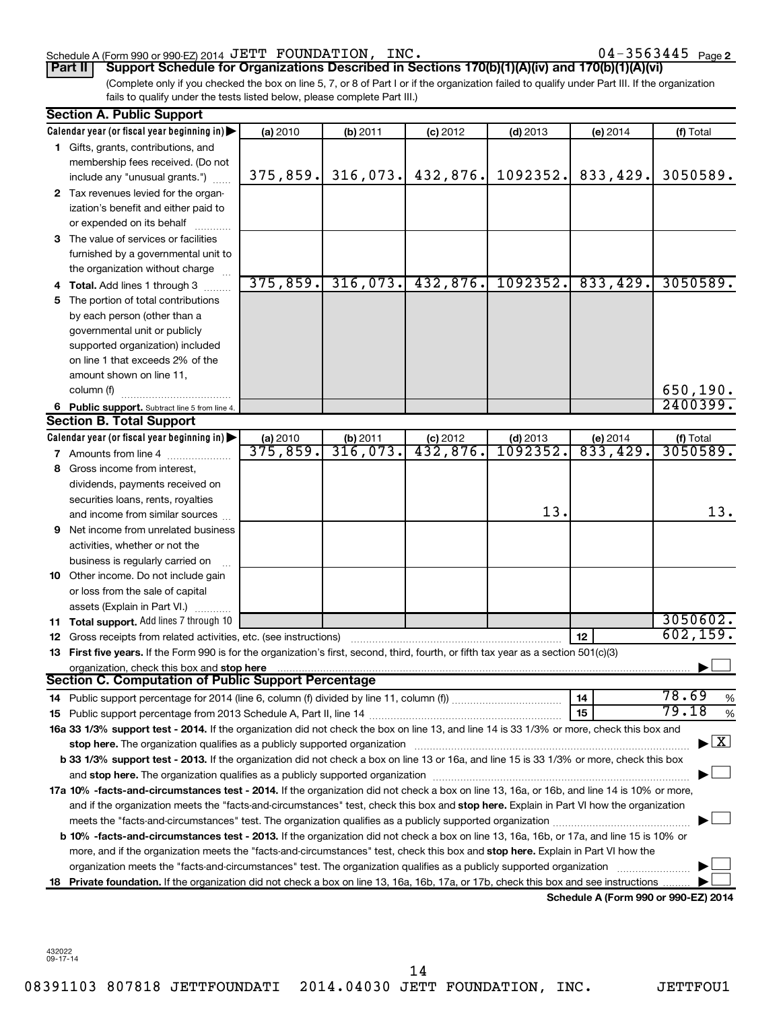#### Schedule A (Form 990 or 990-EZ) 2014 Page JETT FOUNDATION, INC. 04-3563445

 $04 - 3563445$  Page 2

(Complete only if you checked the box on line 5, 7, or 8 of Part I or if the organization failed to qualify under Part III. If the organization fails to qualify under the tests listed below, please complete Part III.) **Part II Support Schedule for Organizations Described in Sections 170(b)(1)(A)(iv) and 170(b)(1)(A)(vi)**

|    | <b>Section A. Public Support</b>                                                                                                           |          |                        |                        |                            |                                             |                         |
|----|--------------------------------------------------------------------------------------------------------------------------------------------|----------|------------------------|------------------------|----------------------------|---------------------------------------------|-------------------------|
|    | Calendar year (or fiscal year beginning in)                                                                                                | (a) 2010 | (b) 2011               | $(c)$ 2012             | $(d)$ 2013                 | (e) 2014                                    | (f) Total               |
|    | 1 Gifts, grants, contributions, and                                                                                                        |          |                        |                        |                            |                                             |                         |
|    | membership fees received. (Do not                                                                                                          |          |                        |                        |                            |                                             |                         |
|    | include any "unusual grants.")                                                                                                             | 375,859. | 316,073.               | 432,876.               | 1092352.                   | 833,429.                                    | 3050589.                |
|    | 2 Tax revenues levied for the organ-                                                                                                       |          |                        |                        |                            |                                             |                         |
|    | ization's benefit and either paid to                                                                                                       |          |                        |                        |                            |                                             |                         |
|    | or expended on its behalf                                                                                                                  |          |                        |                        |                            |                                             |                         |
|    | 3 The value of services or facilities                                                                                                      |          |                        |                        |                            |                                             |                         |
|    | furnished by a governmental unit to                                                                                                        |          |                        |                        |                            |                                             |                         |
|    | the organization without charge                                                                                                            |          |                        |                        |                            |                                             |                         |
|    | <b>Total.</b> Add lines 1 through 3                                                                                                        | 375,859. | 316,073.               | 432,876.               | 1092352.                   | 833,429.                                    | 3050589.                |
| 5  | The portion of total contributions                                                                                                         |          |                        |                        |                            |                                             |                         |
|    | by each person (other than a                                                                                                               |          |                        |                        |                            |                                             |                         |
|    | governmental unit or publicly                                                                                                              |          |                        |                        |                            |                                             |                         |
|    | supported organization) included                                                                                                           |          |                        |                        |                            |                                             |                         |
|    | on line 1 that exceeds 2% of the                                                                                                           |          |                        |                        |                            |                                             |                         |
|    | amount shown on line 11,                                                                                                                   |          |                        |                        |                            |                                             |                         |
|    | column (f)                                                                                                                                 |          |                        |                        |                            |                                             | 650,190.                |
|    | 6 Public support. Subtract line 5 from line 4.                                                                                             |          |                        |                        |                            |                                             | 2400399.                |
|    | <b>Section B. Total Support</b>                                                                                                            |          |                        |                        |                            |                                             |                         |
|    | Calendar year (or fiscal year beginning in)                                                                                                | (a) 2010 |                        | $(c)$ 2012             |                            | (e) 2014                                    | (f) Total               |
|    | 7 Amounts from line 4                                                                                                                      | 375,859. | $\frac{1}{316}$ , 073. | $\overline{432,876}$ . | $\frac{(d) 2013}{1092352}$ | 833,429.                                    | 3050589.                |
| 8  | Gross income from interest,                                                                                                                |          |                        |                        |                            |                                             |                         |
|    | dividends, payments received on                                                                                                            |          |                        |                        |                            |                                             |                         |
|    | securities loans, rents, royalties                                                                                                         |          |                        |                        |                            |                                             |                         |
|    | and income from similar sources                                                                                                            |          |                        |                        | 13.                        |                                             | 13.                     |
| 9  | Net income from unrelated business                                                                                                         |          |                        |                        |                            |                                             |                         |
|    | activities, whether or not the                                                                                                             |          |                        |                        |                            |                                             |                         |
|    | business is regularly carried on                                                                                                           |          |                        |                        |                            |                                             |                         |
|    | 10 Other income. Do not include gain                                                                                                       |          |                        |                        |                            |                                             |                         |
|    | or loss from the sale of capital                                                                                                           |          |                        |                        |                            |                                             |                         |
|    | assets (Explain in Part VI.)                                                                                                               |          |                        |                        |                            |                                             |                         |
|    | 11 Total support. Add lines 7 through 10                                                                                                   |          |                        |                        |                            |                                             | 3050602.                |
|    | <b>12</b> Gross receipts from related activities, etc. (see instructions)                                                                  |          |                        |                        |                            | 12                                          | 602, 159.               |
|    | 13 First five years. If the Form 990 is for the organization's first, second, third, fourth, or fifth tax year as a section 501(c)(3)      |          |                        |                        |                            |                                             |                         |
|    | organization, check this box and stop here                                                                                                 |          |                        |                        |                            |                                             |                         |
|    | <b>Section C. Computation of Public Support Percentage</b>                                                                                 |          |                        |                        |                            |                                             |                         |
|    | 14 Public support percentage for 2014 (line 6, column (f) divided by line 11, column (f) <i>mummumumum</i>                                 |          |                        |                        |                            | 14                                          | 78.69<br>%              |
|    |                                                                                                                                            |          |                        |                        |                            | 15                                          | 79.18<br>$\%$           |
|    | 16a 33 1/3% support test - 2014. If the organization did not check the box on line 13, and line 14 is 33 1/3% or more, check this box and  |          |                        |                        |                            |                                             |                         |
|    | stop here. The organization qualifies as a publicly supported organization                                                                 |          |                        |                        |                            |                                             | $\overline{\mathbf{X}}$ |
|    | b 33 1/3% support test - 2013. If the organization did not check a box on line 13 or 16a, and line 15 is 33 1/3% or more, check this box   |          |                        |                        |                            |                                             |                         |
|    |                                                                                                                                            |          |                        |                        |                            |                                             |                         |
|    | 17a 10% -facts-and-circumstances test - 2014. If the organization did not check a box on line 13, 16a, or 16b, and line 14 is 10% or more, |          |                        |                        |                            |                                             |                         |
|    | and if the organization meets the "facts-and-circumstances" test, check this box and stop here. Explain in Part VI how the organization    |          |                        |                        |                            |                                             |                         |
|    |                                                                                                                                            |          |                        |                        |                            |                                             |                         |
|    | b 10% -facts-and-circumstances test - 2013. If the organization did not check a box on line 13, 16a, 16b, or 17a, and line 15 is 10% or    |          |                        |                        |                            |                                             |                         |
|    | more, and if the organization meets the "facts-and-circumstances" test, check this box and stop here. Explain in Part VI how the           |          |                        |                        |                            |                                             |                         |
|    | organization meets the "facts-and-circumstances" test. The organization qualifies as a publicly supported organization                     |          |                        |                        |                            |                                             |                         |
| 18 | Private foundation. If the organization did not check a box on line 13, 16a, 16b, 17a, or 17b, check this box and see instructions         |          |                        |                        |                            |                                             |                         |
|    |                                                                                                                                            |          |                        |                        |                            | <b>Cohodulo A (Form 000 or 000 EZ) 2014</b> |                         |

**Schedule A (Form 990 or 990-EZ) 2014**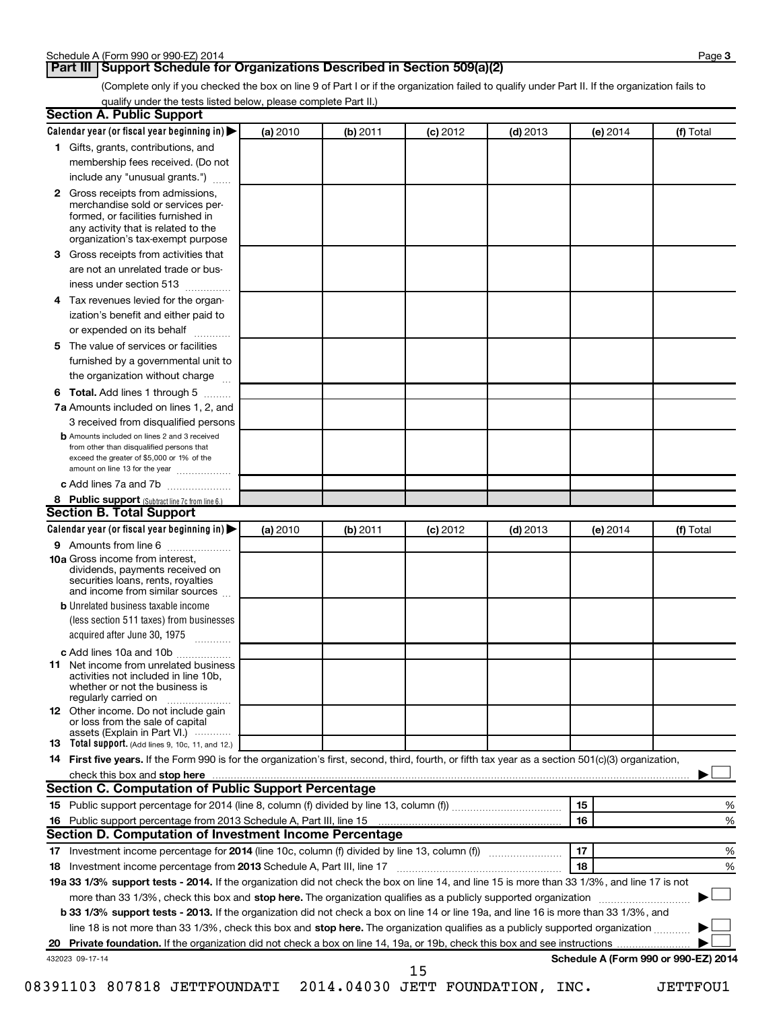(Complete only if you checked the box on line 9 of Part I or if the organization failed to qualify under Part II. If the organization fails to qualify under the tests listed below, please complete Part II.)

| <b>Section A. Public Support</b>                                                                                                                                                         |          |          |            |            |                                      |           |
|------------------------------------------------------------------------------------------------------------------------------------------------------------------------------------------|----------|----------|------------|------------|--------------------------------------|-----------|
| Calendar year (or fiscal year beginning in)                                                                                                                                              | (a) 2010 | (b) 2011 | $(c)$ 2012 | $(d)$ 2013 | (e) 2014                             | (f) Total |
| 1 Gifts, grants, contributions, and                                                                                                                                                      |          |          |            |            |                                      |           |
| membership fees received. (Do not                                                                                                                                                        |          |          |            |            |                                      |           |
| include any "unusual grants.")                                                                                                                                                           |          |          |            |            |                                      |           |
| 2 Gross receipts from admissions,<br>merchandise sold or services per-<br>formed, or facilities furnished in<br>any activity that is related to the<br>organization's tax-exempt purpose |          |          |            |            |                                      |           |
| 3 Gross receipts from activities that                                                                                                                                                    |          |          |            |            |                                      |           |
| are not an unrelated trade or bus-                                                                                                                                                       |          |          |            |            |                                      |           |
| iness under section 513                                                                                                                                                                  |          |          |            |            |                                      |           |
| 4 Tax revenues levied for the organ-                                                                                                                                                     |          |          |            |            |                                      |           |
| ization's benefit and either paid to                                                                                                                                                     |          |          |            |            |                                      |           |
| or expended on its behalf                                                                                                                                                                |          |          |            |            |                                      |           |
| 5 The value of services or facilities                                                                                                                                                    |          |          |            |            |                                      |           |
| furnished by a governmental unit to                                                                                                                                                      |          |          |            |            |                                      |           |
| the organization without charge                                                                                                                                                          |          |          |            |            |                                      |           |
| 6 Total. Add lines 1 through 5                                                                                                                                                           |          |          |            |            |                                      |           |
| 7a Amounts included on lines 1, 2, and                                                                                                                                                   |          |          |            |            |                                      |           |
| 3 received from disqualified persons                                                                                                                                                     |          |          |            |            |                                      |           |
| <b>b</b> Amounts included on lines 2 and 3 received<br>from other than disqualified persons that<br>exceed the greater of \$5,000 or 1% of the<br>amount on line 13 for the year         |          |          |            |            |                                      |           |
| c Add lines 7a and 7b                                                                                                                                                                    |          |          |            |            |                                      |           |
| 8 Public support (Subtract line 7c from line 6.)                                                                                                                                         |          |          |            |            |                                      |           |
| <b>Section B. Total Support</b>                                                                                                                                                          |          |          |            |            |                                      |           |
| Calendar year (or fiscal year beginning in)                                                                                                                                              | (a) 2010 | (b) 2011 | $(c)$ 2012 | $(d)$ 2013 | (e) 2014                             | (f) Total |
| 9 Amounts from line 6                                                                                                                                                                    |          |          |            |            |                                      |           |
| <b>10a</b> Gross income from interest,<br>dividends, payments received on<br>securities loans, rents, royalties<br>and income from similar sources                                       |          |          |            |            |                                      |           |
| <b>b</b> Unrelated business taxable income<br>(less section 511 taxes) from businesses                                                                                                   |          |          |            |            |                                      |           |
| acquired after June 30, 1975                                                                                                                                                             |          |          |            |            |                                      |           |
| c Add lines 10a and 10b                                                                                                                                                                  |          |          |            |            |                                      |           |
| <b>11</b> Net income from unrelated business<br>activities not included in line 10b.<br>whether or not the business is<br>regularly carried on                                           |          |          |            |            |                                      |           |
| 12 Other income. Do not include gain<br>or loss from the sale of capital<br>assets (Explain in Part VI.)                                                                                 |          |          |            |            |                                      |           |
| <b>13</b> Total support. (Add lines 9, 10c, 11, and 12.)                                                                                                                                 |          |          |            |            |                                      |           |
| 14 First five years. If the Form 990 is for the organization's first, second, third, fourth, or fifth tax year as a section 501(c)(3) organization,                                      |          |          |            |            |                                      |           |
| check this box and stop here                                                                                                                                                             |          |          |            |            |                                      |           |
| Section C. Computation of Public Support Percentage                                                                                                                                      |          |          |            |            |                                      |           |
|                                                                                                                                                                                          |          |          |            |            | 15                                   | %         |
|                                                                                                                                                                                          |          |          |            |            | 16                                   | %         |
| Section D. Computation of Investment Income Percentage                                                                                                                                   |          |          |            |            |                                      |           |
|                                                                                                                                                                                          |          |          |            |            | 17                                   | %         |
|                                                                                                                                                                                          |          |          |            |            | 18                                   | %         |
| 19a 33 1/3% support tests - 2014. If the organization did not check the box on line 14, and line 15 is more than 33 1/3%, and line 17 is not                                             |          |          |            |            |                                      |           |
| more than 33 1/3%, check this box and stop here. The organization qualifies as a publicly supported organization                                                                         |          |          |            |            |                                      |           |
| b 33 1/3% support tests - 2013. If the organization did not check a box on line 14 or line 19a, and line 16 is more than 33 1/3%, and                                                    |          |          |            |            |                                      |           |
| line 18 is not more than 33 1/3%, check this box and stop here. The organization qualifies as a publicly supported organization                                                          |          |          |            |            |                                      |           |
|                                                                                                                                                                                          |          |          |            |            |                                      |           |
| 432023 09-17-14                                                                                                                                                                          |          |          | 15         |            | Schedule A (Form 990 or 990-EZ) 2014 |           |

08391103 807818 JETTFOUNDATI 2014.04030 JETT FOUNDATION, INC. JETTFOU1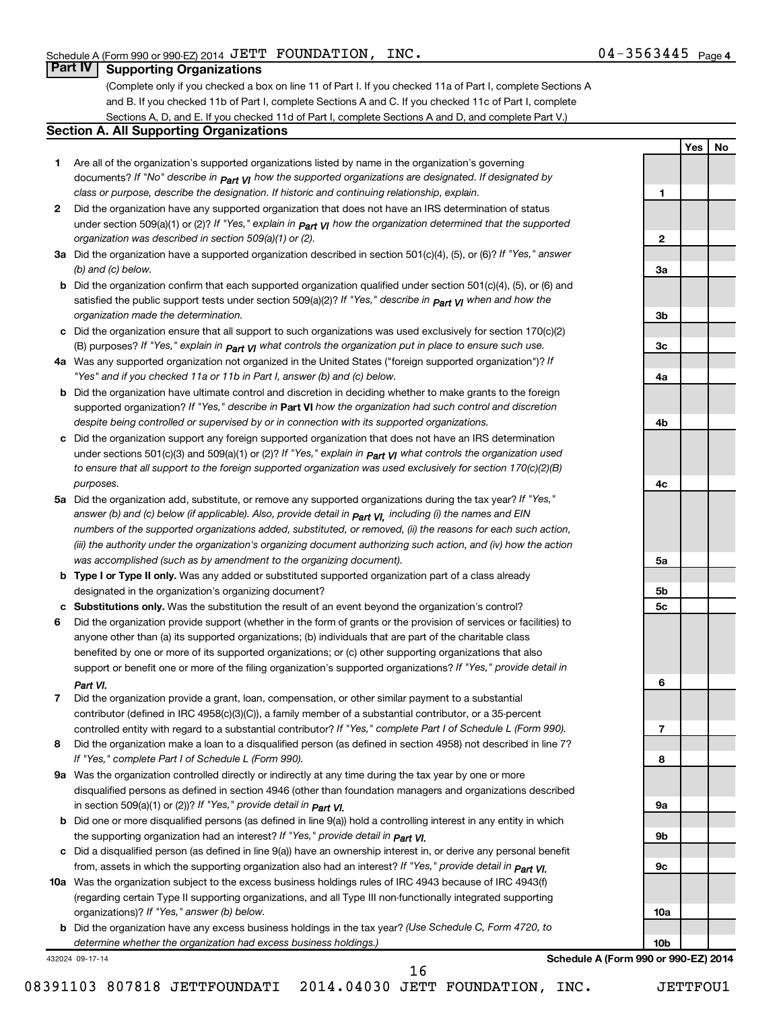**1**

**2**

**3a**

**3b**

**3c**

**4a**

**4b**

**4c**

**5a**

**5b 5c**

**6**

**7**

**8**

**9a**

**9b**

**9c**

**10a**

**10b**

**Yes No**

# **Part IV Supporting Organizations**

(Complete only if you checked a box on line 11 of Part I. If you checked 11a of Part I, complete Sections A and B. If you checked 11b of Part I, complete Sections A and C. If you checked 11c of Part I, complete Sections A, D, and E. If you checked 11d of Part I, complete Sections A and D, and complete Part V.)

#### **Section A. All Supporting Organizations**

- **1** Are all of the organization's supported organizations listed by name in the organization's governing documents? If "No" describe in  $_{\mathsf{Part}}$   $_{\mathsf{V}}$  how the supported organizations are designated. If designated by *class or purpose, describe the designation. If historic and continuing relationship, explain.*
- **2** Did the organization have any supported organization that does not have an IRS determination of status under section 509(a)(1) or (2)? If "Yes," explain in  $_{\sf Part}$   $_{\sf VI}$  how the organization determined that the supported *organization was described in section 509(a)(1) or (2).*
- **3a** Did the organization have a supported organization described in section 501(c)(4), (5), or (6)? If "Yes," answer *(b) and (c) below.*
- **b** Did the organization confirm that each supported organization qualified under section 501(c)(4), (5), or (6) and satisfied the public support tests under section 509(a)(2)? If "Yes," describe in  $_{\rm Part}$   $_{\rm VI}$  when and how the *organization made the determination.*
- **c** Did the organization ensure that all support to such organizations was used exclusively for section 170(c)(2) (B) purposes? If "Yes," explain in  $_{\mathsf{Part}}$   $_{\mathsf{V}}$  what controls the organization put in place to ensure such use.
- **4 a** *If* Was any supported organization not organized in the United States ("foreign supported organization")? *"Yes" and if you checked 11a or 11b in Part I, answer (b) and (c) below.*
- **b** Did the organization have ultimate control and discretion in deciding whether to make grants to the foreign supported organization? If "Yes," describe in Part VI how the organization had such control and discretion *despite being controlled or supervised by or in connection with its supported organizations.*
- **c** Did the organization support any foreign supported organization that does not have an IRS determination under sections 501(c)(3) and 509(a)(1) or (2)? If "Yes," ex*plain in*  $_{\sf Part}$  *v*J what controls the organization used *to ensure that all support to the foreign supported organization was used exclusively for section 170(c)(2)(B) purposes.*
- **5a** Did the organization add, substitute, or remove any supported organizations during the tax year? If "Yes," answer (b) and (c) below (if applicable). Also, provide detail in  $_{\mathsf{Part}}$   $_{\mathsf{V{\mathsf{I}}}}$ , including (i) the names and EIN *numbers of the supported organizations added, substituted, or removed, (ii) the reasons for each such action, (iii) the authority under the organization's organizing document authorizing such action, and (iv) how the action was accomplished (such as by amendment to the organizing document).*
- **b** Type I or Type II only. Was any added or substituted supported organization part of a class already designated in the organization's organizing document?
- **c Substitutions only.**  Was the substitution the result of an event beyond the organization's control?
- **6** Did the organization provide support (whether in the form of grants or the provision of services or facilities) to support or benefit one or more of the filing organization's supported organizations? If "Yes," provide detail in anyone other than (a) its supported organizations; (b) individuals that are part of the charitable class benefited by one or more of its supported organizations; or (c) other supporting organizations that also *Part VI.*
- **7** Did the organization provide a grant, loan, compensation, or other similar payment to a substantial controlled entity with regard to a substantial contributor? If "Yes," complete Part I of Schedule L (Form 990). contributor (defined in IRC 4958(c)(3)(C)), a family member of a substantial contributor, or a 35-percent
- **8** Did the organization make a loan to a disqualified person (as defined in section 4958) not described in line 7? *If "Yes," complete Part I of Schedule L (Form 990).*
- **9 a** Was the organization controlled directly or indirectly at any time during the tax year by one or more *If "Yes," provide detail in*  in section 509(a)(1) or (2))? *Part VI.* disqualified persons as defined in section 4946 (other than foundation managers and organizations described
- **b** Did one or more disqualified persons (as defined in line 9(a)) hold a controlling interest in any entity in which  *If "Yes," provide detail in*  the supporting organization had an interest? *Part VI.*
- **c** Did a disqualified person (as defined in line 9(a)) have an ownership interest in, or derive any personal benefit from, assets in which the supporting organization also had an interest? If "Yes," *provide detail in Part VI.*
- **10 a** Was the organization subject to the excess business holdings rules of IRC 4943 because of IRC 4943(f)  *If "Yes," answer (b) below.* organizations)? (regarding certain Type II supporting organizations, and all Type III non-functionally integrated supporting
- **b** Did the organization have any excess business holdings in the tax year? (Use Schedule C, Form 4720, to *determine whether the organization had excess business holdings.)*

432024 09-17-14

**Schedule A (Form 990 or 990-EZ) 2014**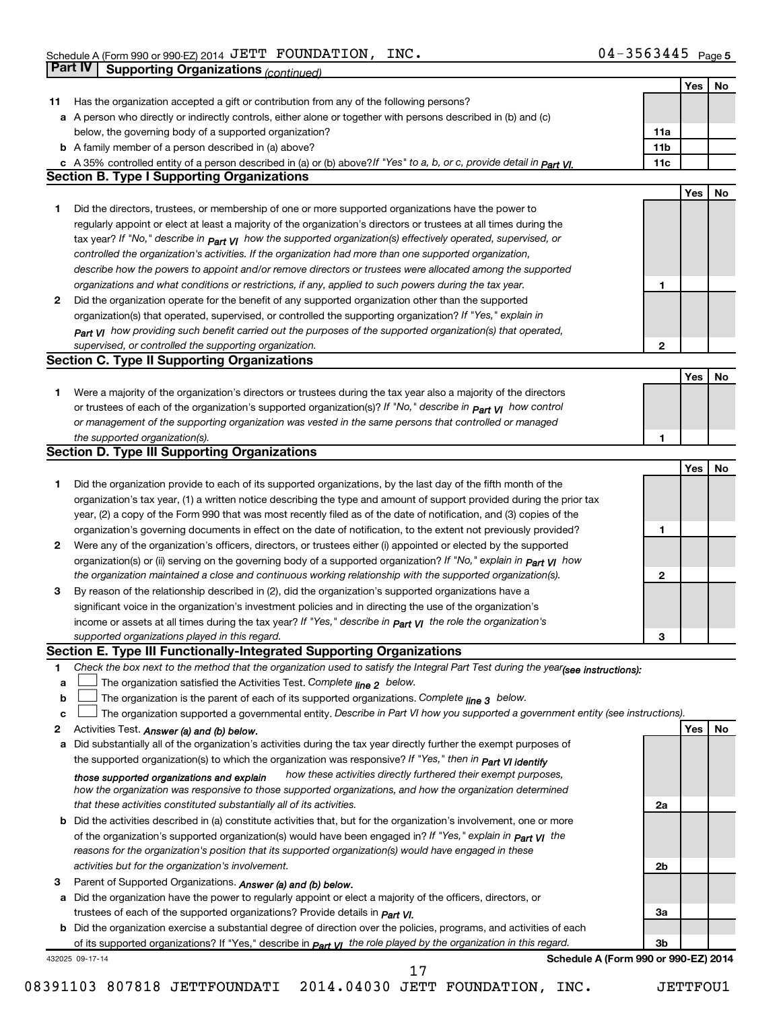|              | <b>Part IV</b>  | <b>Supporting Organizations (continued)</b>                                                                                                                                                                                                                                                                                                                                                                                                                                                                                                                                                                                                                                                                                                                                                                                                                                                                                                                                                                                                                                                                                                                                                                                                                                                                                                                                                                                                                                                                                                                                                                                                                                                                                                                                                                                                                                                                                                                                                                                                                                                                                                                                                                                                                                                                                                                                                                                                                                                                                                                                                                                                                                                                                                                                                                                                                                                                                                                                                                                                                                                                                                                                                                                                                                                                                                                                                                                                                                                                                                                                                                                                                                                                                                                                                                                                                                                                                                                                                                                                                                                                                                                                                                                                                                                                                                                                                                                                                                                                                                                                                                                                                                                                                                                                                                                                                                                                                                                                                                                                                                                                                                                                                                                                                                                                 |                 |     |    |
|--------------|-----------------|-------------------------------------------------------------------------------------------------------------------------------------------------------------------------------------------------------------------------------------------------------------------------------------------------------------------------------------------------------------------------------------------------------------------------------------------------------------------------------------------------------------------------------------------------------------------------------------------------------------------------------------------------------------------------------------------------------------------------------------------------------------------------------------------------------------------------------------------------------------------------------------------------------------------------------------------------------------------------------------------------------------------------------------------------------------------------------------------------------------------------------------------------------------------------------------------------------------------------------------------------------------------------------------------------------------------------------------------------------------------------------------------------------------------------------------------------------------------------------------------------------------------------------------------------------------------------------------------------------------------------------------------------------------------------------------------------------------------------------------------------------------------------------------------------------------------------------------------------------------------------------------------------------------------------------------------------------------------------------------------------------------------------------------------------------------------------------------------------------------------------------------------------------------------------------------------------------------------------------------------------------------------------------------------------------------------------------------------------------------------------------------------------------------------------------------------------------------------------------------------------------------------------------------------------------------------------------------------------------------------------------------------------------------------------------------------------------------------------------------------------------------------------------------------------------------------------------------------------------------------------------------------------------------------------------------------------------------------------------------------------------------------------------------------------------------------------------------------------------------------------------------------------------------------------------------------------------------------------------------------------------------------------------------------------------------------------------------------------------------------------------------------------------------------------------------------------------------------------------------------------------------------------------------------------------------------------------------------------------------------------------------------------------------------------------------------------------------------------------------------------------------------------------------------------------------------------------------------------------------------------------------------------------------------------------------------------------------------------------------------------------------------------------------------------------------------------------------------------------------------------------------------------------------------------------------------------------------------------------------------------------------------------------------------------------------------------------------------------------------------------------------------------------------------------------------------------------------------------------------------------------------------------------------------------------------------------------------------------------------------------------------------------------------------------------------------------------------------------------------------------------------------------------------------------------------------------------------------------------------------------------------------------------------------------------------------------------------------------------------------------------------------------------------------------------------------------------------------------------------------------------------------------------------------------------------------------------------------------------------------------------------------------------------------------------------|-----------------|-----|----|
|              |                 |                                                                                                                                                                                                                                                                                                                                                                                                                                                                                                                                                                                                                                                                                                                                                                                                                                                                                                                                                                                                                                                                                                                                                                                                                                                                                                                                                                                                                                                                                                                                                                                                                                                                                                                                                                                                                                                                                                                                                                                                                                                                                                                                                                                                                                                                                                                                                                                                                                                                                                                                                                                                                                                                                                                                                                                                                                                                                                                                                                                                                                                                                                                                                                                                                                                                                                                                                                                                                                                                                                                                                                                                                                                                                                                                                                                                                                                                                                                                                                                                                                                                                                                                                                                                                                                                                                                                                                                                                                                                                                                                                                                                                                                                                                                                                                                                                                                                                                                                                                                                                                                                                                                                                                                                                                                                                                             |                 | Yes | No |
| 11           |                 | Has the organization accepted a gift or contribution from any of the following persons?                                                                                                                                                                                                                                                                                                                                                                                                                                                                                                                                                                                                                                                                                                                                                                                                                                                                                                                                                                                                                                                                                                                                                                                                                                                                                                                                                                                                                                                                                                                                                                                                                                                                                                                                                                                                                                                                                                                                                                                                                                                                                                                                                                                                                                                                                                                                                                                                                                                                                                                                                                                                                                                                                                                                                                                                                                                                                                                                                                                                                                                                                                                                                                                                                                                                                                                                                                                                                                                                                                                                                                                                                                                                                                                                                                                                                                                                                                                                                                                                                                                                                                                                                                                                                                                                                                                                                                                                                                                                                                                                                                                                                                                                                                                                                                                                                                                                                                                                                                                                                                                                                                                                                                                                                     |                 |     |    |
| а            |                 | A person who directly or indirectly controls, either alone or together with persons described in (b) and (c)                                                                                                                                                                                                                                                                                                                                                                                                                                                                                                                                                                                                                                                                                                                                                                                                                                                                                                                                                                                                                                                                                                                                                                                                                                                                                                                                                                                                                                                                                                                                                                                                                                                                                                                                                                                                                                                                                                                                                                                                                                                                                                                                                                                                                                                                                                                                                                                                                                                                                                                                                                                                                                                                                                                                                                                                                                                                                                                                                                                                                                                                                                                                                                                                                                                                                                                                                                                                                                                                                                                                                                                                                                                                                                                                                                                                                                                                                                                                                                                                                                                                                                                                                                                                                                                                                                                                                                                                                                                                                                                                                                                                                                                                                                                                                                                                                                                                                                                                                                                                                                                                                                                                                                                                |                 |     |    |
|              |                 |                                                                                                                                                                                                                                                                                                                                                                                                                                                                                                                                                                                                                                                                                                                                                                                                                                                                                                                                                                                                                                                                                                                                                                                                                                                                                                                                                                                                                                                                                                                                                                                                                                                                                                                                                                                                                                                                                                                                                                                                                                                                                                                                                                                                                                                                                                                                                                                                                                                                                                                                                                                                                                                                                                                                                                                                                                                                                                                                                                                                                                                                                                                                                                                                                                                                                                                                                                                                                                                                                                                                                                                                                                                                                                                                                                                                                                                                                                                                                                                                                                                                                                                                                                                                                                                                                                                                                                                                                                                                                                                                                                                                                                                                                                                                                                                                                                                                                                                                                                                                                                                                                                                                                                                                                                                                                                             | 11a             |     |    |
|              |                 |                                                                                                                                                                                                                                                                                                                                                                                                                                                                                                                                                                                                                                                                                                                                                                                                                                                                                                                                                                                                                                                                                                                                                                                                                                                                                                                                                                                                                                                                                                                                                                                                                                                                                                                                                                                                                                                                                                                                                                                                                                                                                                                                                                                                                                                                                                                                                                                                                                                                                                                                                                                                                                                                                                                                                                                                                                                                                                                                                                                                                                                                                                                                                                                                                                                                                                                                                                                                                                                                                                                                                                                                                                                                                                                                                                                                                                                                                                                                                                                                                                                                                                                                                                                                                                                                                                                                                                                                                                                                                                                                                                                                                                                                                                                                                                                                                                                                                                                                                                                                                                                                                                                                                                                                                                                                                                             | 11 <sub>b</sub> |     |    |
|              |                 |                                                                                                                                                                                                                                                                                                                                                                                                                                                                                                                                                                                                                                                                                                                                                                                                                                                                                                                                                                                                                                                                                                                                                                                                                                                                                                                                                                                                                                                                                                                                                                                                                                                                                                                                                                                                                                                                                                                                                                                                                                                                                                                                                                                                                                                                                                                                                                                                                                                                                                                                                                                                                                                                                                                                                                                                                                                                                                                                                                                                                                                                                                                                                                                                                                                                                                                                                                                                                                                                                                                                                                                                                                                                                                                                                                                                                                                                                                                                                                                                                                                                                                                                                                                                                                                                                                                                                                                                                                                                                                                                                                                                                                                                                                                                                                                                                                                                                                                                                                                                                                                                                                                                                                                                                                                                                                             | 11c             |     |    |
|              |                 |                                                                                                                                                                                                                                                                                                                                                                                                                                                                                                                                                                                                                                                                                                                                                                                                                                                                                                                                                                                                                                                                                                                                                                                                                                                                                                                                                                                                                                                                                                                                                                                                                                                                                                                                                                                                                                                                                                                                                                                                                                                                                                                                                                                                                                                                                                                                                                                                                                                                                                                                                                                                                                                                                                                                                                                                                                                                                                                                                                                                                                                                                                                                                                                                                                                                                                                                                                                                                                                                                                                                                                                                                                                                                                                                                                                                                                                                                                                                                                                                                                                                                                                                                                                                                                                                                                                                                                                                                                                                                                                                                                                                                                                                                                                                                                                                                                                                                                                                                                                                                                                                                                                                                                                                                                                                                                             |                 |     |    |
|              |                 |                                                                                                                                                                                                                                                                                                                                                                                                                                                                                                                                                                                                                                                                                                                                                                                                                                                                                                                                                                                                                                                                                                                                                                                                                                                                                                                                                                                                                                                                                                                                                                                                                                                                                                                                                                                                                                                                                                                                                                                                                                                                                                                                                                                                                                                                                                                                                                                                                                                                                                                                                                                                                                                                                                                                                                                                                                                                                                                                                                                                                                                                                                                                                                                                                                                                                                                                                                                                                                                                                                                                                                                                                                                                                                                                                                                                                                                                                                                                                                                                                                                                                                                                                                                                                                                                                                                                                                                                                                                                                                                                                                                                                                                                                                                                                                                                                                                                                                                                                                                                                                                                                                                                                                                                                                                                                                             |                 | Yes | No |
| 1.           |                 |                                                                                                                                                                                                                                                                                                                                                                                                                                                                                                                                                                                                                                                                                                                                                                                                                                                                                                                                                                                                                                                                                                                                                                                                                                                                                                                                                                                                                                                                                                                                                                                                                                                                                                                                                                                                                                                                                                                                                                                                                                                                                                                                                                                                                                                                                                                                                                                                                                                                                                                                                                                                                                                                                                                                                                                                                                                                                                                                                                                                                                                                                                                                                                                                                                                                                                                                                                                                                                                                                                                                                                                                                                                                                                                                                                                                                                                                                                                                                                                                                                                                                                                                                                                                                                                                                                                                                                                                                                                                                                                                                                                                                                                                                                                                                                                                                                                                                                                                                                                                                                                                                                                                                                                                                                                                                                             |                 |     |    |
|              |                 |                                                                                                                                                                                                                                                                                                                                                                                                                                                                                                                                                                                                                                                                                                                                                                                                                                                                                                                                                                                                                                                                                                                                                                                                                                                                                                                                                                                                                                                                                                                                                                                                                                                                                                                                                                                                                                                                                                                                                                                                                                                                                                                                                                                                                                                                                                                                                                                                                                                                                                                                                                                                                                                                                                                                                                                                                                                                                                                                                                                                                                                                                                                                                                                                                                                                                                                                                                                                                                                                                                                                                                                                                                                                                                                                                                                                                                                                                                                                                                                                                                                                                                                                                                                                                                                                                                                                                                                                                                                                                                                                                                                                                                                                                                                                                                                                                                                                                                                                                                                                                                                                                                                                                                                                                                                                                                             |                 |     |    |
|              |                 |                                                                                                                                                                                                                                                                                                                                                                                                                                                                                                                                                                                                                                                                                                                                                                                                                                                                                                                                                                                                                                                                                                                                                                                                                                                                                                                                                                                                                                                                                                                                                                                                                                                                                                                                                                                                                                                                                                                                                                                                                                                                                                                                                                                                                                                                                                                                                                                                                                                                                                                                                                                                                                                                                                                                                                                                                                                                                                                                                                                                                                                                                                                                                                                                                                                                                                                                                                                                                                                                                                                                                                                                                                                                                                                                                                                                                                                                                                                                                                                                                                                                                                                                                                                                                                                                                                                                                                                                                                                                                                                                                                                                                                                                                                                                                                                                                                                                                                                                                                                                                                                                                                                                                                                                                                                                                                             |                 |     |    |
|              |                 |                                                                                                                                                                                                                                                                                                                                                                                                                                                                                                                                                                                                                                                                                                                                                                                                                                                                                                                                                                                                                                                                                                                                                                                                                                                                                                                                                                                                                                                                                                                                                                                                                                                                                                                                                                                                                                                                                                                                                                                                                                                                                                                                                                                                                                                                                                                                                                                                                                                                                                                                                                                                                                                                                                                                                                                                                                                                                                                                                                                                                                                                                                                                                                                                                                                                                                                                                                                                                                                                                                                                                                                                                                                                                                                                                                                                                                                                                                                                                                                                                                                                                                                                                                                                                                                                                                                                                                                                                                                                                                                                                                                                                                                                                                                                                                                                                                                                                                                                                                                                                                                                                                                                                                                                                                                                                                             |                 |     |    |
|              |                 |                                                                                                                                                                                                                                                                                                                                                                                                                                                                                                                                                                                                                                                                                                                                                                                                                                                                                                                                                                                                                                                                                                                                                                                                                                                                                                                                                                                                                                                                                                                                                                                                                                                                                                                                                                                                                                                                                                                                                                                                                                                                                                                                                                                                                                                                                                                                                                                                                                                                                                                                                                                                                                                                                                                                                                                                                                                                                                                                                                                                                                                                                                                                                                                                                                                                                                                                                                                                                                                                                                                                                                                                                                                                                                                                                                                                                                                                                                                                                                                                                                                                                                                                                                                                                                                                                                                                                                                                                                                                                                                                                                                                                                                                                                                                                                                                                                                                                                                                                                                                                                                                                                                                                                                                                                                                                                             |                 |     |    |
|              |                 |                                                                                                                                                                                                                                                                                                                                                                                                                                                                                                                                                                                                                                                                                                                                                                                                                                                                                                                                                                                                                                                                                                                                                                                                                                                                                                                                                                                                                                                                                                                                                                                                                                                                                                                                                                                                                                                                                                                                                                                                                                                                                                                                                                                                                                                                                                                                                                                                                                                                                                                                                                                                                                                                                                                                                                                                                                                                                                                                                                                                                                                                                                                                                                                                                                                                                                                                                                                                                                                                                                                                                                                                                                                                                                                                                                                                                                                                                                                                                                                                                                                                                                                                                                                                                                                                                                                                                                                                                                                                                                                                                                                                                                                                                                                                                                                                                                                                                                                                                                                                                                                                                                                                                                                                                                                                                                             |                 |     |    |
|              |                 |                                                                                                                                                                                                                                                                                                                                                                                                                                                                                                                                                                                                                                                                                                                                                                                                                                                                                                                                                                                                                                                                                                                                                                                                                                                                                                                                                                                                                                                                                                                                                                                                                                                                                                                                                                                                                                                                                                                                                                                                                                                                                                                                                                                                                                                                                                                                                                                                                                                                                                                                                                                                                                                                                                                                                                                                                                                                                                                                                                                                                                                                                                                                                                                                                                                                                                                                                                                                                                                                                                                                                                                                                                                                                                                                                                                                                                                                                                                                                                                                                                                                                                                                                                                                                                                                                                                                                                                                                                                                                                                                                                                                                                                                                                                                                                                                                                                                                                                                                                                                                                                                                                                                                                                                                                                                                                             | 1               |     |    |
| 2            |                 |                                                                                                                                                                                                                                                                                                                                                                                                                                                                                                                                                                                                                                                                                                                                                                                                                                                                                                                                                                                                                                                                                                                                                                                                                                                                                                                                                                                                                                                                                                                                                                                                                                                                                                                                                                                                                                                                                                                                                                                                                                                                                                                                                                                                                                                                                                                                                                                                                                                                                                                                                                                                                                                                                                                                                                                                                                                                                                                                                                                                                                                                                                                                                                                                                                                                                                                                                                                                                                                                                                                                                                                                                                                                                                                                                                                                                                                                                                                                                                                                                                                                                                                                                                                                                                                                                                                                                                                                                                                                                                                                                                                                                                                                                                                                                                                                                                                                                                                                                                                                                                                                                                                                                                                                                                                                                                             |                 |     |    |
|              |                 |                                                                                                                                                                                                                                                                                                                                                                                                                                                                                                                                                                                                                                                                                                                                                                                                                                                                                                                                                                                                                                                                                                                                                                                                                                                                                                                                                                                                                                                                                                                                                                                                                                                                                                                                                                                                                                                                                                                                                                                                                                                                                                                                                                                                                                                                                                                                                                                                                                                                                                                                                                                                                                                                                                                                                                                                                                                                                                                                                                                                                                                                                                                                                                                                                                                                                                                                                                                                                                                                                                                                                                                                                                                                                                                                                                                                                                                                                                                                                                                                                                                                                                                                                                                                                                                                                                                                                                                                                                                                                                                                                                                                                                                                                                                                                                                                                                                                                                                                                                                                                                                                                                                                                                                                                                                                                                             |                 |     |    |
|              |                 |                                                                                                                                                                                                                                                                                                                                                                                                                                                                                                                                                                                                                                                                                                                                                                                                                                                                                                                                                                                                                                                                                                                                                                                                                                                                                                                                                                                                                                                                                                                                                                                                                                                                                                                                                                                                                                                                                                                                                                                                                                                                                                                                                                                                                                                                                                                                                                                                                                                                                                                                                                                                                                                                                                                                                                                                                                                                                                                                                                                                                                                                                                                                                                                                                                                                                                                                                                                                                                                                                                                                                                                                                                                                                                                                                                                                                                                                                                                                                                                                                                                                                                                                                                                                                                                                                                                                                                                                                                                                                                                                                                                                                                                                                                                                                                                                                                                                                                                                                                                                                                                                                                                                                                                                                                                                                                             |                 |     |    |
|              |                 |                                                                                                                                                                                                                                                                                                                                                                                                                                                                                                                                                                                                                                                                                                                                                                                                                                                                                                                                                                                                                                                                                                                                                                                                                                                                                                                                                                                                                                                                                                                                                                                                                                                                                                                                                                                                                                                                                                                                                                                                                                                                                                                                                                                                                                                                                                                                                                                                                                                                                                                                                                                                                                                                                                                                                                                                                                                                                                                                                                                                                                                                                                                                                                                                                                                                                                                                                                                                                                                                                                                                                                                                                                                                                                                                                                                                                                                                                                                                                                                                                                                                                                                                                                                                                                                                                                                                                                                                                                                                                                                                                                                                                                                                                                                                                                                                                                                                                                                                                                                                                                                                                                                                                                                                                                                                                                             | $\mathbf{2}$    |     |    |
|              |                 |                                                                                                                                                                                                                                                                                                                                                                                                                                                                                                                                                                                                                                                                                                                                                                                                                                                                                                                                                                                                                                                                                                                                                                                                                                                                                                                                                                                                                                                                                                                                                                                                                                                                                                                                                                                                                                                                                                                                                                                                                                                                                                                                                                                                                                                                                                                                                                                                                                                                                                                                                                                                                                                                                                                                                                                                                                                                                                                                                                                                                                                                                                                                                                                                                                                                                                                                                                                                                                                                                                                                                                                                                                                                                                                                                                                                                                                                                                                                                                                                                                                                                                                                                                                                                                                                                                                                                                                                                                                                                                                                                                                                                                                                                                                                                                                                                                                                                                                                                                                                                                                                                                                                                                                                                                                                                                             |                 |     |    |
|              |                 |                                                                                                                                                                                                                                                                                                                                                                                                                                                                                                                                                                                                                                                                                                                                                                                                                                                                                                                                                                                                                                                                                                                                                                                                                                                                                                                                                                                                                                                                                                                                                                                                                                                                                                                                                                                                                                                                                                                                                                                                                                                                                                                                                                                                                                                                                                                                                                                                                                                                                                                                                                                                                                                                                                                                                                                                                                                                                                                                                                                                                                                                                                                                                                                                                                                                                                                                                                                                                                                                                                                                                                                                                                                                                                                                                                                                                                                                                                                                                                                                                                                                                                                                                                                                                                                                                                                                                                                                                                                                                                                                                                                                                                                                                                                                                                                                                                                                                                                                                                                                                                                                                                                                                                                                                                                                                                             |                 | Yes | No |
| 1.           |                 |                                                                                                                                                                                                                                                                                                                                                                                                                                                                                                                                                                                                                                                                                                                                                                                                                                                                                                                                                                                                                                                                                                                                                                                                                                                                                                                                                                                                                                                                                                                                                                                                                                                                                                                                                                                                                                                                                                                                                                                                                                                                                                                                                                                                                                                                                                                                                                                                                                                                                                                                                                                                                                                                                                                                                                                                                                                                                                                                                                                                                                                                                                                                                                                                                                                                                                                                                                                                                                                                                                                                                                                                                                                                                                                                                                                                                                                                                                                                                                                                                                                                                                                                                                                                                                                                                                                                                                                                                                                                                                                                                                                                                                                                                                                                                                                                                                                                                                                                                                                                                                                                                                                                                                                                                                                                                                             |                 |     |    |
|              |                 |                                                                                                                                                                                                                                                                                                                                                                                                                                                                                                                                                                                                                                                                                                                                                                                                                                                                                                                                                                                                                                                                                                                                                                                                                                                                                                                                                                                                                                                                                                                                                                                                                                                                                                                                                                                                                                                                                                                                                                                                                                                                                                                                                                                                                                                                                                                                                                                                                                                                                                                                                                                                                                                                                                                                                                                                                                                                                                                                                                                                                                                                                                                                                                                                                                                                                                                                                                                                                                                                                                                                                                                                                                                                                                                                                                                                                                                                                                                                                                                                                                                                                                                                                                                                                                                                                                                                                                                                                                                                                                                                                                                                                                                                                                                                                                                                                                                                                                                                                                                                                                                                                                                                                                                                                                                                                                             |                 |     |    |
|              |                 |                                                                                                                                                                                                                                                                                                                                                                                                                                                                                                                                                                                                                                                                                                                                                                                                                                                                                                                                                                                                                                                                                                                                                                                                                                                                                                                                                                                                                                                                                                                                                                                                                                                                                                                                                                                                                                                                                                                                                                                                                                                                                                                                                                                                                                                                                                                                                                                                                                                                                                                                                                                                                                                                                                                                                                                                                                                                                                                                                                                                                                                                                                                                                                                                                                                                                                                                                                                                                                                                                                                                                                                                                                                                                                                                                                                                                                                                                                                                                                                                                                                                                                                                                                                                                                                                                                                                                                                                                                                                                                                                                                                                                                                                                                                                                                                                                                                                                                                                                                                                                                                                                                                                                                                                                                                                                                             |                 |     |    |
|              |                 |                                                                                                                                                                                                                                                                                                                                                                                                                                                                                                                                                                                                                                                                                                                                                                                                                                                                                                                                                                                                                                                                                                                                                                                                                                                                                                                                                                                                                                                                                                                                                                                                                                                                                                                                                                                                                                                                                                                                                                                                                                                                                                                                                                                                                                                                                                                                                                                                                                                                                                                                                                                                                                                                                                                                                                                                                                                                                                                                                                                                                                                                                                                                                                                                                                                                                                                                                                                                                                                                                                                                                                                                                                                                                                                                                                                                                                                                                                                                                                                                                                                                                                                                                                                                                                                                                                                                                                                                                                                                                                                                                                                                                                                                                                                                                                                                                                                                                                                                                                                                                                                                                                                                                                                                                                                                                                             | 1               |     |    |
|              |                 |                                                                                                                                                                                                                                                                                                                                                                                                                                                                                                                                                                                                                                                                                                                                                                                                                                                                                                                                                                                                                                                                                                                                                                                                                                                                                                                                                                                                                                                                                                                                                                                                                                                                                                                                                                                                                                                                                                                                                                                                                                                                                                                                                                                                                                                                                                                                                                                                                                                                                                                                                                                                                                                                                                                                                                                                                                                                                                                                                                                                                                                                                                                                                                                                                                                                                                                                                                                                                                                                                                                                                                                                                                                                                                                                                                                                                                                                                                                                                                                                                                                                                                                                                                                                                                                                                                                                                                                                                                                                                                                                                                                                                                                                                                                                                                                                                                                                                                                                                                                                                                                                                                                                                                                                                                                                                                             |                 |     |    |
|              |                 |                                                                                                                                                                                                                                                                                                                                                                                                                                                                                                                                                                                                                                                                                                                                                                                                                                                                                                                                                                                                                                                                                                                                                                                                                                                                                                                                                                                                                                                                                                                                                                                                                                                                                                                                                                                                                                                                                                                                                                                                                                                                                                                                                                                                                                                                                                                                                                                                                                                                                                                                                                                                                                                                                                                                                                                                                                                                                                                                                                                                                                                                                                                                                                                                                                                                                                                                                                                                                                                                                                                                                                                                                                                                                                                                                                                                                                                                                                                                                                                                                                                                                                                                                                                                                                                                                                                                                                                                                                                                                                                                                                                                                                                                                                                                                                                                                                                                                                                                                                                                                                                                                                                                                                                                                                                                                                             |                 | Yes | No |
| 1            |                 |                                                                                                                                                                                                                                                                                                                                                                                                                                                                                                                                                                                                                                                                                                                                                                                                                                                                                                                                                                                                                                                                                                                                                                                                                                                                                                                                                                                                                                                                                                                                                                                                                                                                                                                                                                                                                                                                                                                                                                                                                                                                                                                                                                                                                                                                                                                                                                                                                                                                                                                                                                                                                                                                                                                                                                                                                                                                                                                                                                                                                                                                                                                                                                                                                                                                                                                                                                                                                                                                                                                                                                                                                                                                                                                                                                                                                                                                                                                                                                                                                                                                                                                                                                                                                                                                                                                                                                                                                                                                                                                                                                                                                                                                                                                                                                                                                                                                                                                                                                                                                                                                                                                                                                                                                                                                                                             |                 |     |    |
|              |                 |                                                                                                                                                                                                                                                                                                                                                                                                                                                                                                                                                                                                                                                                                                                                                                                                                                                                                                                                                                                                                                                                                                                                                                                                                                                                                                                                                                                                                                                                                                                                                                                                                                                                                                                                                                                                                                                                                                                                                                                                                                                                                                                                                                                                                                                                                                                                                                                                                                                                                                                                                                                                                                                                                                                                                                                                                                                                                                                                                                                                                                                                                                                                                                                                                                                                                                                                                                                                                                                                                                                                                                                                                                                                                                                                                                                                                                                                                                                                                                                                                                                                                                                                                                                                                                                                                                                                                                                                                                                                                                                                                                                                                                                                                                                                                                                                                                                                                                                                                                                                                                                                                                                                                                                                                                                                                                             |                 |     |    |
|              |                 |                                                                                                                                                                                                                                                                                                                                                                                                                                                                                                                                                                                                                                                                                                                                                                                                                                                                                                                                                                                                                                                                                                                                                                                                                                                                                                                                                                                                                                                                                                                                                                                                                                                                                                                                                                                                                                                                                                                                                                                                                                                                                                                                                                                                                                                                                                                                                                                                                                                                                                                                                                                                                                                                                                                                                                                                                                                                                                                                                                                                                                                                                                                                                                                                                                                                                                                                                                                                                                                                                                                                                                                                                                                                                                                                                                                                                                                                                                                                                                                                                                                                                                                                                                                                                                                                                                                                                                                                                                                                                                                                                                                                                                                                                                                                                                                                                                                                                                                                                                                                                                                                                                                                                                                                                                                                                                             |                 |     |    |
|              |                 |                                                                                                                                                                                                                                                                                                                                                                                                                                                                                                                                                                                                                                                                                                                                                                                                                                                                                                                                                                                                                                                                                                                                                                                                                                                                                                                                                                                                                                                                                                                                                                                                                                                                                                                                                                                                                                                                                                                                                                                                                                                                                                                                                                                                                                                                                                                                                                                                                                                                                                                                                                                                                                                                                                                                                                                                                                                                                                                                                                                                                                                                                                                                                                                                                                                                                                                                                                                                                                                                                                                                                                                                                                                                                                                                                                                                                                                                                                                                                                                                                                                                                                                                                                                                                                                                                                                                                                                                                                                                                                                                                                                                                                                                                                                                                                                                                                                                                                                                                                                                                                                                                                                                                                                                                                                                                                             | 1               |     |    |
| $\mathbf{2}$ |                 |                                                                                                                                                                                                                                                                                                                                                                                                                                                                                                                                                                                                                                                                                                                                                                                                                                                                                                                                                                                                                                                                                                                                                                                                                                                                                                                                                                                                                                                                                                                                                                                                                                                                                                                                                                                                                                                                                                                                                                                                                                                                                                                                                                                                                                                                                                                                                                                                                                                                                                                                                                                                                                                                                                                                                                                                                                                                                                                                                                                                                                                                                                                                                                                                                                                                                                                                                                                                                                                                                                                                                                                                                                                                                                                                                                                                                                                                                                                                                                                                                                                                                                                                                                                                                                                                                                                                                                                                                                                                                                                                                                                                                                                                                                                                                                                                                                                                                                                                                                                                                                                                                                                                                                                                                                                                                                             |                 |     |    |
|              |                 |                                                                                                                                                                                                                                                                                                                                                                                                                                                                                                                                                                                                                                                                                                                                                                                                                                                                                                                                                                                                                                                                                                                                                                                                                                                                                                                                                                                                                                                                                                                                                                                                                                                                                                                                                                                                                                                                                                                                                                                                                                                                                                                                                                                                                                                                                                                                                                                                                                                                                                                                                                                                                                                                                                                                                                                                                                                                                                                                                                                                                                                                                                                                                                                                                                                                                                                                                                                                                                                                                                                                                                                                                                                                                                                                                                                                                                                                                                                                                                                                                                                                                                                                                                                                                                                                                                                                                                                                                                                                                                                                                                                                                                                                                                                                                                                                                                                                                                                                                                                                                                                                                                                                                                                                                                                                                                             |                 |     |    |
|              |                 |                                                                                                                                                                                                                                                                                                                                                                                                                                                                                                                                                                                                                                                                                                                                                                                                                                                                                                                                                                                                                                                                                                                                                                                                                                                                                                                                                                                                                                                                                                                                                                                                                                                                                                                                                                                                                                                                                                                                                                                                                                                                                                                                                                                                                                                                                                                                                                                                                                                                                                                                                                                                                                                                                                                                                                                                                                                                                                                                                                                                                                                                                                                                                                                                                                                                                                                                                                                                                                                                                                                                                                                                                                                                                                                                                                                                                                                                                                                                                                                                                                                                                                                                                                                                                                                                                                                                                                                                                                                                                                                                                                                                                                                                                                                                                                                                                                                                                                                                                                                                                                                                                                                                                                                                                                                                                                             | $\mathbf{2}$    |     |    |
| 3            |                 |                                                                                                                                                                                                                                                                                                                                                                                                                                                                                                                                                                                                                                                                                                                                                                                                                                                                                                                                                                                                                                                                                                                                                                                                                                                                                                                                                                                                                                                                                                                                                                                                                                                                                                                                                                                                                                                                                                                                                                                                                                                                                                                                                                                                                                                                                                                                                                                                                                                                                                                                                                                                                                                                                                                                                                                                                                                                                                                                                                                                                                                                                                                                                                                                                                                                                                                                                                                                                                                                                                                                                                                                                                                                                                                                                                                                                                                                                                                                                                                                                                                                                                                                                                                                                                                                                                                                                                                                                                                                                                                                                                                                                                                                                                                                                                                                                                                                                                                                                                                                                                                                                                                                                                                                                                                                                                             |                 |     |    |
|              |                 |                                                                                                                                                                                                                                                                                                                                                                                                                                                                                                                                                                                                                                                                                                                                                                                                                                                                                                                                                                                                                                                                                                                                                                                                                                                                                                                                                                                                                                                                                                                                                                                                                                                                                                                                                                                                                                                                                                                                                                                                                                                                                                                                                                                                                                                                                                                                                                                                                                                                                                                                                                                                                                                                                                                                                                                                                                                                                                                                                                                                                                                                                                                                                                                                                                                                                                                                                                                                                                                                                                                                                                                                                                                                                                                                                                                                                                                                                                                                                                                                                                                                                                                                                                                                                                                                                                                                                                                                                                                                                                                                                                                                                                                                                                                                                                                                                                                                                                                                                                                                                                                                                                                                                                                                                                                                                                             |                 |     |    |
|              |                 |                                                                                                                                                                                                                                                                                                                                                                                                                                                                                                                                                                                                                                                                                                                                                                                                                                                                                                                                                                                                                                                                                                                                                                                                                                                                                                                                                                                                                                                                                                                                                                                                                                                                                                                                                                                                                                                                                                                                                                                                                                                                                                                                                                                                                                                                                                                                                                                                                                                                                                                                                                                                                                                                                                                                                                                                                                                                                                                                                                                                                                                                                                                                                                                                                                                                                                                                                                                                                                                                                                                                                                                                                                                                                                                                                                                                                                                                                                                                                                                                                                                                                                                                                                                                                                                                                                                                                                                                                                                                                                                                                                                                                                                                                                                                                                                                                                                                                                                                                                                                                                                                                                                                                                                                                                                                                                             |                 |     |    |
|              |                 |                                                                                                                                                                                                                                                                                                                                                                                                                                                                                                                                                                                                                                                                                                                                                                                                                                                                                                                                                                                                                                                                                                                                                                                                                                                                                                                                                                                                                                                                                                                                                                                                                                                                                                                                                                                                                                                                                                                                                                                                                                                                                                                                                                                                                                                                                                                                                                                                                                                                                                                                                                                                                                                                                                                                                                                                                                                                                                                                                                                                                                                                                                                                                                                                                                                                                                                                                                                                                                                                                                                                                                                                                                                                                                                                                                                                                                                                                                                                                                                                                                                                                                                                                                                                                                                                                                                                                                                                                                                                                                                                                                                                                                                                                                                                                                                                                                                                                                                                                                                                                                                                                                                                                                                                                                                                                                             |                 |     |    |
|              |                 |                                                                                                                                                                                                                                                                                                                                                                                                                                                                                                                                                                                                                                                                                                                                                                                                                                                                                                                                                                                                                                                                                                                                                                                                                                                                                                                                                                                                                                                                                                                                                                                                                                                                                                                                                                                                                                                                                                                                                                                                                                                                                                                                                                                                                                                                                                                                                                                                                                                                                                                                                                                                                                                                                                                                                                                                                                                                                                                                                                                                                                                                                                                                                                                                                                                                                                                                                                                                                                                                                                                                                                                                                                                                                                                                                                                                                                                                                                                                                                                                                                                                                                                                                                                                                                                                                                                                                                                                                                                                                                                                                                                                                                                                                                                                                                                                                                                                                                                                                                                                                                                                                                                                                                                                                                                                                                             | з               |     |    |
| 1            |                 |                                                                                                                                                                                                                                                                                                                                                                                                                                                                                                                                                                                                                                                                                                                                                                                                                                                                                                                                                                                                                                                                                                                                                                                                                                                                                                                                                                                                                                                                                                                                                                                                                                                                                                                                                                                                                                                                                                                                                                                                                                                                                                                                                                                                                                                                                                                                                                                                                                                                                                                                                                                                                                                                                                                                                                                                                                                                                                                                                                                                                                                                                                                                                                                                                                                                                                                                                                                                                                                                                                                                                                                                                                                                                                                                                                                                                                                                                                                                                                                                                                                                                                                                                                                                                                                                                                                                                                                                                                                                                                                                                                                                                                                                                                                                                                                                                                                                                                                                                                                                                                                                                                                                                                                                                                                                                                             |                 |     |    |
|              |                 |                                                                                                                                                                                                                                                                                                                                                                                                                                                                                                                                                                                                                                                                                                                                                                                                                                                                                                                                                                                                                                                                                                                                                                                                                                                                                                                                                                                                                                                                                                                                                                                                                                                                                                                                                                                                                                                                                                                                                                                                                                                                                                                                                                                                                                                                                                                                                                                                                                                                                                                                                                                                                                                                                                                                                                                                                                                                                                                                                                                                                                                                                                                                                                                                                                                                                                                                                                                                                                                                                                                                                                                                                                                                                                                                                                                                                                                                                                                                                                                                                                                                                                                                                                                                                                                                                                                                                                                                                                                                                                                                                                                                                                                                                                                                                                                                                                                                                                                                                                                                                                                                                                                                                                                                                                                                                                             |                 |     |    |
| a            |                 |                                                                                                                                                                                                                                                                                                                                                                                                                                                                                                                                                                                                                                                                                                                                                                                                                                                                                                                                                                                                                                                                                                                                                                                                                                                                                                                                                                                                                                                                                                                                                                                                                                                                                                                                                                                                                                                                                                                                                                                                                                                                                                                                                                                                                                                                                                                                                                                                                                                                                                                                                                                                                                                                                                                                                                                                                                                                                                                                                                                                                                                                                                                                                                                                                                                                                                                                                                                                                                                                                                                                                                                                                                                                                                                                                                                                                                                                                                                                                                                                                                                                                                                                                                                                                                                                                                                                                                                                                                                                                                                                                                                                                                                                                                                                                                                                                                                                                                                                                                                                                                                                                                                                                                                                                                                                                                             |                 |     |    |
| b            |                 |                                                                                                                                                                                                                                                                                                                                                                                                                                                                                                                                                                                                                                                                                                                                                                                                                                                                                                                                                                                                                                                                                                                                                                                                                                                                                                                                                                                                                                                                                                                                                                                                                                                                                                                                                                                                                                                                                                                                                                                                                                                                                                                                                                                                                                                                                                                                                                                                                                                                                                                                                                                                                                                                                                                                                                                                                                                                                                                                                                                                                                                                                                                                                                                                                                                                                                                                                                                                                                                                                                                                                                                                                                                                                                                                                                                                                                                                                                                                                                                                                                                                                                                                                                                                                                                                                                                                                                                                                                                                                                                                                                                                                                                                                                                                                                                                                                                                                                                                                                                                                                                                                                                                                                                                                                                                                                             |                 |     |    |
| c            |                 |                                                                                                                                                                                                                                                                                                                                                                                                                                                                                                                                                                                                                                                                                                                                                                                                                                                                                                                                                                                                                                                                                                                                                                                                                                                                                                                                                                                                                                                                                                                                                                                                                                                                                                                                                                                                                                                                                                                                                                                                                                                                                                                                                                                                                                                                                                                                                                                                                                                                                                                                                                                                                                                                                                                                                                                                                                                                                                                                                                                                                                                                                                                                                                                                                                                                                                                                                                                                                                                                                                                                                                                                                                                                                                                                                                                                                                                                                                                                                                                                                                                                                                                                                                                                                                                                                                                                                                                                                                                                                                                                                                                                                                                                                                                                                                                                                                                                                                                                                                                                                                                                                                                                                                                                                                                                                                             |                 |     |    |
| 2            |                 |                                                                                                                                                                                                                                                                                                                                                                                                                                                                                                                                                                                                                                                                                                                                                                                                                                                                                                                                                                                                                                                                                                                                                                                                                                                                                                                                                                                                                                                                                                                                                                                                                                                                                                                                                                                                                                                                                                                                                                                                                                                                                                                                                                                                                                                                                                                                                                                                                                                                                                                                                                                                                                                                                                                                                                                                                                                                                                                                                                                                                                                                                                                                                                                                                                                                                                                                                                                                                                                                                                                                                                                                                                                                                                                                                                                                                                                                                                                                                                                                                                                                                                                                                                                                                                                                                                                                                                                                                                                                                                                                                                                                                                                                                                                                                                                                                                                                                                                                                                                                                                                                                                                                                                                                                                                                                                             |                 | Yes | No |
| а            |                 |                                                                                                                                                                                                                                                                                                                                                                                                                                                                                                                                                                                                                                                                                                                                                                                                                                                                                                                                                                                                                                                                                                                                                                                                                                                                                                                                                                                                                                                                                                                                                                                                                                                                                                                                                                                                                                                                                                                                                                                                                                                                                                                                                                                                                                                                                                                                                                                                                                                                                                                                                                                                                                                                                                                                                                                                                                                                                                                                                                                                                                                                                                                                                                                                                                                                                                                                                                                                                                                                                                                                                                                                                                                                                                                                                                                                                                                                                                                                                                                                                                                                                                                                                                                                                                                                                                                                                                                                                                                                                                                                                                                                                                                                                                                                                                                                                                                                                                                                                                                                                                                                                                                                                                                                                                                                                                             |                 |     |    |
|              |                 |                                                                                                                                                                                                                                                                                                                                                                                                                                                                                                                                                                                                                                                                                                                                                                                                                                                                                                                                                                                                                                                                                                                                                                                                                                                                                                                                                                                                                                                                                                                                                                                                                                                                                                                                                                                                                                                                                                                                                                                                                                                                                                                                                                                                                                                                                                                                                                                                                                                                                                                                                                                                                                                                                                                                                                                                                                                                                                                                                                                                                                                                                                                                                                                                                                                                                                                                                                                                                                                                                                                                                                                                                                                                                                                                                                                                                                                                                                                                                                                                                                                                                                                                                                                                                                                                                                                                                                                                                                                                                                                                                                                                                                                                                                                                                                                                                                                                                                                                                                                                                                                                                                                                                                                                                                                                                                             |                 |     |    |
|              |                 |                                                                                                                                                                                                                                                                                                                                                                                                                                                                                                                                                                                                                                                                                                                                                                                                                                                                                                                                                                                                                                                                                                                                                                                                                                                                                                                                                                                                                                                                                                                                                                                                                                                                                                                                                                                                                                                                                                                                                                                                                                                                                                                                                                                                                                                                                                                                                                                                                                                                                                                                                                                                                                                                                                                                                                                                                                                                                                                                                                                                                                                                                                                                                                                                                                                                                                                                                                                                                                                                                                                                                                                                                                                                                                                                                                                                                                                                                                                                                                                                                                                                                                                                                                                                                                                                                                                                                                                                                                                                                                                                                                                                                                                                                                                                                                                                                                                                                                                                                                                                                                                                                                                                                                                                                                                                                                             |                 |     |    |
|              |                 |                                                                                                                                                                                                                                                                                                                                                                                                                                                                                                                                                                                                                                                                                                                                                                                                                                                                                                                                                                                                                                                                                                                                                                                                                                                                                                                                                                                                                                                                                                                                                                                                                                                                                                                                                                                                                                                                                                                                                                                                                                                                                                                                                                                                                                                                                                                                                                                                                                                                                                                                                                                                                                                                                                                                                                                                                                                                                                                                                                                                                                                                                                                                                                                                                                                                                                                                                                                                                                                                                                                                                                                                                                                                                                                                                                                                                                                                                                                                                                                                                                                                                                                                                                                                                                                                                                                                                                                                                                                                                                                                                                                                                                                                                                                                                                                                                                                                                                                                                                                                                                                                                                                                                                                                                                                                                                             |                 |     |    |
|              |                 |                                                                                                                                                                                                                                                                                                                                                                                                                                                                                                                                                                                                                                                                                                                                                                                                                                                                                                                                                                                                                                                                                                                                                                                                                                                                                                                                                                                                                                                                                                                                                                                                                                                                                                                                                                                                                                                                                                                                                                                                                                                                                                                                                                                                                                                                                                                                                                                                                                                                                                                                                                                                                                                                                                                                                                                                                                                                                                                                                                                                                                                                                                                                                                                                                                                                                                                                                                                                                                                                                                                                                                                                                                                                                                                                                                                                                                                                                                                                                                                                                                                                                                                                                                                                                                                                                                                                                                                                                                                                                                                                                                                                                                                                                                                                                                                                                                                                                                                                                                                                                                                                                                                                                                                                                                                                                                             | 2a              |     |    |
| b            |                 |                                                                                                                                                                                                                                                                                                                                                                                                                                                                                                                                                                                                                                                                                                                                                                                                                                                                                                                                                                                                                                                                                                                                                                                                                                                                                                                                                                                                                                                                                                                                                                                                                                                                                                                                                                                                                                                                                                                                                                                                                                                                                                                                                                                                                                                                                                                                                                                                                                                                                                                                                                                                                                                                                                                                                                                                                                                                                                                                                                                                                                                                                                                                                                                                                                                                                                                                                                                                                                                                                                                                                                                                                                                                                                                                                                                                                                                                                                                                                                                                                                                                                                                                                                                                                                                                                                                                                                                                                                                                                                                                                                                                                                                                                                                                                                                                                                                                                                                                                                                                                                                                                                                                                                                                                                                                                                             |                 |     |    |
|              |                 |                                                                                                                                                                                                                                                                                                                                                                                                                                                                                                                                                                                                                                                                                                                                                                                                                                                                                                                                                                                                                                                                                                                                                                                                                                                                                                                                                                                                                                                                                                                                                                                                                                                                                                                                                                                                                                                                                                                                                                                                                                                                                                                                                                                                                                                                                                                                                                                                                                                                                                                                                                                                                                                                                                                                                                                                                                                                                                                                                                                                                                                                                                                                                                                                                                                                                                                                                                                                                                                                                                                                                                                                                                                                                                                                                                                                                                                                                                                                                                                                                                                                                                                                                                                                                                                                                                                                                                                                                                                                                                                                                                                                                                                                                                                                                                                                                                                                                                                                                                                                                                                                                                                                                                                                                                                                                                             |                 |     |    |
|              |                 |                                                                                                                                                                                                                                                                                                                                                                                                                                                                                                                                                                                                                                                                                                                                                                                                                                                                                                                                                                                                                                                                                                                                                                                                                                                                                                                                                                                                                                                                                                                                                                                                                                                                                                                                                                                                                                                                                                                                                                                                                                                                                                                                                                                                                                                                                                                                                                                                                                                                                                                                                                                                                                                                                                                                                                                                                                                                                                                                                                                                                                                                                                                                                                                                                                                                                                                                                                                                                                                                                                                                                                                                                                                                                                                                                                                                                                                                                                                                                                                                                                                                                                                                                                                                                                                                                                                                                                                                                                                                                                                                                                                                                                                                                                                                                                                                                                                                                                                                                                                                                                                                                                                                                                                                                                                                                                             |                 |     |    |
|              |                 |                                                                                                                                                                                                                                                                                                                                                                                                                                                                                                                                                                                                                                                                                                                                                                                                                                                                                                                                                                                                                                                                                                                                                                                                                                                                                                                                                                                                                                                                                                                                                                                                                                                                                                                                                                                                                                                                                                                                                                                                                                                                                                                                                                                                                                                                                                                                                                                                                                                                                                                                                                                                                                                                                                                                                                                                                                                                                                                                                                                                                                                                                                                                                                                                                                                                                                                                                                                                                                                                                                                                                                                                                                                                                                                                                                                                                                                                                                                                                                                                                                                                                                                                                                                                                                                                                                                                                                                                                                                                                                                                                                                                                                                                                                                                                                                                                                                                                                                                                                                                                                                                                                                                                                                                                                                                                                             | 2b              |     |    |
| З            |                 |                                                                                                                                                                                                                                                                                                                                                                                                                                                                                                                                                                                                                                                                                                                                                                                                                                                                                                                                                                                                                                                                                                                                                                                                                                                                                                                                                                                                                                                                                                                                                                                                                                                                                                                                                                                                                                                                                                                                                                                                                                                                                                                                                                                                                                                                                                                                                                                                                                                                                                                                                                                                                                                                                                                                                                                                                                                                                                                                                                                                                                                                                                                                                                                                                                                                                                                                                                                                                                                                                                                                                                                                                                                                                                                                                                                                                                                                                                                                                                                                                                                                                                                                                                                                                                                                                                                                                                                                                                                                                                                                                                                                                                                                                                                                                                                                                                                                                                                                                                                                                                                                                                                                                                                                                                                                                                             |                 |     |    |
| а            |                 |                                                                                                                                                                                                                                                                                                                                                                                                                                                                                                                                                                                                                                                                                                                                                                                                                                                                                                                                                                                                                                                                                                                                                                                                                                                                                                                                                                                                                                                                                                                                                                                                                                                                                                                                                                                                                                                                                                                                                                                                                                                                                                                                                                                                                                                                                                                                                                                                                                                                                                                                                                                                                                                                                                                                                                                                                                                                                                                                                                                                                                                                                                                                                                                                                                                                                                                                                                                                                                                                                                                                                                                                                                                                                                                                                                                                                                                                                                                                                                                                                                                                                                                                                                                                                                                                                                                                                                                                                                                                                                                                                                                                                                                                                                                                                                                                                                                                                                                                                                                                                                                                                                                                                                                                                                                                                                             |                 |     |    |
|              |                 |                                                                                                                                                                                                                                                                                                                                                                                                                                                                                                                                                                                                                                                                                                                                                                                                                                                                                                                                                                                                                                                                                                                                                                                                                                                                                                                                                                                                                                                                                                                                                                                                                                                                                                                                                                                                                                                                                                                                                                                                                                                                                                                                                                                                                                                                                                                                                                                                                                                                                                                                                                                                                                                                                                                                                                                                                                                                                                                                                                                                                                                                                                                                                                                                                                                                                                                                                                                                                                                                                                                                                                                                                                                                                                                                                                                                                                                                                                                                                                                                                                                                                                                                                                                                                                                                                                                                                                                                                                                                                                                                                                                                                                                                                                                                                                                                                                                                                                                                                                                                                                                                                                                                                                                                                                                                                                             | За              |     |    |
|              |                 |                                                                                                                                                                                                                                                                                                                                                                                                                                                                                                                                                                                                                                                                                                                                                                                                                                                                                                                                                                                                                                                                                                                                                                                                                                                                                                                                                                                                                                                                                                                                                                                                                                                                                                                                                                                                                                                                                                                                                                                                                                                                                                                                                                                                                                                                                                                                                                                                                                                                                                                                                                                                                                                                                                                                                                                                                                                                                                                                                                                                                                                                                                                                                                                                                                                                                                                                                                                                                                                                                                                                                                                                                                                                                                                                                                                                                                                                                                                                                                                                                                                                                                                                                                                                                                                                                                                                                                                                                                                                                                                                                                                                                                                                                                                                                                                                                                                                                                                                                                                                                                                                                                                                                                                                                                                                                                             |                 |     |    |
|              |                 | below, the governing body of a supported organization?<br><b>b</b> A family member of a person described in (a) above?<br>c A 35% controlled entity of a person described in (a) or (b) above?If "Yes" to a, b, or c, provide detail in Part VI.<br><b>Section B. Type I Supporting Organizations</b><br>Did the directors, trustees, or membership of one or more supported organizations have the power to<br>regularly appoint or elect at least a majority of the organization's directors or trustees at all times during the<br>tax year? If "No," describe in $P_{\text{part}}$ VI how the supported organization(s) effectively operated, supervised, or<br>controlled the organization's activities. If the organization had more than one supported organization,<br>describe how the powers to appoint and/or remove directors or trustees were allocated among the supported<br>organizations and what conditions or restrictions, if any, applied to such powers during the tax year.<br>Did the organization operate for the benefit of any supported organization other than the supported<br>organization(s) that operated, supervised, or controlled the supporting organization? If "Yes," explain in<br>$_{Part}$ v <sub>1</sub> how providing such benefit carried out the purposes of the supported organization(s) that operated,<br>supervised, or controlled the supporting organization.<br><b>Section C. Type II Supporting Organizations</b><br>Were a majority of the organization's directors or trustees during the tax year also a majority of the directors<br>or trustees of each of the organization's supported organization(s)? If "No," describe in <b>Part VI</b> how control<br>or management of the supporting organization was vested in the same persons that controlled or managed<br>the supported organization(s).<br><b>Section D. Type III Supporting Organizations</b><br>Did the organization provide to each of its supported organizations, by the last day of the fifth month of the<br>organization's tax year, (1) a written notice describing the type and amount of support provided during the prior tax<br>year, (2) a copy of the Form 990 that was most recently filed as of the date of notification, and (3) copies of the<br>organization's governing documents in effect on the date of notification, to the extent not previously provided?<br>Were any of the organization's officers, directors, or trustees either (i) appointed or elected by the supported<br>organization(s) or (ii) serving on the governing body of a supported organization? If "No," explain in part VI how<br>the organization maintained a close and continuous working relationship with the supported organization(s).<br>By reason of the relationship described in (2), did the organization's supported organizations have a<br>significant voice in the organization's investment policies and in directing the use of the organization's<br>income or assets at all times during the tax year? If "Yes," describe in $P_{\text{art}}$ y the role the organization's<br>supported organizations played in this regard.<br>Section E. Type III Functionally-Integrated Supporting Organizations<br>Check the box next to the method that the organization used to satisfy the Integral Part Test during the year(see instructions):<br>The organization satisfied the Activities Test. Complete line 2 below.<br>The organization is the parent of each of its supported organizations. Complete $_{\text{line 3}}$ below.<br>The organization supported a governmental entity. Describe in Part VI how you supported a government entity (see instructions).<br>Activities Test. Answer (a) and (b) below.<br>Did substantially all of the organization's activities during the tax year directly further the exempt purposes of<br>the supported organization(s) to which the organization was responsive? If "Yes," then in Part VI identify<br>how these activities directly furthered their exempt purposes,<br>those supported organizations and explain<br>how the organization was responsive to those supported organizations, and how the organization determined<br>that these activities constituted substantially all of its activities.<br>Did the activities described in (a) constitute activities that, but for the organization's involvement, one or more<br>of the organization's supported organization(s) would have been engaged in? If "Yes," explain in $P_{art}$ $V_I$ the<br>reasons for the organization's position that its supported organization(s) would have engaged in these<br>activities but for the organization's involvement.<br>Parent of Supported Organizations. Answer (a) and (b) below.<br>Did the organization have the power to regularly appoint or elect a majority of the officers, directors, or<br>trustees of each of the supported organizations? Provide details in <i>Part VI.</i><br><b>b</b> Did the organization exercise a substantial degree of direction over the policies, programs, and activities of each<br>of its supported organizations? If "Yes," describe in $P_{\text{art}}$ VI the role played by the organization in this regard.<br>Schedule A (Form 990 or 990-EZ) 2014<br>17 |                 |     |    |
|              | 432025 09-17-14 |                                                                                                                                                                                                                                                                                                                                                                                                                                                                                                                                                                                                                                                                                                                                                                                                                                                                                                                                                                                                                                                                                                                                                                                                                                                                                                                                                                                                                                                                                                                                                                                                                                                                                                                                                                                                                                                                                                                                                                                                                                                                                                                                                                                                                                                                                                                                                                                                                                                                                                                                                                                                                                                                                                                                                                                                                                                                                                                                                                                                                                                                                                                                                                                                                                                                                                                                                                                                                                                                                                                                                                                                                                                                                                                                                                                                                                                                                                                                                                                                                                                                                                                                                                                                                                                                                                                                                                                                                                                                                                                                                                                                                                                                                                                                                                                                                                                                                                                                                                                                                                                                                                                                                                                                                                                                                                             |                 |     |    |
|              |                 |                                                                                                                                                                                                                                                                                                                                                                                                                                                                                                                                                                                                                                                                                                                                                                                                                                                                                                                                                                                                                                                                                                                                                                                                                                                                                                                                                                                                                                                                                                                                                                                                                                                                                                                                                                                                                                                                                                                                                                                                                                                                                                                                                                                                                                                                                                                                                                                                                                                                                                                                                                                                                                                                                                                                                                                                                                                                                                                                                                                                                                                                                                                                                                                                                                                                                                                                                                                                                                                                                                                                                                                                                                                                                                                                                                                                                                                                                                                                                                                                                                                                                                                                                                                                                                                                                                                                                                                                                                                                                                                                                                                                                                                                                                                                                                                                                                                                                                                                                                                                                                                                                                                                                                                                                                                                                                             |                 |     |    |

08391103 807818 JETTFOUNDATI 2014.04030 JETT FOUNDATION, INC. JETTFOU1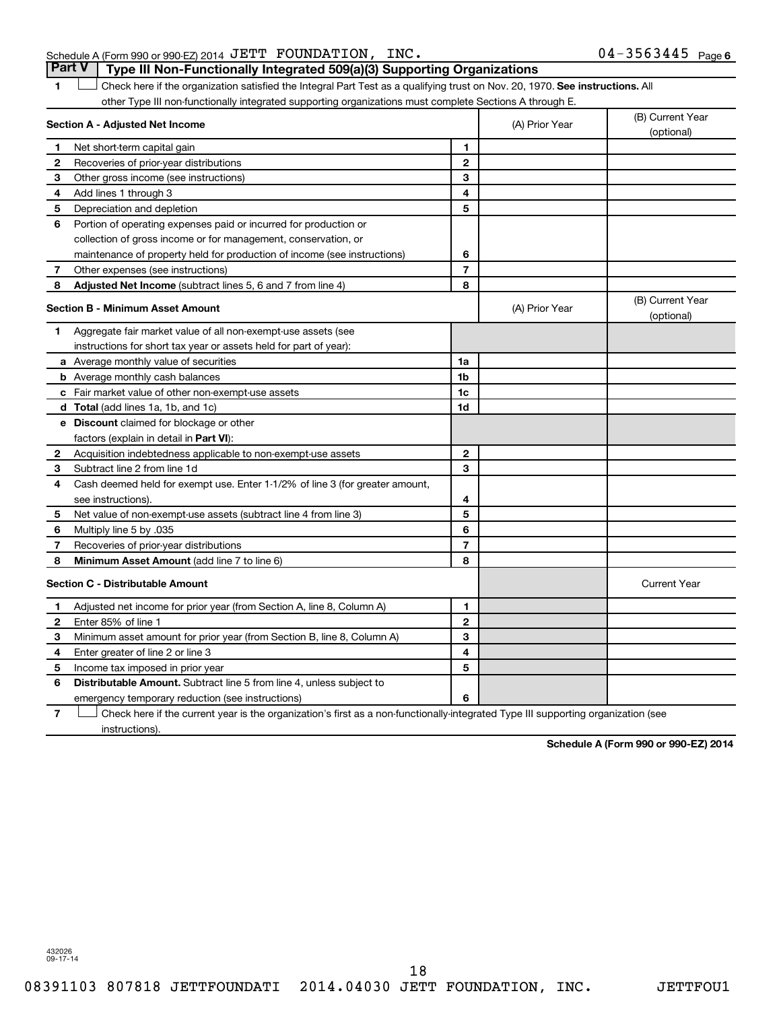### Schedule A (Form 990 or 990-EZ) 2014 Page JETT FOUNDATION, INC. 04-3563445 **Part V Type III Non-Functionally Integrated 509(a)(3) Supporting Organizations**

1 **Letter on Reck here if the organization satisfied the Integral Part Test as a qualifying trust on Nov. 20, 1970. See instructions. All** other Type III non-functionally integrated supporting organizations must complete Sections A through E.

|              | Section A - Adjusted Net Income                                              |                | (A) Prior Year | (B) Current Year<br>(optional) |
|--------------|------------------------------------------------------------------------------|----------------|----------------|--------------------------------|
| 1            | Net short-term capital gain                                                  | 1              |                |                                |
| 2            | Recoveries of prior-year distributions                                       | $\mathbf{2}$   |                |                                |
| 3            | Other gross income (see instructions)                                        | 3              |                |                                |
| 4            | Add lines 1 through 3                                                        | 4              |                |                                |
| 5            | Depreciation and depletion                                                   | 5              |                |                                |
| 6            | Portion of operating expenses paid or incurred for production or             |                |                |                                |
|              | collection of gross income or for management, conservation, or               |                |                |                                |
|              | maintenance of property held for production of income (see instructions)     | 6              |                |                                |
| 7            | Other expenses (see instructions)                                            | $\overline{7}$ |                |                                |
| 8            | <b>Adjusted Net Income</b> (subtract lines 5, 6 and 7 from line 4)           | 8              |                |                                |
|              | <b>Section B - Minimum Asset Amount</b>                                      |                | (A) Prior Year | (B) Current Year<br>(optional) |
| 1            | Aggregate fair market value of all non-exempt-use assets (see                |                |                |                                |
|              | instructions for short tax year or assets held for part of year):            |                |                |                                |
|              | a Average monthly value of securities                                        | 1a             |                |                                |
|              | <b>b</b> Average monthly cash balances                                       | 1b             |                |                                |
|              | c Fair market value of other non-exempt-use assets                           | 1c             |                |                                |
|              | <b>d</b> Total (add lines 1a, 1b, and 1c)                                    | 1 <sub>d</sub> |                |                                |
|              | e Discount claimed for blockage or other                                     |                |                |                                |
|              | factors (explain in detail in <b>Part VI</b> ):                              |                |                |                                |
| $\mathbf{2}$ | Acquisition indebtedness applicable to non-exempt-use assets                 | $\mathbf{2}$   |                |                                |
| 3            | Subtract line 2 from line 1d                                                 | 3              |                |                                |
| 4            | Cash deemed held for exempt use. Enter 1-1/2% of line 3 (for greater amount, |                |                |                                |
|              | see instructions).                                                           | 4              |                |                                |
| 5            | Net value of non-exempt-use assets (subtract line 4 from line 3)             | 5              |                |                                |
| 6            | Multiply line 5 by .035                                                      | 6              |                |                                |
| 7            | Recoveries of prior-year distributions                                       | $\overline{7}$ |                |                                |
| 8            | <b>Minimum Asset Amount (add line 7 to line 6)</b>                           | 8              |                |                                |
|              | <b>Section C - Distributable Amount</b>                                      |                |                | <b>Current Year</b>            |
| 1            | Adjusted net income for prior year (from Section A, line 8, Column A)        | 1              |                |                                |
| 2            | Enter 85% of line 1                                                          | $\mathbf{2}$   |                |                                |
| З            | Minimum asset amount for prior year (from Section B, line 8, Column A)       | 3              |                |                                |
| 4            | Enter greater of line 2 or line 3                                            | 4              |                |                                |
| 5            | Income tax imposed in prior year                                             | 5              |                |                                |
| 6            | Distributable Amount. Subtract line 5 from line 4, unless subject to         |                |                |                                |
|              | emergency temporary reduction (see instructions)                             | 6              |                |                                |
|              |                                                                              |                |                |                                |

**7** Check here if the current year is the organization's first as a non-functionally-integrated Type III supporting organization (see † instructions).

**Schedule A (Form 990 or 990-EZ) 2014**

432026 09-17-14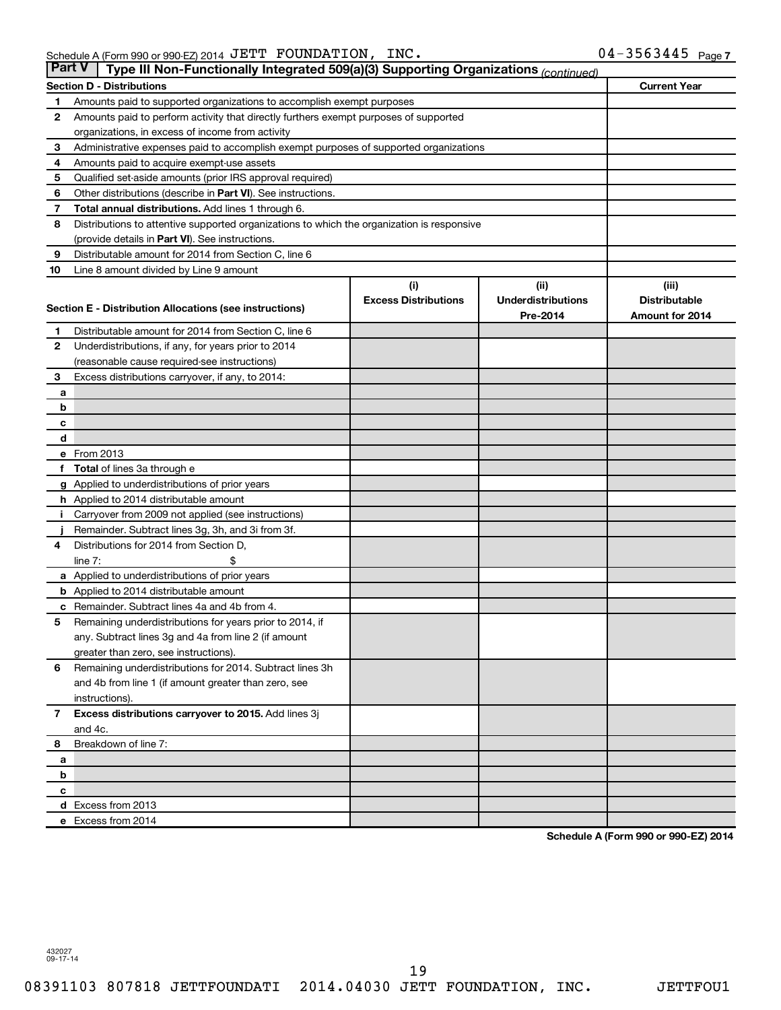| <b>Part V</b> | Type III Non-Functionally Integrated 509(a)(3) Supporting Organizations (continued)        |                             |                           |                      |
|---------------|--------------------------------------------------------------------------------------------|-----------------------------|---------------------------|----------------------|
|               | <b>Section D - Distributions</b>                                                           |                             |                           | <b>Current Year</b>  |
| 1             | Amounts paid to supported organizations to accomplish exempt purposes                      |                             |                           |                      |
| 2             | Amounts paid to perform activity that directly furthers exempt purposes of supported       |                             |                           |                      |
|               | organizations, in excess of income from activity                                           |                             |                           |                      |
| 3             | Administrative expenses paid to accomplish exempt purposes of supported organizations      |                             |                           |                      |
| 4             | Amounts paid to acquire exempt-use assets                                                  |                             |                           |                      |
| 5             | Qualified set-aside amounts (prior IRS approval required)                                  |                             |                           |                      |
| 6             | Other distributions (describe in Part VI). See instructions.                               |                             |                           |                      |
| 7             | Total annual distributions. Add lines 1 through 6.                                         |                             |                           |                      |
| 8             | Distributions to attentive supported organizations to which the organization is responsive |                             |                           |                      |
|               | (provide details in Part VI). See instructions.                                            |                             |                           |                      |
| 9             | Distributable amount for 2014 from Section C, line 6                                       |                             |                           |                      |
| 10            | Line 8 amount divided by Line 9 amount                                                     |                             |                           |                      |
|               |                                                                                            | (i)                         | (i)                       | (iii)                |
|               | Section E - Distribution Allocations (see instructions)                                    | <b>Excess Distributions</b> | <b>Underdistributions</b> | <b>Distributable</b> |
|               |                                                                                            |                             | Pre-2014                  | Amount for 2014      |
| 1             | Distributable amount for 2014 from Section C, line 6                                       |                             |                           |                      |
| $\mathbf{2}$  | Underdistributions, if any, for years prior to 2014                                        |                             |                           |                      |
|               | (reasonable cause required-see instructions)                                               |                             |                           |                      |
| 3             | Excess distributions carryover, if any, to 2014:                                           |                             |                           |                      |
| a             |                                                                                            |                             |                           |                      |
| b             |                                                                                            |                             |                           |                      |
| с             |                                                                                            |                             |                           |                      |
| d             | e From 2013                                                                                |                             |                           |                      |
|               |                                                                                            |                             |                           |                      |
|               | <b>Total</b> of lines 3a through e<br>g Applied to underdistributions of prior years       |                             |                           |                      |
|               | <b>h</b> Applied to 2014 distributable amount                                              |                             |                           |                      |
|               | Carryover from 2009 not applied (see instructions)                                         |                             |                           |                      |
|               | Remainder. Subtract lines 3g, 3h, and 3i from 3f.                                          |                             |                           |                      |
| 4             | Distributions for 2014 from Section D,                                                     |                             |                           |                      |
|               | $line 7$ :                                                                                 |                             |                           |                      |
|               | a Applied to underdistributions of prior years                                             |                             |                           |                      |
|               | <b>b</b> Applied to 2014 distributable amount                                              |                             |                           |                      |
| с             | Remainder. Subtract lines 4a and 4b from 4.                                                |                             |                           |                      |
| 5             | Remaining underdistributions for years prior to 2014, if                                   |                             |                           |                      |
|               | any. Subtract lines 3g and 4a from line 2 (if amount                                       |                             |                           |                      |
|               | greater than zero, see instructions).                                                      |                             |                           |                      |
| 6             | Remaining underdistributions for 2014. Subtract lines 3h                                   |                             |                           |                      |
|               | and 4b from line 1 (if amount greater than zero, see                                       |                             |                           |                      |
|               | instructions).                                                                             |                             |                           |                      |
| $\mathbf{7}$  | Excess distributions carryover to 2015. Add lines 3j                                       |                             |                           |                      |
|               | and 4c.                                                                                    |                             |                           |                      |
| 8             | Breakdown of line 7:                                                                       |                             |                           |                      |
| a             |                                                                                            |                             |                           |                      |
| b             |                                                                                            |                             |                           |                      |
| с             |                                                                                            |                             |                           |                      |
|               | d Excess from 2013                                                                         |                             |                           |                      |
|               | e Excess from 2014                                                                         |                             |                           |                      |

**Schedule A (Form 990 or 990-EZ) 2014**

432027 09-17-14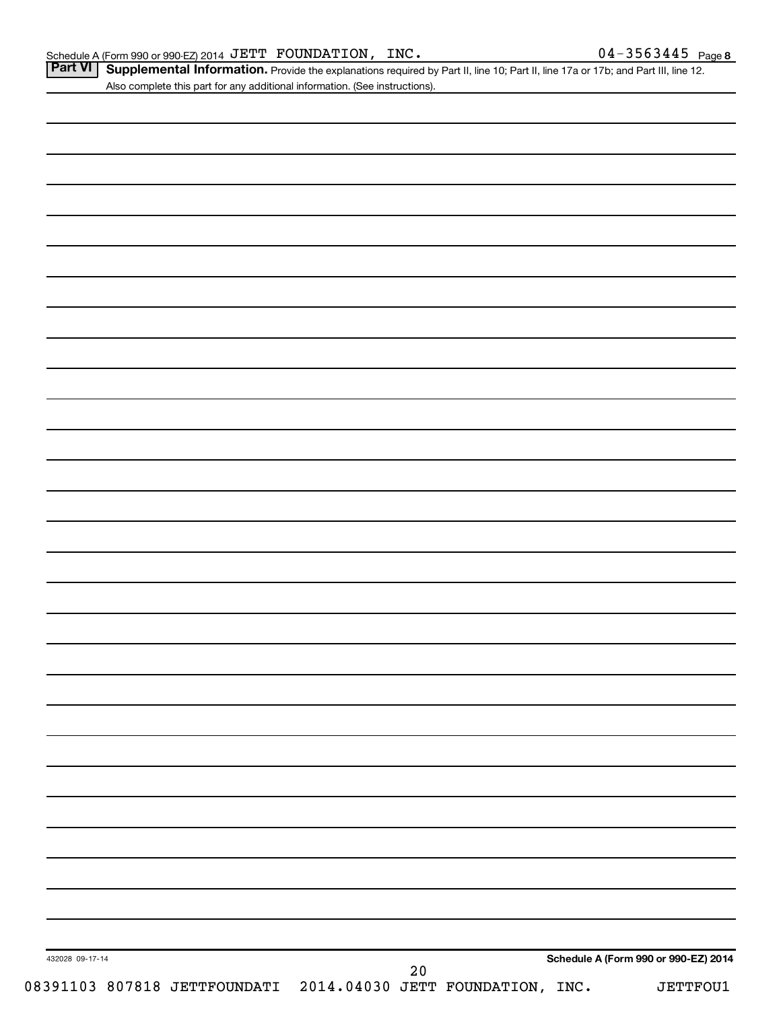Part VI | Supplemental Information. Provide the explanations required by Part II, line 10; Part II, line 17a or 17b; and Part III, line 12. Also complete this part for any additional information. (See instructions).

| 432028 09-17-14 |  |  |  |                                                                     |  | Schedule A (Form 990 or 990-EZ) 2014 |
|-----------------|--|--|--|---------------------------------------------------------------------|--|--------------------------------------|
|                 |  |  |  | 20<br>08391103 807818 JETTFOUNDATI 2014.04030 JETT FOUNDATION, INC. |  |                                      |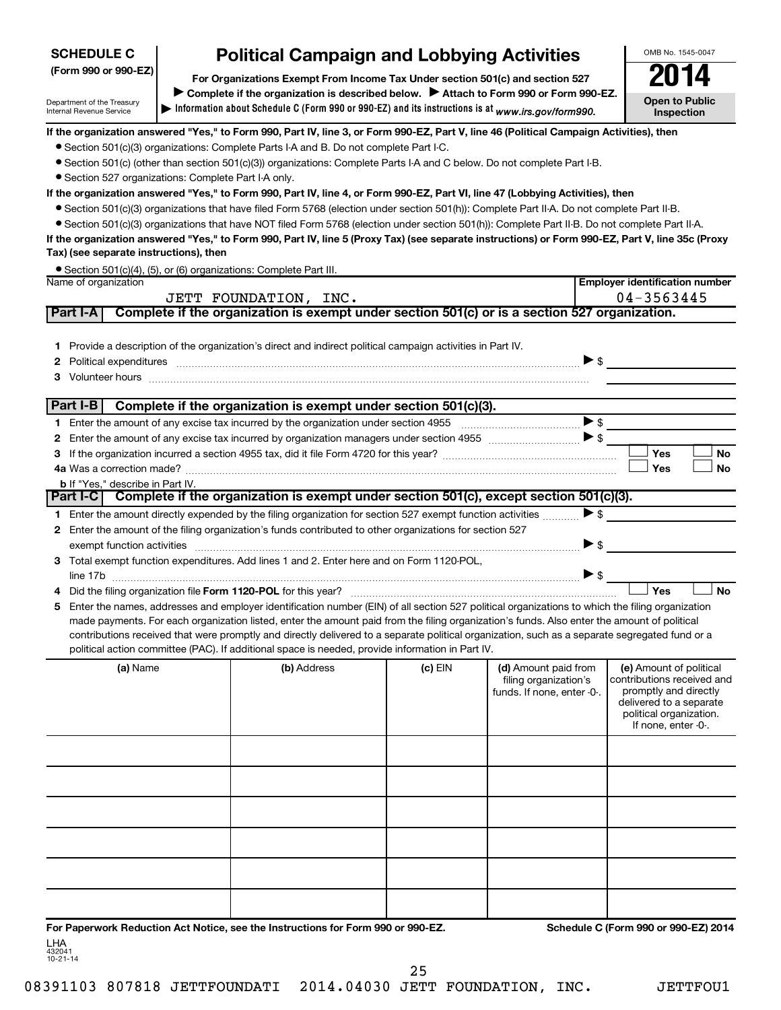| <b>SCHEDULE C</b>    | <b>Political Campaign and Lobbying Activities</b>                             | OMB No. 1545-004 |
|----------------------|-------------------------------------------------------------------------------|------------------|
| (Form 990 or 990-EZ) | For Organizations Exempt From Income Tax Under section 501(c) and section 527 | 2014             |

**Information about Schedule C (Form 990 or 990-EZ) and its instructions is at |**  *www.irs.gov/form990.* Complete if the organization is described below. > Attach to Form 990 or Form 990-EZ. **Open to Public Inspection**

**Employer identification number**

OMB No. 1545-0047

**If the organization answered "Yes," to Form 990, Part IV, line 3, or Form 990-EZ, Part V, line 46 (Political Campaign Activities), then**

- Section 501(c)(3) organizations: Complete Parts I-A and B. Do not complete Part I-C.
- Section 501(c) (other than section 501(c)(3)) organizations: Complete Parts I-A and C below. Do not complete Part I-B.
- Section 527 organizations: Complete Part I-A only.

Department of the Treasury Internal Revenue Service

#### **If the organization answered "Yes," to Form 990, Part IV, line 4, or Form 990-EZ, Part VI, line 47 (Lobbying Activities), then**

- Section 501(c)(3) organizations that have filed Form 5768 (election under section 501(h)): Complete Part II-A. Do not complete Part II-B.
- Section 501(c)(3) organizations that have NOT filed Form 5768 (election under section 501(h)): Complete Part II-B. Do not complete Part II-A.

**If the organization answered "Yes," to Form 990, Part IV, line 5 (Proxy Tax) (see separate instructions) or Form 990-EZ, Part V, line 35c (Proxy Tax) (see separate instructions), then**

|                      | • Section 501(c)(4), (5), or (6) organizations: Complete Part III. |
|----------------------|--------------------------------------------------------------------|
| Name of organization |                                                                    |

|   | <b>IVAILIC UI UI YAI IILALIUI I</b><br>Linpioyer identification number<br>04-3563445<br>JETT FOUNDATION, INC. |                                         |                                                                                                                                                                                                                                                                                                                                                                                                                                                                                                                                                                                       |           |                                                                             |                          |                                                                                                                                                             |           |
|---|---------------------------------------------------------------------------------------------------------------|-----------------------------------------|---------------------------------------------------------------------------------------------------------------------------------------------------------------------------------------------------------------------------------------------------------------------------------------------------------------------------------------------------------------------------------------------------------------------------------------------------------------------------------------------------------------------------------------------------------------------------------------|-----------|-----------------------------------------------------------------------------|--------------------------|-------------------------------------------------------------------------------------------------------------------------------------------------------------|-----------|
|   | <b>Part I-A</b>                                                                                               |                                         | Complete if the organization is exempt under section 501(c) or is a section 527 organization.                                                                                                                                                                                                                                                                                                                                                                                                                                                                                         |           |                                                                             |                          |                                                                                                                                                             |           |
|   |                                                                                                               |                                         | 1 Provide a description of the organization's direct and indirect political campaign activities in Part IV.<br>Political expenditures expension experience and a series of the contract of the contract of the contract of the contract of the contract of the contract of the contract of the contract of the contract of the contract of th<br>3 Volunteer hours <b>contract and the contract of the contract of the contract of the contract of the contract of the contract of the contract of the contract of the contract of the contract of the contract of the contract o</b> |           |                                                                             | $\blacktriangleright$ \$ |                                                                                                                                                             |           |
|   | Part I-B                                                                                                      |                                         | Complete if the organization is exempt under section 501(c)(3).                                                                                                                                                                                                                                                                                                                                                                                                                                                                                                                       |           |                                                                             |                          |                                                                                                                                                             |           |
|   |                                                                                                               |                                         |                                                                                                                                                                                                                                                                                                                                                                                                                                                                                                                                                                                       |           |                                                                             |                          | >                                                                                                                                                           |           |
|   |                                                                                                               |                                         |                                                                                                                                                                                                                                                                                                                                                                                                                                                                                                                                                                                       |           |                                                                             |                          |                                                                                                                                                             |           |
|   |                                                                                                               |                                         |                                                                                                                                                                                                                                                                                                                                                                                                                                                                                                                                                                                       |           |                                                                             |                          | Yes                                                                                                                                                         | <b>No</b> |
|   |                                                                                                               |                                         |                                                                                                                                                                                                                                                                                                                                                                                                                                                                                                                                                                                       |           |                                                                             |                          | Yes                                                                                                                                                         | <b>No</b> |
|   |                                                                                                               | <b>b</b> If "Yes," describe in Part IV. | Part I-C Complete if the organization is exempt under section 501(c), except section 501(c)(3).                                                                                                                                                                                                                                                                                                                                                                                                                                                                                       |           |                                                                             |                          |                                                                                                                                                             |           |
|   |                                                                                                               |                                         |                                                                                                                                                                                                                                                                                                                                                                                                                                                                                                                                                                                       |           |                                                                             |                          |                                                                                                                                                             |           |
|   |                                                                                                               |                                         | Enter the amount directly expended by the filing organization for section 527 exempt function activities                                                                                                                                                                                                                                                                                                                                                                                                                                                                              |           |                                                                             | $\blacktriangleright$ \$ |                                                                                                                                                             |           |
| 2 |                                                                                                               |                                         | Enter the amount of the filing organization's funds contributed to other organizations for section 527                                                                                                                                                                                                                                                                                                                                                                                                                                                                                |           |                                                                             | $\triangleright$ s       |                                                                                                                                                             |           |
| 3 |                                                                                                               |                                         | Total exempt function expenditures. Add lines 1 and 2. Enter here and on Form 1120-POL.                                                                                                                                                                                                                                                                                                                                                                                                                                                                                               |           |                                                                             |                          |                                                                                                                                                             |           |
|   |                                                                                                               |                                         |                                                                                                                                                                                                                                                                                                                                                                                                                                                                                                                                                                                       |           |                                                                             |                          |                                                                                                                                                             |           |
|   |                                                                                                               |                                         |                                                                                                                                                                                                                                                                                                                                                                                                                                                                                                                                                                                       |           |                                                                             |                          | Yes                                                                                                                                                         | <b>No</b> |
| 5 |                                                                                                               |                                         | Enter the names, addresses and employer identification number (EIN) of all section 527 political organizations to which the filing organization                                                                                                                                                                                                                                                                                                                                                                                                                                       |           |                                                                             |                          |                                                                                                                                                             |           |
|   |                                                                                                               |                                         | made payments. For each organization listed, enter the amount paid from the filing organization's funds. Also enter the amount of political                                                                                                                                                                                                                                                                                                                                                                                                                                           |           |                                                                             |                          |                                                                                                                                                             |           |
|   |                                                                                                               |                                         | contributions received that were promptly and directly delivered to a separate political organization, such as a separate segregated fund or a                                                                                                                                                                                                                                                                                                                                                                                                                                        |           |                                                                             |                          |                                                                                                                                                             |           |
|   |                                                                                                               |                                         | political action committee (PAC). If additional space is needed, provide information in Part IV.                                                                                                                                                                                                                                                                                                                                                                                                                                                                                      |           |                                                                             |                          |                                                                                                                                                             |           |
|   |                                                                                                               | (a) Name                                | (b) Address                                                                                                                                                                                                                                                                                                                                                                                                                                                                                                                                                                           | $(c)$ EIN | (d) Amount paid from<br>filing organization's<br>funds. If none, enter -0-. |                          | (e) Amount of political<br>contributions received and<br>promptly and directly<br>delivered to a separate<br>political organization.<br>If none, enter -0-. |           |

| For Departments Reduction Act Notice, can the Instructions for Ferm 000 or 000 FZ |  | Schodule C (Form 000 or 000 EZ) 2014 |
|-----------------------------------------------------------------------------------|--|--------------------------------------|
|                                                                                   |  |                                      |
|                                                                                   |  |                                      |
|                                                                                   |  |                                      |
|                                                                                   |  |                                      |
|                                                                                   |  |                                      |
|                                                                                   |  |                                      |
|                                                                                   |  |                                      |
|                                                                                   |  |                                      |
|                                                                                   |  |                                      |
|                                                                                   |  |                                      |

**For Paperwork Reduction Act Notice, see the Instructions for Form 990 or 990-EZ. Schedule C (Form 990 or 990-EZ) 2014** LHA

432041 10-21-14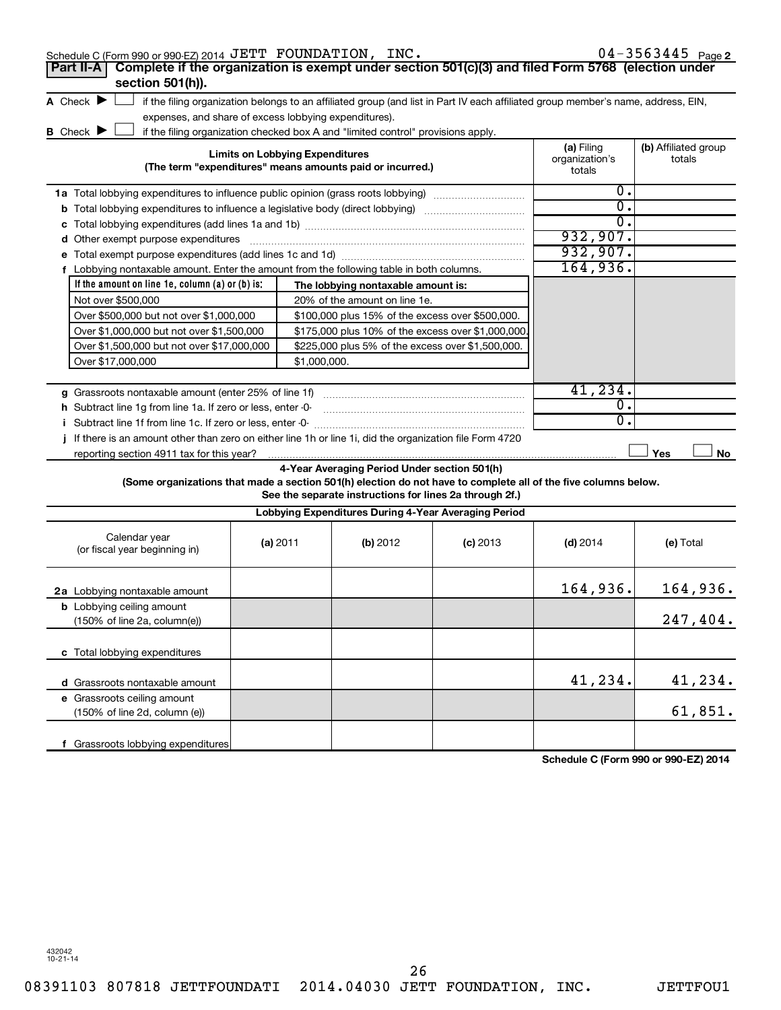| Schedule C (Form 990 or 990-EZ) 2014 JETT FOUNDATION, INC.                                                      |                                        |                                                                                                         |                                                                                                                                   |                                        | $04 - 3563445$ Page 2          |
|-----------------------------------------------------------------------------------------------------------------|----------------------------------------|---------------------------------------------------------------------------------------------------------|-----------------------------------------------------------------------------------------------------------------------------------|----------------------------------------|--------------------------------|
| Complete if the organization is exempt under section 501(c)(3) and filed Form 5768 (election under<br>Part II-A |                                        |                                                                                                         |                                                                                                                                   |                                        |                                |
| section 501(h)).                                                                                                |                                        |                                                                                                         |                                                                                                                                   |                                        |                                |
| A Check $\blacktriangleright$                                                                                   |                                        |                                                                                                         | if the filing organization belongs to an affiliated group (and list in Part IV each affiliated group member's name, address, EIN, |                                        |                                |
| expenses, and share of excess lobbying expenditures).                                                           |                                        |                                                                                                         |                                                                                                                                   |                                        |                                |
| <b>B</b> Check $\blacktriangleright$                                                                            |                                        | if the filing organization checked box A and "limited control" provisions apply.                        |                                                                                                                                   |                                        |                                |
|                                                                                                                 | <b>Limits on Lobbying Expenditures</b> | (The term "expenditures" means amounts paid or incurred.)                                               |                                                                                                                                   | (a) Filing<br>organization's<br>totals | (b) Affiliated group<br>totals |
| 1a Total lobbying expenditures to influence public opinion (grass roots lobbying)                               |                                        |                                                                                                         |                                                                                                                                   | 0.                                     |                                |
| <b>b</b> Total lobbying expenditures to influence a legislative body (direct lobbying) <i>manumumumum</i>       |                                        |                                                                                                         |                                                                                                                                   | 0.                                     |                                |
| с                                                                                                               |                                        |                                                                                                         |                                                                                                                                   | 0.                                     |                                |
| d Other exempt purpose expenditures                                                                             |                                        |                                                                                                         |                                                                                                                                   | 932,907.                               |                                |
|                                                                                                                 |                                        |                                                                                                         |                                                                                                                                   | 932,907.                               |                                |
| f Lobbying nontaxable amount. Enter the amount from the following table in both columns.                        |                                        |                                                                                                         |                                                                                                                                   | 164,936.                               |                                |
| If the amount on line 1e, column (a) or (b) is:                                                                 |                                        | The lobbying nontaxable amount is:                                                                      |                                                                                                                                   |                                        |                                |
| Not over \$500,000                                                                                              |                                        | 20% of the amount on line 1e.                                                                           |                                                                                                                                   |                                        |                                |
| Over \$500,000 but not over \$1,000,000                                                                         |                                        | \$100,000 plus 15% of the excess over \$500,000.                                                        |                                                                                                                                   |                                        |                                |
| Over \$1,000,000 but not over \$1,500,000                                                                       |                                        |                                                                                                         | \$175,000 plus 10% of the excess over \$1,000,000                                                                                 |                                        |                                |
| Over \$1,500,000 but not over \$17,000,000                                                                      |                                        | \$225,000 plus 5% of the excess over \$1,500,000.                                                       |                                                                                                                                   |                                        |                                |
| Over \$17,000,000                                                                                               | \$1,000,000.                           |                                                                                                         |                                                                                                                                   |                                        |                                |
|                                                                                                                 |                                        |                                                                                                         |                                                                                                                                   |                                        |                                |
| g Grassroots nontaxable amount (enter 25% of line 1f)                                                           |                                        |                                                                                                         |                                                                                                                                   | 41,234.                                |                                |
| h Subtract line 1g from line 1a. If zero or less, enter -0-                                                     |                                        |                                                                                                         |                                                                                                                                   | 0.                                     |                                |
|                                                                                                                 |                                        |                                                                                                         |                                                                                                                                   | 0.                                     |                                |
| If there is an amount other than zero on either line 1h or line 1i, did the organization file Form 4720<br>Ť    |                                        |                                                                                                         |                                                                                                                                   |                                        |                                |
| reporting section 4911 tax for this year?                                                                       |                                        |                                                                                                         |                                                                                                                                   |                                        | Yes<br>No                      |
| (Some organizations that made a section 501(h) election do not have to complete all of the five columns below.  |                                        | 4-Year Averaging Period Under section 501(h)<br>See the separate instructions for lines 2a through 2f.) |                                                                                                                                   |                                        |                                |
|                                                                                                                 |                                        |                                                                                                         | Lobbying Expenditures During 4-Year Averaging Period                                                                              |                                        |                                |
| Calendar year<br>(or fiscal year beginning in)                                                                  | (a) 2011                               | (b) 2012                                                                                                | $(c)$ 2013                                                                                                                        | $(d)$ 2014                             | (e) Total                      |
| 2a Lobbying nontaxable amount                                                                                   |                                        |                                                                                                         |                                                                                                                                   | 164,936.                               | 164,936.                       |
| <b>b</b> Lobbying ceiling amount                                                                                |                                        |                                                                                                         |                                                                                                                                   |                                        |                                |
| (150% of line 2a, column(e))                                                                                    |                                        |                                                                                                         |                                                                                                                                   |                                        | 247,404.                       |
| c Total lobbying expenditures                                                                                   |                                        |                                                                                                         |                                                                                                                                   |                                        |                                |
| d Grassroots nontaxable amount                                                                                  |                                        |                                                                                                         |                                                                                                                                   | 41,234.                                | 41,234.                        |
| e Grassroots ceiling amount                                                                                     |                                        |                                                                                                         |                                                                                                                                   |                                        |                                |
| (150% of line 2d, column (e))                                                                                   |                                        |                                                                                                         |                                                                                                                                   |                                        | 61,851.                        |
|                                                                                                                 |                                        |                                                                                                         |                                                                                                                                   |                                        |                                |
| f Grassroots lobbying expenditures                                                                              |                                        |                                                                                                         |                                                                                                                                   |                                        |                                |

**Schedule C (Form 990 or 990-EZ) 2014**

432042 10-21-14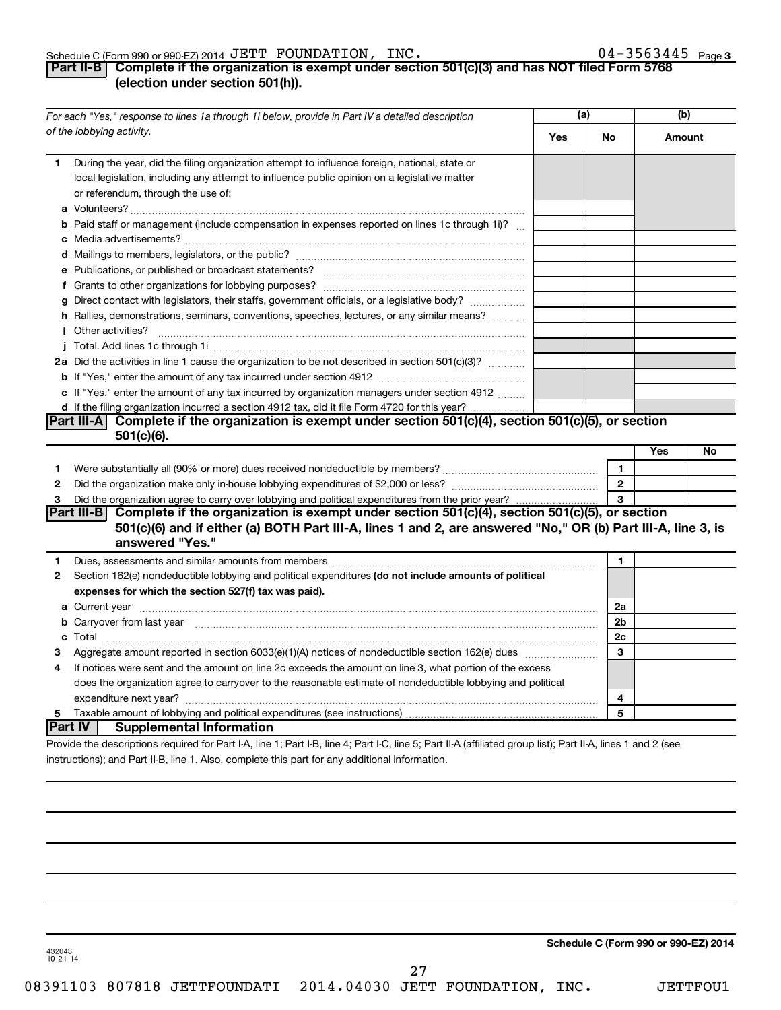#### Schedule C (Form 990 or 990-EZ) 2014  $\mathtt{JETT}$   $\mathtt{FOUNDATION}$ ,  $\mathtt{INC.}$   $\mathtt{O4-3563445}$   $\mathtt{Page}$

# **Part II-B Complete if the organization is exempt under section 501(c)(3) and has NOT filed Form 5768 (election under section 501(h)).**

|              | For each "Yes," response to lines 1a through 1i below, provide in Part IV a detailed description                                                                                                                                            | (a)        |                | (b)    |    |
|--------------|---------------------------------------------------------------------------------------------------------------------------------------------------------------------------------------------------------------------------------------------|------------|----------------|--------|----|
|              | of the lobbying activity.                                                                                                                                                                                                                   | <b>Yes</b> | No.            | Amount |    |
| 1.           | During the year, did the filing organization attempt to influence foreign, national, state or<br>local legislation, including any attempt to influence public opinion on a legislative matter<br>or referendum, through the use of:         |            |                |        |    |
|              | <b>b</b> Paid staff or management (include compensation in expenses reported on lines 1c through 1i)?                                                                                                                                       |            |                |        |    |
|              |                                                                                                                                                                                                                                             |            |                |        |    |
|              |                                                                                                                                                                                                                                             |            |                |        |    |
|              |                                                                                                                                                                                                                                             |            |                |        |    |
|              | g Direct contact with legislators, their staffs, government officials, or a legislative body?                                                                                                                                               |            |                |        |    |
|              | h Rallies, demonstrations, seminars, conventions, speeches, lectures, or any similar means?                                                                                                                                                 |            |                |        |    |
|              | <i>i</i> Other activities?                                                                                                                                                                                                                  |            |                |        |    |
|              |                                                                                                                                                                                                                                             |            |                |        |    |
|              | 2a Did the activities in line 1 cause the organization to be not described in section 501(c)(3)?                                                                                                                                            |            |                |        |    |
|              |                                                                                                                                                                                                                                             |            |                |        |    |
|              | c If "Yes," enter the amount of any tax incurred by organization managers under section 4912                                                                                                                                                |            |                |        |    |
|              | d If the filing organization incurred a section 4912 tax, did it file Form 4720 for this year?                                                                                                                                              |            |                |        |    |
|              | Part III-A Complete if the organization is exempt under section $501(c)(4)$ , section $501(c)(5)$ , or section                                                                                                                              |            |                |        |    |
|              | $501(c)(6)$ .                                                                                                                                                                                                                               |            |                |        |    |
|              |                                                                                                                                                                                                                                             |            |                | Yes    | No |
| 1            |                                                                                                                                                                                                                                             |            | $\mathbf{1}$   |        |    |
| $\mathbf{2}$ |                                                                                                                                                                                                                                             |            | $\overline{2}$ |        |    |
| 3            |                                                                                                                                                                                                                                             |            |                |        |    |
|              | Part III-B Complete if the organization is exempt under section 501(c)(4), section 501(c)(5), or section<br>501(c)(6) and if either (a) BOTH Part III-A, lines 1 and 2, are answered "No," OR (b) Part III-A, line 3, is<br>answered "Yes." |            |                |        |    |
| 1.           | Dues, assessments and similar amounts from members [111] www.communicallyness.communicallyness.communicallyness.com                                                                                                                         |            | 1              |        |    |
| 2            | Section 162(e) nondeductible lobbying and political expenditures (do not include amounts of political                                                                                                                                       |            |                |        |    |
|              | expenses for which the section 527(f) tax was paid).                                                                                                                                                                                        |            |                |        |    |
|              |                                                                                                                                                                                                                                             |            | 2a             |        |    |
|              | <b>b</b> Carryover from last year manufactured contains and contained a contained and contained a contained and contained a contained a contained and contained a contained a contained and contained a contained a contained and c         |            | 2b             |        |    |
|              |                                                                                                                                                                                                                                             |            | 2c             |        |    |
| З            |                                                                                                                                                                                                                                             |            | 3              |        |    |
| 4            | If notices were sent and the amount on line 2c exceeds the amount on line 3, what portion of the excess                                                                                                                                     |            |                |        |    |
|              | does the organization agree to carryover to the reasonable estimate of nondeductible lobbying and political                                                                                                                                 |            |                |        |    |
|              |                                                                                                                                                                                                                                             |            | 4              |        |    |
| 5            |                                                                                                                                                                                                                                             |            | 5              |        |    |
|              | Part IV  <br><b>Supplemental Information</b>                                                                                                                                                                                                |            |                |        |    |
|              | Provide the descriptions required for Part I-A, line 1; Part I-B, line 4; Part I-C, line 5; Part II-A (affiliated group list); Part II-A, lines 1 and 2 (see                                                                                |            |                |        |    |

instructions); and Part II-B, line 1. Also, complete this part for any additional information.

**Schedule C (Form 990 or 990-EZ) 2014**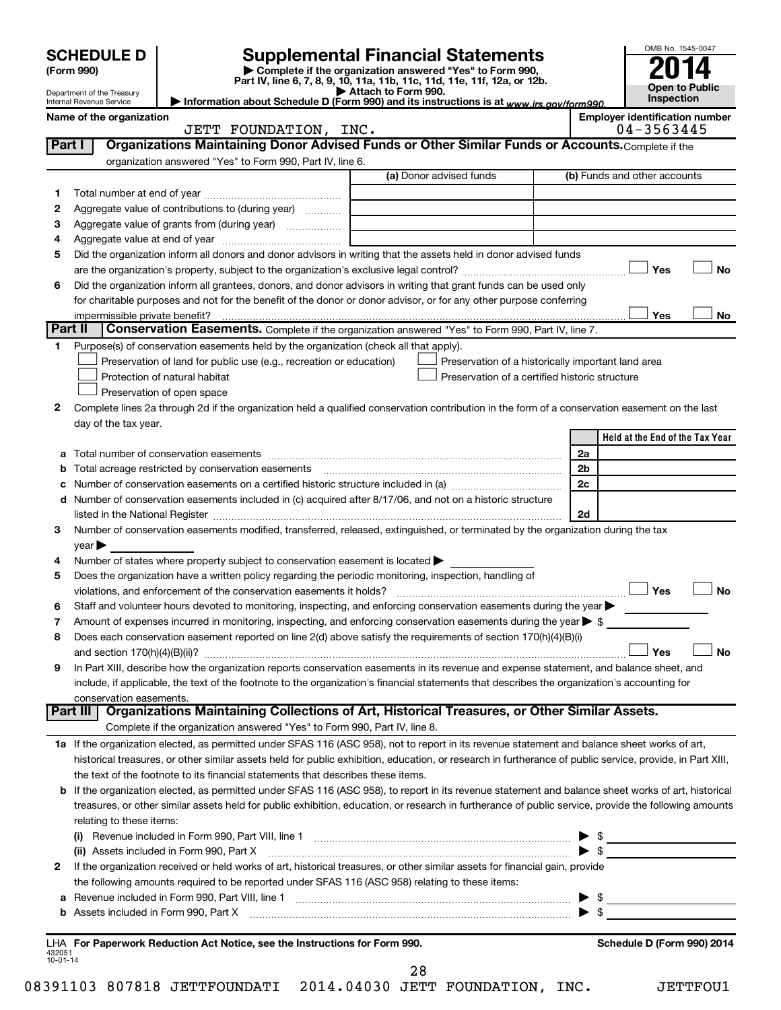|                | <b>SCHEDULE D</b><br>(Form 990)                      |                                                                                                        | <b>Supplemental Financial Statements</b><br>Complete if the organization answered "Yes" to Form 990,<br>Part IV, line 6, 7, 8, 9, 10, 11a, 11b, 11c, 11d, 11e, 11f, 12a, or 12b. |                      | OMB No. 1545-0047                     |           |
|----------------|------------------------------------------------------|--------------------------------------------------------------------------------------------------------|----------------------------------------------------------------------------------------------------------------------------------------------------------------------------------|----------------------|---------------------------------------|-----------|
|                | Department of the Treasury                           |                                                                                                        | Attach to Form 990.                                                                                                                                                              |                      | <b>Open to Public</b><br>Inspection   |           |
|                | Internal Revenue Service<br>Name of the organization |                                                                                                        | Information about Schedule D (Form 990) and its instructions is at www.irs.gov/form990.                                                                                          |                      | <b>Employer identification number</b> |           |
|                |                                                      | JETT FOUNDATION, INC.                                                                                  |                                                                                                                                                                                  |                      | 04-3563445                            |           |
| Part I         |                                                      |                                                                                                        | Organizations Maintaining Donor Advised Funds or Other Similar Funds or Accounts. Complete if the                                                                                |                      |                                       |           |
|                |                                                      | organization answered "Yes" to Form 990, Part IV, line 6.                                              |                                                                                                                                                                                  |                      |                                       |           |
|                |                                                      |                                                                                                        | (a) Donor advised funds                                                                                                                                                          |                      | (b) Funds and other accounts          |           |
| 1              |                                                      |                                                                                                        |                                                                                                                                                                                  |                      |                                       |           |
| 2              |                                                      | Aggregate value of contributions to (during year)                                                      |                                                                                                                                                                                  |                      |                                       |           |
| з              |                                                      |                                                                                                        | the control of the control of the control of the control of the control of                                                                                                       |                      |                                       |           |
| 4              |                                                      |                                                                                                        |                                                                                                                                                                                  |                      |                                       |           |
| 5              |                                                      |                                                                                                        | Did the organization inform all donors and donor advisors in writing that the assets held in donor advised funds                                                                 |                      | Yes                                   | No        |
| 6              |                                                      |                                                                                                        | Did the organization inform all grantees, donors, and donor advisors in writing that grant funds can be used only                                                                |                      |                                       |           |
|                |                                                      |                                                                                                        | for charitable purposes and not for the benefit of the donor or donor advisor, or for any other purpose conferring                                                               |                      |                                       |           |
|                | impermissible private benefit?                       |                                                                                                        |                                                                                                                                                                                  |                      | Yes                                   | No        |
| Part II        |                                                      |                                                                                                        | Conservation Easements. Complete if the organization answered "Yes" to Form 990, Part IV, line 7.                                                                                |                      |                                       |           |
| 1.             |                                                      | Purpose(s) of conservation easements held by the organization (check all that apply).                  |                                                                                                                                                                                  |                      |                                       |           |
|                |                                                      | Preservation of land for public use (e.g., recreation or education)                                    | Preservation of a historically important land area                                                                                                                               |                      |                                       |           |
|                |                                                      | Protection of natural habitat                                                                          | Preservation of a certified historic structure                                                                                                                                   |                      |                                       |           |
|                |                                                      | Preservation of open space                                                                             |                                                                                                                                                                                  |                      |                                       |           |
| 2              |                                                      |                                                                                                        | Complete lines 2a through 2d if the organization held a qualified conservation contribution in the form of a conservation easement on the last                                   |                      |                                       |           |
|                | day of the tax year.                                 |                                                                                                        |                                                                                                                                                                                  |                      |                                       |           |
|                |                                                      |                                                                                                        |                                                                                                                                                                                  |                      | Held at the End of the Tax Year       |           |
| а              |                                                      |                                                                                                        |                                                                                                                                                                                  | 2a<br>2 <sub>b</sub> |                                       |           |
| b              |                                                      |                                                                                                        |                                                                                                                                                                                  | 2c                   |                                       |           |
| с              |                                                      |                                                                                                        | d Number of conservation easements included in (c) acquired after 8/17/06, and not on a historic structure                                                                       |                      |                                       |           |
|                |                                                      |                                                                                                        |                                                                                                                                                                                  | 2d                   |                                       |           |
| З              |                                                      |                                                                                                        | Number of conservation easements modified, transferred, released, extinguished, or terminated by the organization during the tax                                                 |                      |                                       |           |
|                | year                                                 |                                                                                                        |                                                                                                                                                                                  |                      |                                       |           |
| 4              |                                                      | Number of states where property subject to conservation easement is located $\blacktriangleright$      |                                                                                                                                                                                  |                      |                                       |           |
| 5              |                                                      | Does the organization have a written policy regarding the periodic monitoring, inspection, handling of |                                                                                                                                                                                  |                      |                                       |           |
|                |                                                      |                                                                                                        |                                                                                                                                                                                  |                      | Yes                                   | <b>No</b> |
|                |                                                      |                                                                                                        | Staff and volunteer hours devoted to monitoring, inspecting, and enforcing conservation easements during the year                                                                |                      |                                       |           |
| 7              |                                                      |                                                                                                        | Amount of expenses incurred in monitoring, inspecting, and enforcing conservation easements during the year $\triangleright$ \$                                                  |                      |                                       |           |
| 8              |                                                      |                                                                                                        | Does each conservation easement reported on line 2(d) above satisfy the requirements of section 170(h)(4)(B)(i)                                                                  |                      |                                       |           |
|                |                                                      |                                                                                                        |                                                                                                                                                                                  |                      | Yes                                   | No        |
| 9              |                                                      |                                                                                                        | In Part XIII, describe how the organization reports conservation easements in its revenue and expense statement, and balance sheet, and                                          |                      |                                       |           |
|                |                                                      |                                                                                                        | include, if applicable, the text of the footnote to the organization's financial statements that describes the organization's accounting for                                     |                      |                                       |           |
|                | conservation easements.                              |                                                                                                        | Part III   Organizations Maintaining Collections of Art, Historical Treasures, or Other Similar Assets.                                                                          |                      |                                       |           |
|                |                                                      | Complete if the organization answered "Yes" to Form 990, Part IV, line 8.                              |                                                                                                                                                                                  |                      |                                       |           |
|                |                                                      |                                                                                                        | 1a If the organization elected, as permitted under SFAS 116 (ASC 958), not to report in its revenue statement and balance sheet works of art,                                    |                      |                                       |           |
|                |                                                      |                                                                                                        | historical treasures, or other similar assets held for public exhibition, education, or research in furtherance of public service, provide, in Part XIII,                        |                      |                                       |           |
|                |                                                      | the text of the footnote to its financial statements that describes these items.                       |                                                                                                                                                                                  |                      |                                       |           |
|                |                                                      |                                                                                                        | b If the organization elected, as permitted under SFAS 116 (ASC 958), to report in its revenue statement and balance sheet works of art, historical                              |                      |                                       |           |
|                |                                                      |                                                                                                        | treasures, or other similar assets held for public exhibition, education, or research in furtherance of public service, provide the following amounts                            |                      |                                       |           |
|                | relating to these items:                             |                                                                                                        |                                                                                                                                                                                  |                      |                                       |           |
|                |                                                      |                                                                                                        |                                                                                                                                                                                  |                      | $\frac{1}{2}$                         |           |
|                |                                                      |                                                                                                        | (ii) Assets included in Form 990, Part X [11] [2000] [2010] Assets included in Form 990, Part X [11] [11] [200                                                                   |                      | $\blacktriangleright$ \$              |           |
| 2              |                                                      |                                                                                                        | If the organization received or held works of art, historical treasures, or other similar assets for financial gain, provide                                                     |                      |                                       |           |
|                |                                                      | the following amounts required to be reported under SFAS 116 (ASC 958) relating to these items:        |                                                                                                                                                                                  |                      |                                       |           |
| а              |                                                      |                                                                                                        |                                                                                                                                                                                  |                      |                                       |           |
|                |                                                      |                                                                                                        |                                                                                                                                                                                  |                      |                                       |           |
|                |                                                      |                                                                                                        |                                                                                                                                                                                  |                      |                                       |           |
| 432051         |                                                      | LHA For Paperwork Reduction Act Notice, see the Instructions for Form 990.                             |                                                                                                                                                                                  |                      | Schedule D (Form 990) 2014            |           |
| $10 - 01 - 14$ |                                                      |                                                                                                        |                                                                                                                                                                                  |                      |                                       |           |
|                |                                                      |                                                                                                        | 28                                                                                                                                                                               |                      |                                       |           |

08391103 807818 JETTFOUNDATI 2014.04030 JETT FOUNDATION, INC. JETTFOU1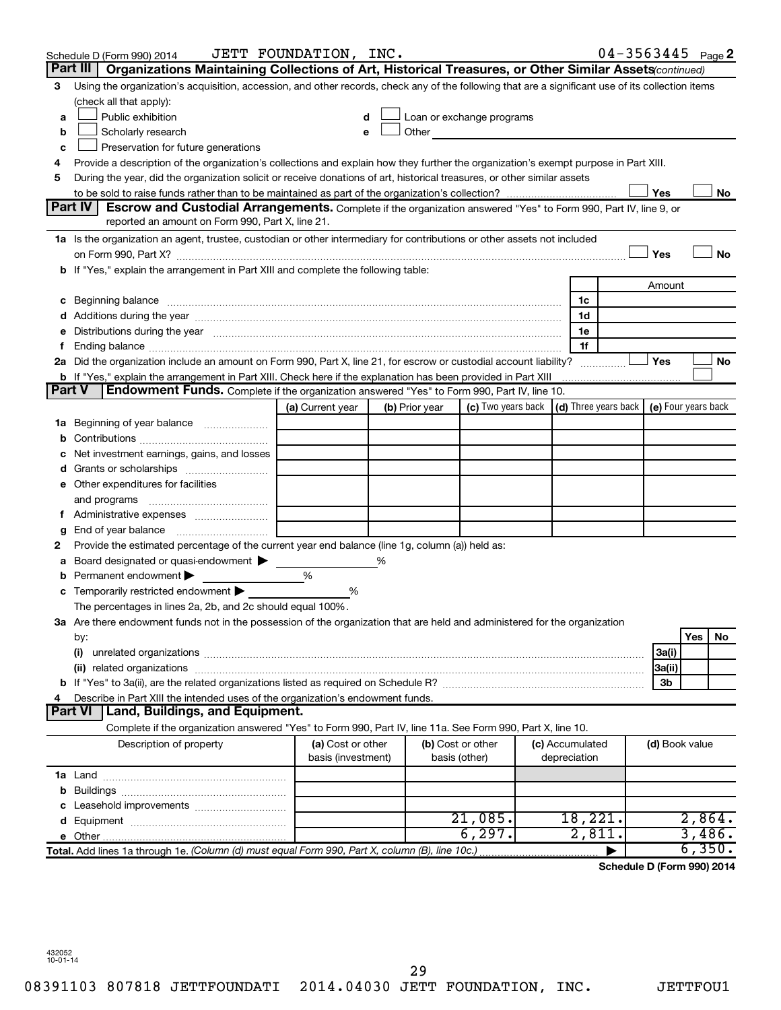|   |                | Schedule D (Form 990) 2014                                                                                                                                                                                                     | JETT FOUNDATION, INC.                   |   |                |                                                                             |                                 | $04 - 3563445$ Page 2      |                |        |    |
|---|----------------|--------------------------------------------------------------------------------------------------------------------------------------------------------------------------------------------------------------------------------|-----------------------------------------|---|----------------|-----------------------------------------------------------------------------|---------------------------------|----------------------------|----------------|--------|----|
|   | Part III       | Organizations Maintaining Collections of Art, Historical Treasures, or Other Similar Assets (continued)                                                                                                                        |                                         |   |                |                                                                             |                                 |                            |                |        |    |
| 3 |                | Using the organization's acquisition, accession, and other records, check any of the following that are a significant use of its collection items                                                                              |                                         |   |                |                                                                             |                                 |                            |                |        |    |
|   |                | (check all that apply):                                                                                                                                                                                                        |                                         |   |                |                                                                             |                                 |                            |                |        |    |
| a |                | Public exhibition                                                                                                                                                                                                              | d                                       |   |                | Loan or exchange programs                                                   |                                 |                            |                |        |    |
| b |                | Scholarly research                                                                                                                                                                                                             |                                         |   | Other          |                                                                             |                                 |                            |                |        |    |
| с |                | Preservation for future generations                                                                                                                                                                                            |                                         |   |                |                                                                             |                                 |                            |                |        |    |
| 4 |                | Provide a description of the organization's collections and explain how they further the organization's exempt purpose in Part XIII.                                                                                           |                                         |   |                |                                                                             |                                 |                            |                |        |    |
| 5 |                | During the year, did the organization solicit or receive donations of art, historical treasures, or other similar assets                                                                                                       |                                         |   |                |                                                                             |                                 |                            |                |        |    |
|   | Part IV I      | <b>Escrow and Custodial Arrangements.</b> Complete if the organization answered "Yes" to Form 990, Part IV, line 9, or                                                                                                         |                                         |   |                |                                                                             |                                 |                            | Yes            |        | No |
|   |                | reported an amount on Form 990, Part X, line 21.                                                                                                                                                                               |                                         |   |                |                                                                             |                                 |                            |                |        |    |
|   |                | 1a Is the organization an agent, trustee, custodian or other intermediary for contributions or other assets not included                                                                                                       |                                         |   |                |                                                                             |                                 |                            |                |        |    |
|   |                |                                                                                                                                                                                                                                |                                         |   |                |                                                                             |                                 |                            | Yes            |        | No |
|   |                | b If "Yes," explain the arrangement in Part XIII and complete the following table:                                                                                                                                             |                                         |   |                |                                                                             |                                 |                            |                |        |    |
|   |                |                                                                                                                                                                                                                                |                                         |   |                |                                                                             |                                 |                            | Amount         |        |    |
|   |                |                                                                                                                                                                                                                                |                                         |   |                |                                                                             | 1c                              |                            |                |        |    |
|   |                |                                                                                                                                                                                                                                |                                         |   |                |                                                                             | 1d                              |                            |                |        |    |
|   |                | e Distributions during the year measurement contained and all the control of the set of the set of the set of the set of the set of the set of the set of the set of the set of the set of the set of the set of the set of th |                                         |   |                |                                                                             | 1e                              |                            |                |        |    |
|   |                |                                                                                                                                                                                                                                |                                         |   |                |                                                                             | 1f                              |                            |                |        |    |
|   |                | 2a Did the organization include an amount on Form 990, Part X, line 21, for escrow or custodial account liability?                                                                                                             |                                         |   |                |                                                                             |                                 |                            | Yes            |        | No |
|   |                | b If "Yes," explain the arrangement in Part XIII. Check here if the explanation has been provided in Part XIII                                                                                                                 |                                         |   |                |                                                                             |                                 |                            |                |        |    |
|   | <b>Part V</b>  | Endowment Funds. Complete if the organization answered "Yes" to Form 990, Part IV, line 10.                                                                                                                                    |                                         |   |                |                                                                             |                                 |                            |                |        |    |
|   |                |                                                                                                                                                                                                                                | (a) Current year                        |   | (b) Prior year | (c) Two years back $\vert$ (d) Three years back $\vert$ (e) Four years back |                                 |                            |                |        |    |
|   |                | 1a Beginning of year balance                                                                                                                                                                                                   |                                         |   |                |                                                                             |                                 |                            |                |        |    |
| b |                |                                                                                                                                                                                                                                |                                         |   |                |                                                                             |                                 |                            |                |        |    |
| с |                | Net investment earnings, gains, and losses                                                                                                                                                                                     |                                         |   |                |                                                                             |                                 |                            |                |        |    |
|   |                |                                                                                                                                                                                                                                |                                         |   |                |                                                                             |                                 |                            |                |        |    |
|   |                | e Other expenditures for facilities                                                                                                                                                                                            |                                         |   |                |                                                                             |                                 |                            |                |        |    |
|   |                | and programs                                                                                                                                                                                                                   |                                         |   |                |                                                                             |                                 |                            |                |        |    |
|   |                |                                                                                                                                                                                                                                |                                         |   |                |                                                                             |                                 |                            |                |        |    |
| g |                |                                                                                                                                                                                                                                |                                         |   |                |                                                                             |                                 |                            |                |        |    |
| 2 |                | Provide the estimated percentage of the current year end balance (line 1g, column (a)) held as:                                                                                                                                |                                         |   |                |                                                                             |                                 |                            |                |        |    |
| а |                | Board designated or quasi-endowment<br>Permanent endowment                                                                                                                                                                     | %                                       | % |                |                                                                             |                                 |                            |                |        |    |
| b |                | <b>c</b> Temporarily restricted endowment $\blacktriangleright$                                                                                                                                                                | %                                       |   |                |                                                                             |                                 |                            |                |        |    |
|   |                | The percentages in lines 2a, 2b, and 2c should equal 100%.                                                                                                                                                                     |                                         |   |                |                                                                             |                                 |                            |                |        |    |
|   |                | 3a Are there endowment funds not in the possession of the organization that are held and administered for the organization                                                                                                     |                                         |   |                |                                                                             |                                 |                            |                |        |    |
|   | by:            |                                                                                                                                                                                                                                |                                         |   |                |                                                                             |                                 |                            |                | Yes    | No |
|   | (i)            |                                                                                                                                                                                                                                |                                         |   |                |                                                                             |                                 |                            | 3a(i)          |        |    |
|   |                |                                                                                                                                                                                                                                |                                         |   |                |                                                                             |                                 |                            | 3a(ii)         |        |    |
|   |                |                                                                                                                                                                                                                                |                                         |   |                |                                                                             |                                 |                            | 3b             |        |    |
| 4 |                | Describe in Part XIII the intended uses of the organization's endowment funds.                                                                                                                                                 |                                         |   |                |                                                                             |                                 |                            |                |        |    |
|   | <b>Part VI</b> | <b>Land, Buildings, and Equipment.</b>                                                                                                                                                                                         |                                         |   |                |                                                                             |                                 |                            |                |        |    |
|   |                | Complete if the organization answered "Yes" to Form 990, Part IV, line 11a. See Form 990, Part X, line 10.                                                                                                                     |                                         |   |                |                                                                             |                                 |                            |                |        |    |
|   |                | Description of property                                                                                                                                                                                                        | (a) Cost or other<br>basis (investment) |   |                | (b) Cost or other<br>basis (other)                                          | (c) Accumulated<br>depreciation |                            | (d) Book value |        |    |
|   |                |                                                                                                                                                                                                                                |                                         |   |                |                                                                             |                                 |                            |                |        |    |
| b |                |                                                                                                                                                                                                                                |                                         |   |                |                                                                             |                                 |                            |                |        |    |
|   |                |                                                                                                                                                                                                                                |                                         |   |                |                                                                             |                                 |                            |                |        |    |
|   |                |                                                                                                                                                                                                                                |                                         |   |                | 21,085.                                                                     | 18,221.                         |                            |                | 2,864. |    |
|   |                |                                                                                                                                                                                                                                |                                         |   |                | 6, 297.                                                                     | 2,811.                          |                            |                | 3,486. |    |
|   |                | Total. Add lines 1a through 1e. (Column (d) must equal Form 990, Part X, column (B), line 10c.)                                                                                                                                |                                         |   |                |                                                                             |                                 | Schodule D (Ferm 000) 2014 |                | 6,350. |    |

**Schedule D (Form 990) 2014**

432052 10-01-14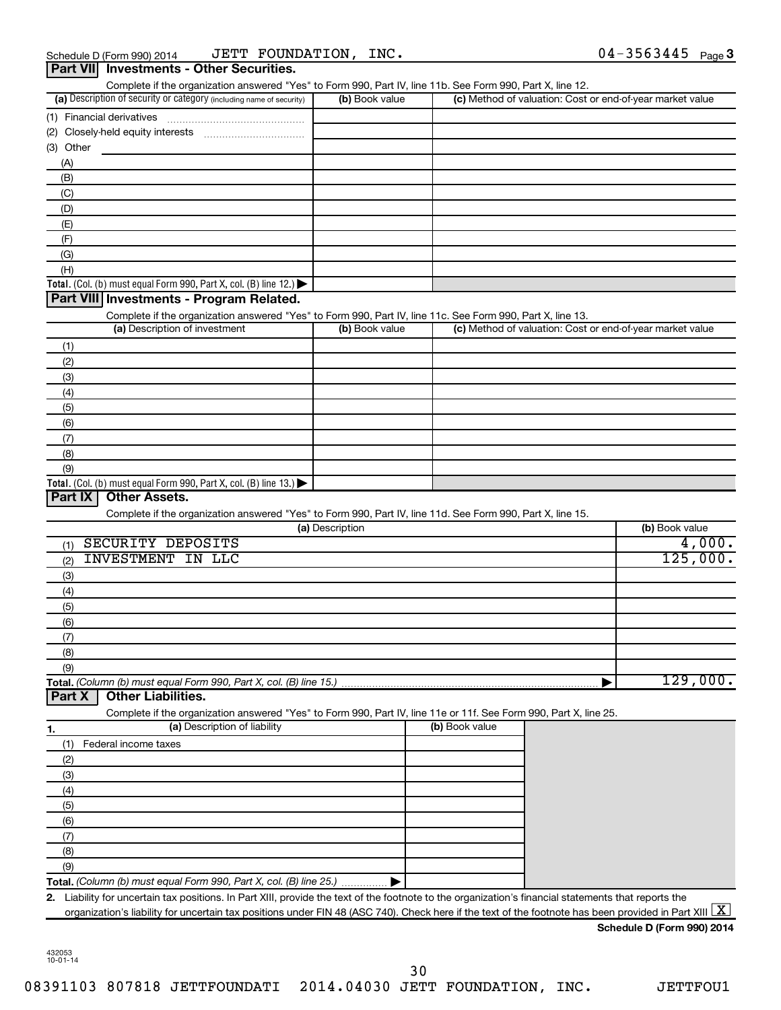| Complete if the organization answered "Yes" to Form 990, Part IV, line 11b. See Form 990, Part X, line 12.<br>(a) Description of security or category (including name of security)       | (b) Book value  |                | (c) Method of valuation: Cost or end-of-year market value |
|------------------------------------------------------------------------------------------------------------------------------------------------------------------------------------------|-----------------|----------------|-----------------------------------------------------------|
|                                                                                                                                                                                          |                 |                |                                                           |
| (1) Financial derivatives                                                                                                                                                                |                 |                |                                                           |
| (2)                                                                                                                                                                                      |                 |                |                                                           |
| (3) Other                                                                                                                                                                                |                 |                |                                                           |
| (A)                                                                                                                                                                                      |                 |                |                                                           |
| (B)                                                                                                                                                                                      |                 |                |                                                           |
| (C)                                                                                                                                                                                      |                 |                |                                                           |
| (D)                                                                                                                                                                                      |                 |                |                                                           |
| (E)                                                                                                                                                                                      |                 |                |                                                           |
| (F)                                                                                                                                                                                      |                 |                |                                                           |
| (G)                                                                                                                                                                                      |                 |                |                                                           |
| (H)                                                                                                                                                                                      |                 |                |                                                           |
| Total. (Col. (b) must equal Form 990, Part X, col. (B) line 12.)                                                                                                                         |                 |                |                                                           |
| Part VIII Investments - Program Related.                                                                                                                                                 |                 |                |                                                           |
|                                                                                                                                                                                          |                 |                |                                                           |
| Complete if the organization answered "Yes" to Form 990, Part IV, line 11c. See Form 990, Part X, line 13.<br>(a) Description of investment                                              | (b) Book value  |                | (c) Method of valuation: Cost or end-of-year market value |
|                                                                                                                                                                                          |                 |                |                                                           |
| (1)                                                                                                                                                                                      |                 |                |                                                           |
| (2)                                                                                                                                                                                      |                 |                |                                                           |
| (3)                                                                                                                                                                                      |                 |                |                                                           |
| (4)                                                                                                                                                                                      |                 |                |                                                           |
| (5)                                                                                                                                                                                      |                 |                |                                                           |
| (6)                                                                                                                                                                                      |                 |                |                                                           |
|                                                                                                                                                                                          |                 |                |                                                           |
|                                                                                                                                                                                          |                 |                |                                                           |
| (7)                                                                                                                                                                                      |                 |                |                                                           |
| (8)<br>(9)<br><b>Other Assets.</b>                                                                                                                                                       |                 |                |                                                           |
| Complete if the organization answered "Yes" to Form 990, Part IV, line 11d. See Form 990, Part X, line 15.                                                                               | (a) Description |                | (b) Book value                                            |
|                                                                                                                                                                                          |                 |                |                                                           |
| SECURITY DEPOSITS<br>(1)                                                                                                                                                                 |                 |                |                                                           |
| <b>INVESTMENT IN LLC</b><br>(2)                                                                                                                                                          |                 |                |                                                           |
| (3)                                                                                                                                                                                      |                 |                |                                                           |
| (4)                                                                                                                                                                                      |                 |                | 4,000.<br>125,000.                                        |
| (5)                                                                                                                                                                                      |                 |                |                                                           |
| (6)                                                                                                                                                                                      |                 |                |                                                           |
| (7)                                                                                                                                                                                      |                 |                |                                                           |
| (8)                                                                                                                                                                                      |                 |                |                                                           |
| (9)                                                                                                                                                                                      |                 |                |                                                           |
| <b>Other Liabilities.</b>                                                                                                                                                                |                 |                |                                                           |
| Complete if the organization answered "Yes" to Form 990, Part IV, line 11e or 11f. See Form 990, Part X, line 25.                                                                        |                 |                |                                                           |
| (a) Description of liability                                                                                                                                                             |                 | (b) Book value |                                                           |
| Federal income taxes<br>(1)                                                                                                                                                              |                 |                |                                                           |
| (2)                                                                                                                                                                                      |                 |                |                                                           |
|                                                                                                                                                                                          |                 |                | 129,000.                                                  |
| (3)                                                                                                                                                                                      |                 |                |                                                           |
| (4)                                                                                                                                                                                      |                 |                |                                                           |
| (5)                                                                                                                                                                                      |                 |                |                                                           |
| (6)                                                                                                                                                                                      |                 |                |                                                           |
| (7)                                                                                                                                                                                      |                 |                |                                                           |
| Total. (Col. (b) must equal Form 990, Part X, col. (B) line 13.) $\blacktriangleright$<br>Part IX<br>Total. (Column (b) must equal Form 990, Part X, col. (B) line 15.)<br>Part X<br>(8) |                 |                |                                                           |
| (9)                                                                                                                                                                                      |                 |                |                                                           |

**Schedule D (Form 990) 2014**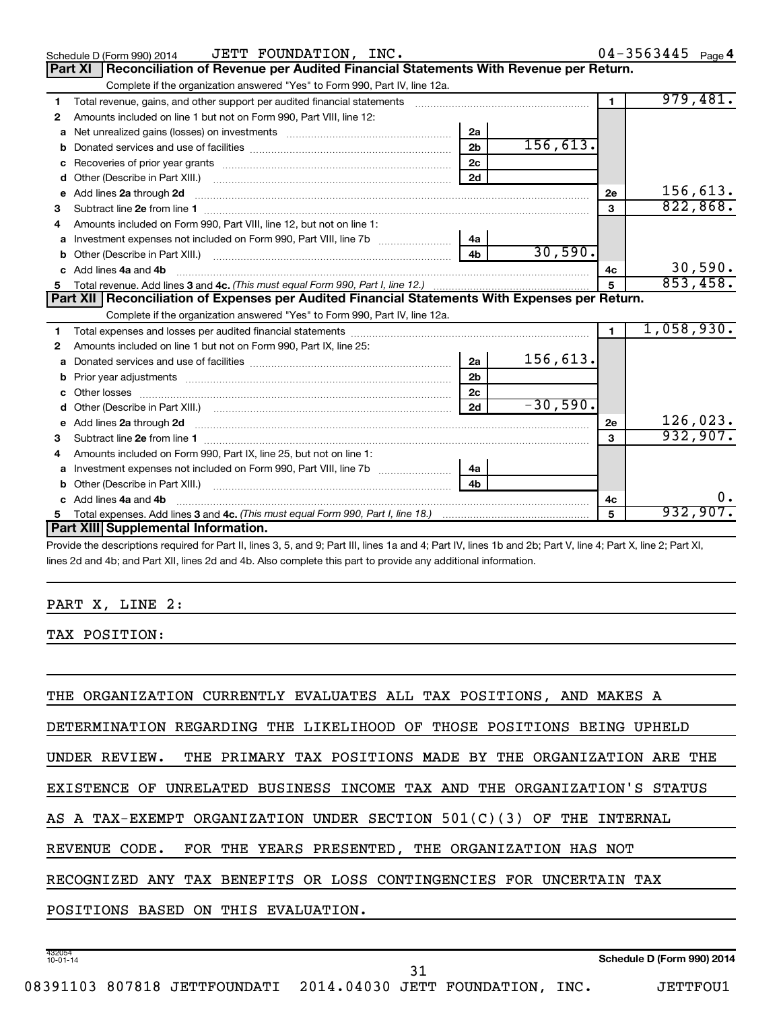|              | JETT FOUNDATION, INC.<br>Schedule D (Form 990) 2014                                                                                                                                                                                                |                |            |                | $04 - 3563445$ Page 4 |
|--------------|----------------------------------------------------------------------------------------------------------------------------------------------------------------------------------------------------------------------------------------------------|----------------|------------|----------------|-----------------------|
|              | Reconciliation of Revenue per Audited Financial Statements With Revenue per Return.<br>Part XI                                                                                                                                                     |                |            |                |                       |
|              | Complete if the organization answered "Yes" to Form 990, Part IV, line 12a.                                                                                                                                                                        |                |            |                |                       |
| 1            | Total revenue, gains, and other support per audited financial statements                                                                                                                                                                           |                |            | $\blacksquare$ | 979,481.              |
| 2            | Amounts included on line 1 but not on Form 990, Part VIII, line 12:                                                                                                                                                                                |                |            |                |                       |
| a            |                                                                                                                                                                                                                                                    | 2a             |            |                |                       |
|              |                                                                                                                                                                                                                                                    | 2 <sub>b</sub> | 156, 613.  |                |                       |
|              |                                                                                                                                                                                                                                                    | 2 <sub>c</sub> |            |                |                       |
| d            |                                                                                                                                                                                                                                                    | 2d             |            |                |                       |
| $\mathbf{e}$ | Add lines 2a through 2d                                                                                                                                                                                                                            |                |            | 2е             | 156,613.              |
| 3            |                                                                                                                                                                                                                                                    |                |            | 3              | 822, 868.             |
| 4            | Amounts included on Form 990, Part VIII, line 12, but not on line 1:                                                                                                                                                                               |                |            |                |                       |
| a            | Investment expenses not included on Form 990, Part VIII, line 7b [11, 11, 120] 4a                                                                                                                                                                  |                |            |                |                       |
|              |                                                                                                                                                                                                                                                    | 4 <sub>h</sub> | 30,590.    |                |                       |
|              | c Add lines 4a and 4b                                                                                                                                                                                                                              |                |            | 4c             | 30,590.               |
|              |                                                                                                                                                                                                                                                    |                |            | 5              | 853,458.              |
|              | Part XII   Reconciliation of Expenses per Audited Financial Statements With Expenses per Return.                                                                                                                                                   |                |            |                |                       |
|              | Complete if the organization answered "Yes" to Form 990, Part IV, line 12a.                                                                                                                                                                        |                |            |                |                       |
| 1            |                                                                                                                                                                                                                                                    |                |            | $\blacksquare$ | 1,058,930.            |
| 2            | Amounts included on line 1 but not on Form 990, Part IX, line 25:                                                                                                                                                                                  |                |            |                |                       |
| a            |                                                                                                                                                                                                                                                    | 2a             | 156,613.   |                |                       |
| b            |                                                                                                                                                                                                                                                    | 2 <sub>b</sub> |            |                |                       |
|              |                                                                                                                                                                                                                                                    | 2 <sub>c</sub> |            |                |                       |
| d            |                                                                                                                                                                                                                                                    | 2d             | $-30,590.$ |                |                       |
|              | e Add lines 2a through 2d <b>[10]</b> [10] <b>All the Contract of Add lines 2a</b> through 2d <b>[10] All the Contract of Add lines 2a</b> through 2d <b>[10] All the Contract of Add lines 2a</b> through 2d <b>[10] All the Contract of Addi</b> |                |            | 2e             | 126,023.              |
| 3            | Subtract line 2e from line 1 <b>manufacture contract and contract line 2e</b> from line 1                                                                                                                                                          |                |            | $\mathbf{a}$   | 932,907.              |
|              | Amounts included on Form 990, Part IX, line 25, but not on line 1:                                                                                                                                                                                 |                |            |                |                       |
| a            | Investment expenses not included on Form 990, Part VIII, line 7b [1000000000000000000000000000000000                                                                                                                                               | 4a             |            |                |                       |
| b            |                                                                                                                                                                                                                                                    | 4 <sub>b</sub> |            |                |                       |
|              | c Add lines 4a and 4b                                                                                                                                                                                                                              |                |            | 4c             | 0.                    |
| 5            |                                                                                                                                                                                                                                                    |                |            | 5              | 932,907.              |
|              |                                                                                                                                                                                                                                                    |                |            |                |                       |
|              | Part XIII Supplemental Information.                                                                                                                                                                                                                |                |            |                |                       |

Provide the descriptions required for Part II, lines 3, 5, and 9; Part III, lines 1a and 4; Part IV, lines 1b and 2b; Part V, line 4; Part X, line 2; Part XI, lines 2d and 4b; and Part XII, lines 2d and 4b. Also complete this part to provide any additional information.

#### PART X, LINE 2:

TAX POSITION:

432054 10-01-14 **Schedule D (Form 990) 2014** THE ORGANIZATION CURRENTLY EVALUATES ALL TAX POSITIONS, AND MAKES A DETERMINATION REGARDING THE LIKELIHOOD OF THOSE POSITIONS BEING UPHELD UNDER REVIEW. THE PRIMARY TAX POSITIONS MADE BY THE ORGANIZATION ARE THE EXISTENCE OF UNRELATED BUSINESS INCOME TAX AND THE ORGANIZATION'S STATUS AS A TAX-EXEMPT ORGANIZATION UNDER SECTION 501(C)(3) OF THE INTERNAL REVENUE CODE. FOR THE YEARS PRESENTED, THE ORGANIZATION HAS NOT RECOGNIZED ANY TAX BENEFITS OR LOSS CONTINGENCIES FOR UNCERTAIN TAX POSITIONS BASED ON THIS EVALUATION. 31

 $04 - 3563445$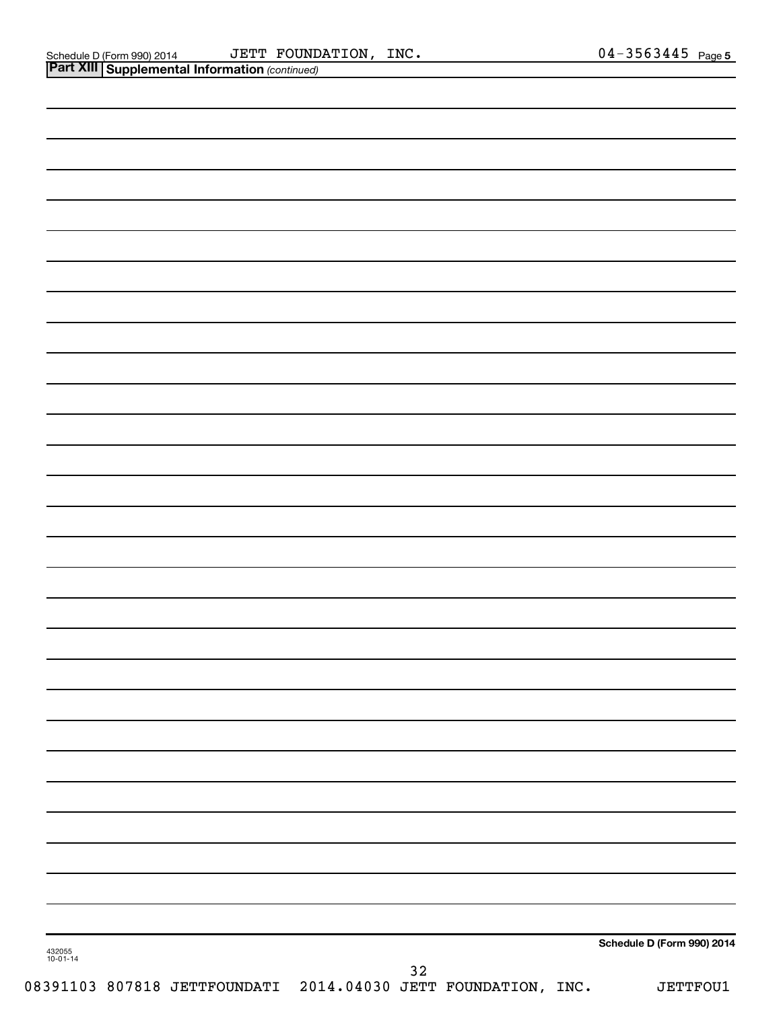| Schedule D (Form 990) 2014 |
|----------------------------|
|                            |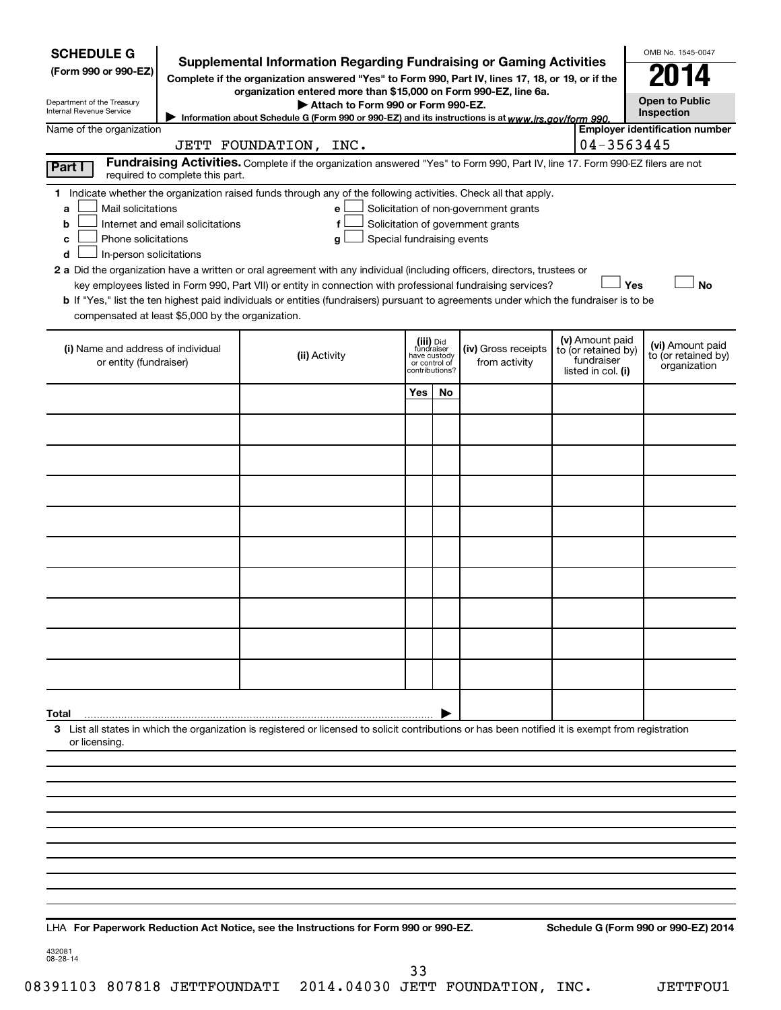| <b>SCHEDULE G</b><br>(Form 990 or 990-EZ)<br>Department of the Treasury<br>Internal Revenue Service                                                                                                                                                                                                                                                                                                                                                                                                                                                                                | <b>Supplemental Information Regarding Fundraising or Gaming Activities</b><br>Complete if the organization answered "Yes" to Form 990, Part IV, lines 17, 18, or 19, or if the<br>organization entered more than \$15,000 on Form 990-EZ, line 6a.<br>Attach to Form 990 or Form 990-EZ.<br>Information about Schedule G (Form 990 or 990-EZ) and its instructions is at www.irs.gov/form 990. |                            |                                              |                                                                            |                                                                            | OMB No. 1545-0047<br><b>Open to Public</b><br>Inspection |
|------------------------------------------------------------------------------------------------------------------------------------------------------------------------------------------------------------------------------------------------------------------------------------------------------------------------------------------------------------------------------------------------------------------------------------------------------------------------------------------------------------------------------------------------------------------------------------|------------------------------------------------------------------------------------------------------------------------------------------------------------------------------------------------------------------------------------------------------------------------------------------------------------------------------------------------------------------------------------------------|----------------------------|----------------------------------------------|----------------------------------------------------------------------------|----------------------------------------------------------------------------|----------------------------------------------------------|
| Name of the organization                                                                                                                                                                                                                                                                                                                                                                                                                                                                                                                                                           | JETT FOUNDATION, INC.                                                                                                                                                                                                                                                                                                                                                                          |                            |                                              |                                                                            | 04-3563445                                                                 | <b>Employer identification number</b>                    |
| Part I<br>required to complete this part.                                                                                                                                                                                                                                                                                                                                                                                                                                                                                                                                          | Fundraising Activities. Complete if the organization answered "Yes" to Form 990, Part IV, line 17. Form 990-EZ filers are not                                                                                                                                                                                                                                                                  |                            |                                              |                                                                            |                                                                            |                                                          |
| 1 Indicate whether the organization raised funds through any of the following activities. Check all that apply.<br>Mail solicitations<br>a<br>Internet and email solicitations<br>b<br>Phone solicitations<br>c<br>In-person solicitations<br>d<br>2 a Did the organization have a written or oral agreement with any individual (including officers, directors, trustees or<br><b>b</b> If "Yes," list the ten highest paid individuals or entities (fundraisers) pursuant to agreements under which the fundraiser is to be<br>compensated at least \$5,000 by the organization. | e<br>f<br>Special fundraising events<br>g<br>key employees listed in Form 990, Part VII) or entity in connection with professional fundraising services?                                                                                                                                                                                                                                       |                            |                                              | Solicitation of non-government grants<br>Solicitation of government grants | Yes                                                                        | <b>No</b>                                                |
| (i) Name and address of individual<br>or entity (fundraiser)                                                                                                                                                                                                                                                                                                                                                                                                                                                                                                                       | (ii) Activity                                                                                                                                                                                                                                                                                                                                                                                  | fundraiser<br>have custody | (iii) Did<br>or control of<br>contributions? | (iv) Gross receipts<br>from activity                                       | (v) Amount paid<br>to (or retained by)<br>fundraiser<br>listed in col. (i) | (vi) Amount paid<br>to (or retained by)<br>organization  |
|                                                                                                                                                                                                                                                                                                                                                                                                                                                                                                                                                                                    |                                                                                                                                                                                                                                                                                                                                                                                                | Yes                        | No                                           |                                                                            |                                                                            |                                                          |
|                                                                                                                                                                                                                                                                                                                                                                                                                                                                                                                                                                                    |                                                                                                                                                                                                                                                                                                                                                                                                |                            |                                              |                                                                            |                                                                            |                                                          |
|                                                                                                                                                                                                                                                                                                                                                                                                                                                                                                                                                                                    |                                                                                                                                                                                                                                                                                                                                                                                                |                            |                                              |                                                                            |                                                                            |                                                          |
|                                                                                                                                                                                                                                                                                                                                                                                                                                                                                                                                                                                    |                                                                                                                                                                                                                                                                                                                                                                                                |                            |                                              |                                                                            |                                                                            |                                                          |
|                                                                                                                                                                                                                                                                                                                                                                                                                                                                                                                                                                                    |                                                                                                                                                                                                                                                                                                                                                                                                |                            |                                              |                                                                            |                                                                            |                                                          |
|                                                                                                                                                                                                                                                                                                                                                                                                                                                                                                                                                                                    |                                                                                                                                                                                                                                                                                                                                                                                                |                            |                                              |                                                                            |                                                                            |                                                          |
|                                                                                                                                                                                                                                                                                                                                                                                                                                                                                                                                                                                    |                                                                                                                                                                                                                                                                                                                                                                                                |                            |                                              |                                                                            |                                                                            |                                                          |
|                                                                                                                                                                                                                                                                                                                                                                                                                                                                                                                                                                                    |                                                                                                                                                                                                                                                                                                                                                                                                |                            |                                              |                                                                            |                                                                            |                                                          |
|                                                                                                                                                                                                                                                                                                                                                                                                                                                                                                                                                                                    |                                                                                                                                                                                                                                                                                                                                                                                                |                            |                                              |                                                                            |                                                                            |                                                          |
|                                                                                                                                                                                                                                                                                                                                                                                                                                                                                                                                                                                    |                                                                                                                                                                                                                                                                                                                                                                                                |                            |                                              |                                                                            |                                                                            |                                                          |
|                                                                                                                                                                                                                                                                                                                                                                                                                                                                                                                                                                                    |                                                                                                                                                                                                                                                                                                                                                                                                |                            |                                              |                                                                            |                                                                            |                                                          |
| Total<br>3 List all states in which the organization is registered or licensed to solicit contributions or has been notified it is exempt from registration<br>or licensing.                                                                                                                                                                                                                                                                                                                                                                                                       |                                                                                                                                                                                                                                                                                                                                                                                                |                            |                                              |                                                                            |                                                                            |                                                          |
|                                                                                                                                                                                                                                                                                                                                                                                                                                                                                                                                                                                    |                                                                                                                                                                                                                                                                                                                                                                                                |                            |                                              |                                                                            |                                                                            |                                                          |
|                                                                                                                                                                                                                                                                                                                                                                                                                                                                                                                                                                                    |                                                                                                                                                                                                                                                                                                                                                                                                |                            |                                              |                                                                            |                                                                            |                                                          |
|                                                                                                                                                                                                                                                                                                                                                                                                                                                                                                                                                                                    |                                                                                                                                                                                                                                                                                                                                                                                                |                            |                                              |                                                                            |                                                                            |                                                          |
|                                                                                                                                                                                                                                                                                                                                                                                                                                                                                                                                                                                    |                                                                                                                                                                                                                                                                                                                                                                                                |                            |                                              |                                                                            |                                                                            |                                                          |
|                                                                                                                                                                                                                                                                                                                                                                                                                                                                                                                                                                                    |                                                                                                                                                                                                                                                                                                                                                                                                |                            |                                              |                                                                            |                                                                            |                                                          |
| LHA For Paperwork Reduction Act Notice, see the Instructions for Form 990 or 990-EZ.                                                                                                                                                                                                                                                                                                                                                                                                                                                                                               |                                                                                                                                                                                                                                                                                                                                                                                                |                            |                                              |                                                                            |                                                                            | Schedule G (Form 990 or 990-EZ) 2014                     |

432081 08-28-14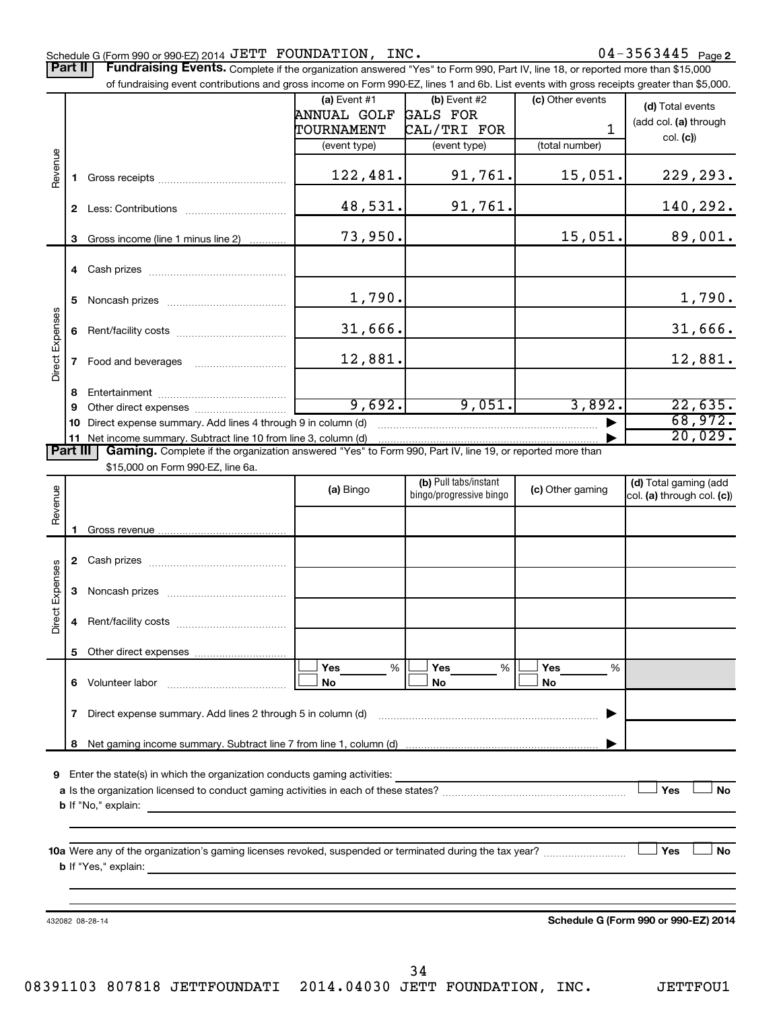#### Schedule G (Form 990 or 990-EZ) 2014  $\mathtt{JETT}$   $\mathtt{FOUNDATION}$ ,  $\mathtt{INC.}$   $\mathtt{O4-3563445}$   $\mathtt{Page}$

Part II | Fundraising Events. Complete if the organization answered "Yes" to Form 990, Part IV, line 18, or reported more than \$15,000 of fundraising event contributions and gross income on Form 990-EZ, lines 1 and 6b. List events with gross receipts greater than \$5,000.

|                        |    | or fundraising event contributions and gross income on Form 990-EZ, lines T and 6D. List events with gross receipts greater than \$5,000.                                                                                                 |                |                                                  |                  |                                      |
|------------------------|----|-------------------------------------------------------------------------------------------------------------------------------------------------------------------------------------------------------------------------------------------|----------------|--------------------------------------------------|------------------|--------------------------------------|
|                        |    |                                                                                                                                                                                                                                           | (a) Event $#1$ | $(b)$ Event #2                                   | (c) Other events | (d) Total events                     |
|                        |    |                                                                                                                                                                                                                                           | ANNUAL GOLF    | GALS FOR                                         |                  | (add col. (a) through                |
|                        |    |                                                                                                                                                                                                                                           | TOURNAMENT     | CAL/TRI FOR                                      | $\mathbf{1}$     | col. (c)                             |
|                        |    |                                                                                                                                                                                                                                           | (event type)   | (event type)                                     | (total number)   |                                      |
| Revenue                |    |                                                                                                                                                                                                                                           | 122,481.       | 91,761.                                          | 15,051.          | 229,293.                             |
|                        |    |                                                                                                                                                                                                                                           | 48,531.        | 91,761.                                          |                  | 140,292.                             |
|                        |    | 3 Gross income (line 1 minus line 2)                                                                                                                                                                                                      | 73,950.        |                                                  | 15,051.          | 89,001.                              |
|                        |    |                                                                                                                                                                                                                                           |                |                                                  |                  |                                      |
|                        | 5. |                                                                                                                                                                                                                                           | 1,790.         |                                                  |                  | 1,790.                               |
|                        |    |                                                                                                                                                                                                                                           | 31,666.        |                                                  |                  | 31,666.                              |
| Direct Expenses        |    |                                                                                                                                                                                                                                           | 12,881.        |                                                  |                  | 12,881.                              |
|                        | 8  |                                                                                                                                                                                                                                           |                |                                                  |                  |                                      |
|                        | 9  |                                                                                                                                                                                                                                           | 9,692.         | 9,051.                                           | 3,892.           | 22,635.                              |
|                        |    | 10 Direct expense summary. Add lines 4 through 9 in column (d)                                                                                                                                                                            |                |                                                  |                  | 68,972.                              |
|                        |    | 11 Net income summary. Subtract line 10 from line 3, column (d)                                                                                                                                                                           |                |                                                  |                  | 20,029.                              |
| <b>Part III</b>        |    | Gaming. Complete if the organization answered "Yes" to Form 990, Part IV, line 19, or reported more than                                                                                                                                  |                |                                                  |                  |                                      |
|                        |    | \$15,000 on Form 990-EZ, line 6a.                                                                                                                                                                                                         |                |                                                  |                  |                                      |
|                        |    |                                                                                                                                                                                                                                           | (a) Bingo      | (b) Pull tabs/instant<br>bingo/progressive bingo | (c) Other gaming | (d) Total gaming (add                |
| Revenue                |    |                                                                                                                                                                                                                                           |                |                                                  |                  | col. (a) through col. (c))           |
|                        |    |                                                                                                                                                                                                                                           |                |                                                  |                  |                                      |
|                        |    |                                                                                                                                                                                                                                           |                |                                                  |                  |                                      |
|                        |    |                                                                                                                                                                                                                                           |                |                                                  |                  |                                      |
|                        |    |                                                                                                                                                                                                                                           |                |                                                  |                  |                                      |
|                        | 3  |                                                                                                                                                                                                                                           |                |                                                  |                  |                                      |
|                        |    |                                                                                                                                                                                                                                           |                |                                                  |                  |                                      |
| <b>Direct Expenses</b> | 4  |                                                                                                                                                                                                                                           |                |                                                  |                  |                                      |
|                        |    |                                                                                                                                                                                                                                           |                |                                                  |                  |                                      |
|                        |    |                                                                                                                                                                                                                                           | Yes<br>%       | %<br>Yes                                         | Yes<br>%         |                                      |
|                        |    | 6 Volunteer labor                                                                                                                                                                                                                         | No             | No                                               | No               |                                      |
|                        |    | 7 Direct expense summary. Add lines 2 through 5 in column (d)                                                                                                                                                                             |                |                                                  |                  |                                      |
|                        |    |                                                                                                                                                                                                                                           |                |                                                  |                  |                                      |
|                        | 8  |                                                                                                                                                                                                                                           |                |                                                  |                  |                                      |
| 9                      |    | Enter the state(s) in which the organization conducts gaming activities:                                                                                                                                                                  |                |                                                  |                  |                                      |
|                        |    |                                                                                                                                                                                                                                           |                |                                                  |                  | Yes<br>No                            |
|                        |    | <b>b</b> If "No," explain: <b>contract and the set of the set of the set of the set of the set of the set of the set of the set of the set of the set of the set of the set of the set of the set of the set of the set of the set of</b> |                |                                                  |                  |                                      |
|                        |    |                                                                                                                                                                                                                                           |                |                                                  |                  |                                      |
|                        |    |                                                                                                                                                                                                                                           |                |                                                  |                  |                                      |
|                        |    |                                                                                                                                                                                                                                           |                |                                                  |                  | ∃ Yes<br>No                          |
|                        |    | <b>b</b> If "Yes," explain:<br><u> 1980 - Andrea Andrew Maria (h. 1980).</u>                                                                                                                                                              |                |                                                  |                  |                                      |
|                        |    |                                                                                                                                                                                                                                           |                |                                                  |                  |                                      |
|                        |    |                                                                                                                                                                                                                                           |                |                                                  |                  |                                      |
|                        |    | 432082 08-28-14                                                                                                                                                                                                                           |                |                                                  |                  | Schedule G (Form 990 or 990-EZ) 2014 |
|                        |    |                                                                                                                                                                                                                                           |                |                                                  |                  |                                      |
|                        |    |                                                                                                                                                                                                                                           |                |                                                  |                  |                                      |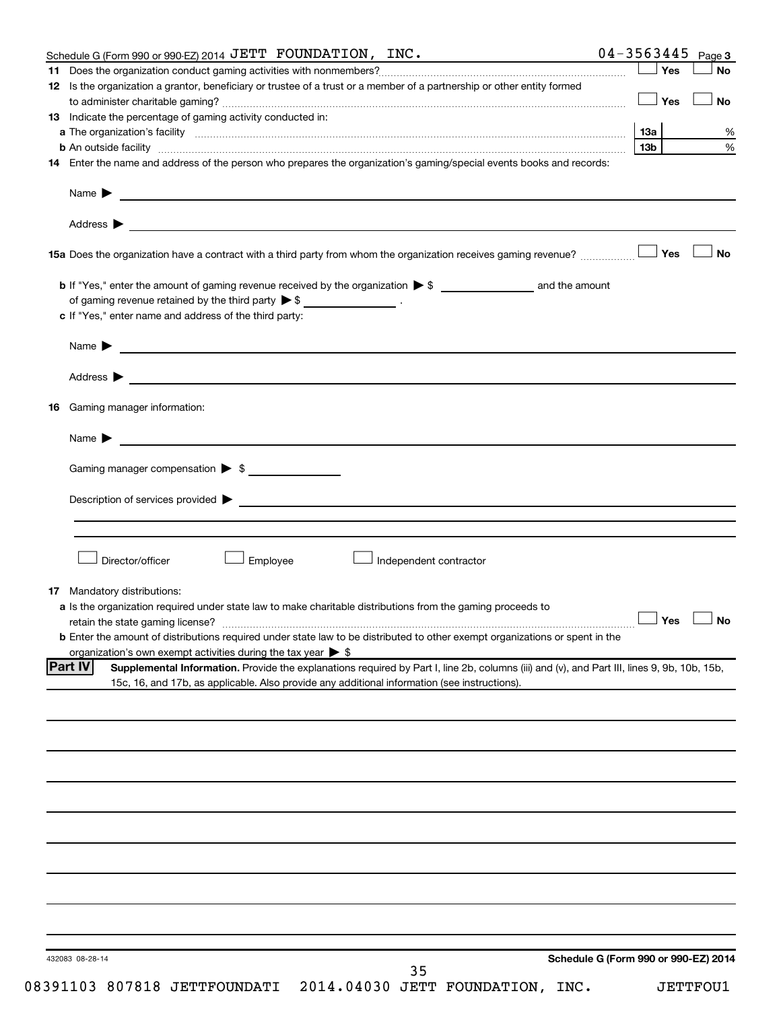| Schedule G (Form 990 or 990-EZ) 2014 JETT FOUNDATION, INC.                                                                                                    |                                      | $04 - 3563445$ Page 3 |                      |
|---------------------------------------------------------------------------------------------------------------------------------------------------------------|--------------------------------------|-----------------------|----------------------|
|                                                                                                                                                               |                                      | Yes                   | <b>No</b>            |
| 12 Is the organization a grantor, beneficiary or trustee of a trust or a member of a partnership or other entity formed                                       |                                      |                       |                      |
|                                                                                                                                                               |                                      | │Yes                  | <b>No</b>            |
| 13 Indicate the percentage of gaming activity conducted in:                                                                                                   |                                      |                       |                      |
|                                                                                                                                                               |                                      |                       | %                    |
| <b>b</b> An outside facility <i>www.communicality.communicality.communicality www.communicality.communicality.communicality</i>                               |                                      | 13 <sub>b</sub>       | %                    |
| 14 Enter the name and address of the person who prepares the organization's gaming/special events books and records:                                          |                                      |                       |                      |
|                                                                                                                                                               |                                      |                       |                      |
| Name $\blacktriangleright$<br><u> 1989 - Johann Barbara, marka a shekara tsa na shekara tsa na shekara tsa na shekara tsa na shekara tsa na sh</u>            |                                      |                       |                      |
|                                                                                                                                                               |                                      |                       |                      |
|                                                                                                                                                               |                                      |                       |                      |
|                                                                                                                                                               |                                      |                       |                      |
|                                                                                                                                                               |                                      |                       | No                   |
|                                                                                                                                                               |                                      |                       |                      |
|                                                                                                                                                               |                                      |                       |                      |
| of gaming revenue retained by the third party $\triangleright$ \$ __________________.                                                                         |                                      |                       |                      |
| c If "Yes," enter name and address of the third party:                                                                                                        |                                      |                       |                      |
|                                                                                                                                                               |                                      |                       |                      |
|                                                                                                                                                               |                                      |                       |                      |
|                                                                                                                                                               |                                      |                       |                      |
|                                                                                                                                                               |                                      |                       |                      |
|                                                                                                                                                               |                                      |                       |                      |
| <b>16</b> Gaming manager information:                                                                                                                         |                                      |                       |                      |
| Name $\triangleright$                                                                                                                                         |                                      |                       |                      |
|                                                                                                                                                               |                                      |                       |                      |
| Gaming manager compensation > \$                                                                                                                              |                                      |                       |                      |
|                                                                                                                                                               |                                      |                       |                      |
|                                                                                                                                                               |                                      |                       |                      |
|                                                                                                                                                               |                                      |                       |                      |
|                                                                                                                                                               |                                      |                       |                      |
|                                                                                                                                                               |                                      |                       |                      |
| Director/officer<br>Employee<br>Independent contractor                                                                                                        |                                      |                       |                      |
|                                                                                                                                                               |                                      |                       |                      |
| <b>17</b> Mandatory distributions:                                                                                                                            |                                      |                       |                      |
| a Is the organization required under state law to make charitable distributions from the gaming proceeds to                                                   |                                      |                       |                      |
|                                                                                                                                                               |                                      |                       | $\Box$ Yes $\Box$ No |
| <b>b</b> Enter the amount of distributions required under state law to be distributed to other exempt organizations or spent in the                           |                                      |                       |                      |
| organization's own exempt activities during the tax year $\triangleright$ \$                                                                                  |                                      |                       |                      |
| <b>Part IV</b><br>Supplemental Information. Provide the explanations required by Part I, line 2b, columns (iii) and (v), and Part III, lines 9, 9b, 10b, 15b, |                                      |                       |                      |
| 15c, 16, and 17b, as applicable. Also provide any additional information (see instructions).                                                                  |                                      |                       |                      |
|                                                                                                                                                               |                                      |                       |                      |
|                                                                                                                                                               |                                      |                       |                      |
|                                                                                                                                                               |                                      |                       |                      |
|                                                                                                                                                               |                                      |                       |                      |
|                                                                                                                                                               |                                      |                       |                      |
|                                                                                                                                                               |                                      |                       |                      |
|                                                                                                                                                               |                                      |                       |                      |
|                                                                                                                                                               |                                      |                       |                      |
|                                                                                                                                                               |                                      |                       |                      |
|                                                                                                                                                               |                                      |                       |                      |
|                                                                                                                                                               |                                      |                       |                      |
|                                                                                                                                                               |                                      |                       |                      |
|                                                                                                                                                               |                                      |                       |                      |
|                                                                                                                                                               |                                      |                       |                      |
|                                                                                                                                                               |                                      |                       |                      |
|                                                                                                                                                               |                                      |                       |                      |
| 432083 08-28-14                                                                                                                                               | Schedule G (Form 990 or 990-EZ) 2014 |                       |                      |
| 35                                                                                                                                                            |                                      |                       |                      |
|                                                                                                                                                               |                                      |                       |                      |

08391103 807818 JETTFOUNDATI 2014.04030 JETT FOUNDATION, INC. JETTFOU1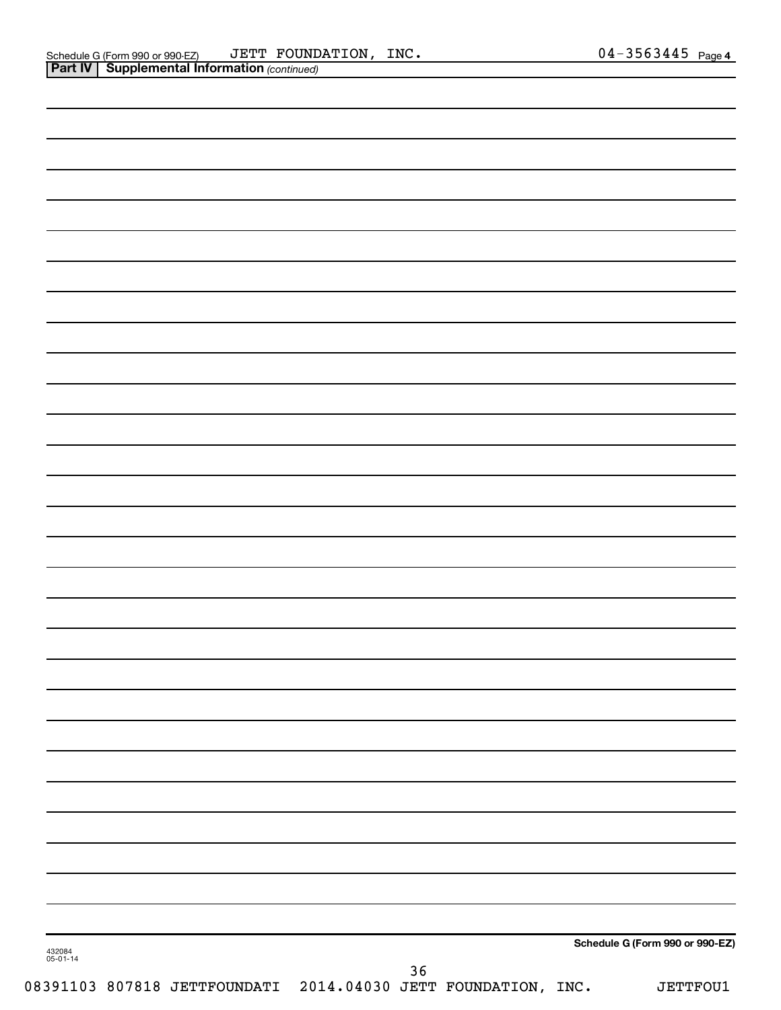| 432084<br>05-01-14 | Schedule G (Form 990 or 990-EZ)<br>36 |
|--------------------|---------------------------------------|
|                    |                                       |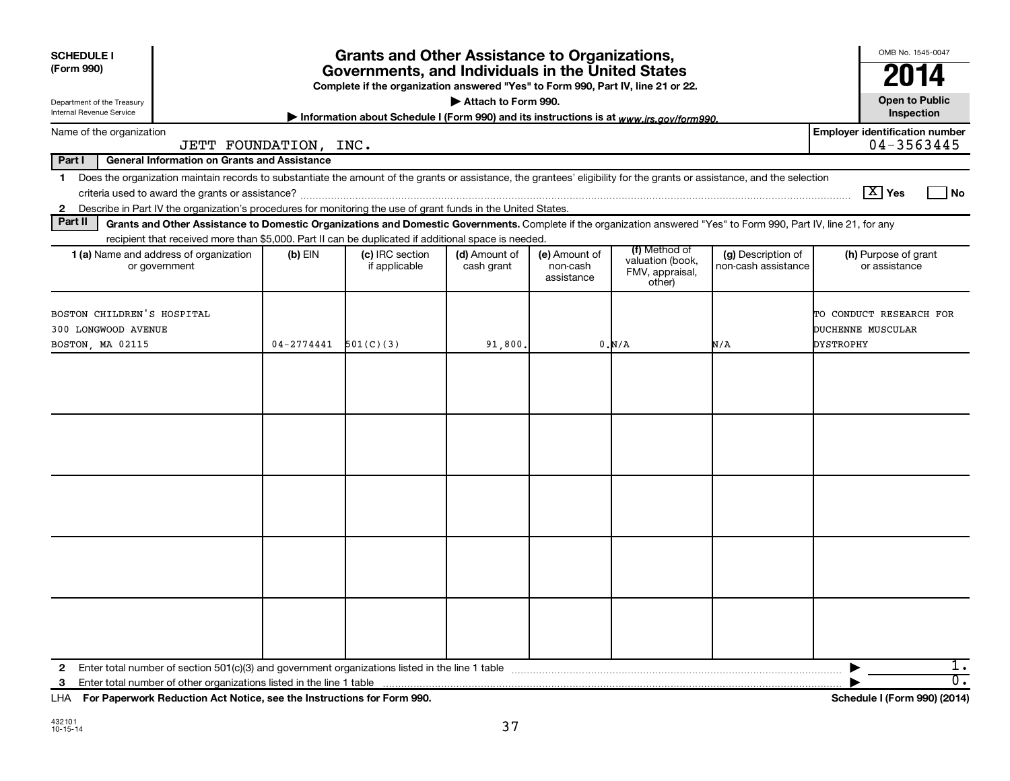| <b>SCHEDULE I</b><br>(Form 990)<br>Department of the Treasury<br>Internal Revenue Service |                                                                                                                                                                                                                                                                                                                                                                                                                                                                                                                        |                | <b>Grants and Other Assistance to Organizations,</b><br>Governments, and Individuals in the United States<br>Complete if the organization answered "Yes" to Form 990, Part IV, line 21 or 22. | Attach to Form 990.         |                                         |                                                                |                                           | OMB No. 1545-0047<br>2014<br><b>Open to Public</b><br>Inspection |
|-------------------------------------------------------------------------------------------|------------------------------------------------------------------------------------------------------------------------------------------------------------------------------------------------------------------------------------------------------------------------------------------------------------------------------------------------------------------------------------------------------------------------------------------------------------------------------------------------------------------------|----------------|-----------------------------------------------------------------------------------------------------------------------------------------------------------------------------------------------|-----------------------------|-----------------------------------------|----------------------------------------------------------------|-------------------------------------------|------------------------------------------------------------------|
| Name of the organization                                                                  |                                                                                                                                                                                                                                                                                                                                                                                                                                                                                                                        |                | Information about Schedule I (Form 990) and its instructions is at www.irs.gov/form990.                                                                                                       |                             |                                         |                                                                |                                           | <b>Employer identification number</b>                            |
|                                                                                           | JETT FOUNDATION, INC.                                                                                                                                                                                                                                                                                                                                                                                                                                                                                                  |                |                                                                                                                                                                                               |                             |                                         |                                                                |                                           | $04 - 3563445$                                                   |
| Part I<br>$\mathbf 1$<br>$\mathbf{2}$<br>Part II                                          | <b>General Information on Grants and Assistance</b><br>Does the organization maintain records to substantiate the amount of the grants or assistance, the grantees' eligibility for the grants or assistance, and the selection<br>Describe in Part IV the organization's procedures for monitoring the use of grant funds in the United States.<br>Grants and Other Assistance to Domestic Organizations and Domestic Governments. Complete if the organization answered "Yes" to Form 990, Part IV, line 21, for any |                |                                                                                                                                                                                               |                             |                                         |                                                                |                                           | $\boxed{\text{X}}$ Yes<br>  No                                   |
|                                                                                           | recipient that received more than \$5,000. Part II can be duplicated if additional space is needed.                                                                                                                                                                                                                                                                                                                                                                                                                    |                |                                                                                                                                                                                               |                             |                                         |                                                                |                                           |                                                                  |
|                                                                                           | <b>1 (a)</b> Name and address of organization<br>or government                                                                                                                                                                                                                                                                                                                                                                                                                                                         | (b) EIN        | (c) IRC section<br>if applicable                                                                                                                                                              | (d) Amount of<br>cash grant | (e) Amount of<br>non-cash<br>assistance | (f) Method of<br>valuation (book,<br>FMV, appraisal,<br>other) | (g) Description of<br>non-cash assistance | (h) Purpose of grant<br>or assistance                            |
| BOSTON CHILDREN'S HOSPITAL<br>300 LONGWOOD AVENUE<br>BOSTON, MA 02115                     |                                                                                                                                                                                                                                                                                                                                                                                                                                                                                                                        | $04 - 2774441$ | 501(C)(3)                                                                                                                                                                                     | 91,800.                     |                                         | 0.M/A                                                          | N/A                                       | TO CONDUCT RESEARCH FOR<br>DUCHENNE MUSCULAR<br><b>DYSTROPHY</b> |
|                                                                                           |                                                                                                                                                                                                                                                                                                                                                                                                                                                                                                                        |                |                                                                                                                                                                                               |                             |                                         |                                                                |                                           |                                                                  |
|                                                                                           |                                                                                                                                                                                                                                                                                                                                                                                                                                                                                                                        |                |                                                                                                                                                                                               |                             |                                         |                                                                |                                           |                                                                  |
|                                                                                           |                                                                                                                                                                                                                                                                                                                                                                                                                                                                                                                        |                |                                                                                                                                                                                               |                             |                                         |                                                                |                                           |                                                                  |
|                                                                                           |                                                                                                                                                                                                                                                                                                                                                                                                                                                                                                                        |                |                                                                                                                                                                                               |                             |                                         |                                                                |                                           |                                                                  |
|                                                                                           |                                                                                                                                                                                                                                                                                                                                                                                                                                                                                                                        |                |                                                                                                                                                                                               |                             |                                         |                                                                |                                           |                                                                  |
| $\mathbf{2}$                                                                              |                                                                                                                                                                                                                                                                                                                                                                                                                                                                                                                        |                |                                                                                                                                                                                               |                             |                                         |                                                                |                                           | $1$ .                                                            |
| 3                                                                                         | LHA For Paperwork Reduction Act Notice, see the Instructions for Form 990.                                                                                                                                                                                                                                                                                                                                                                                                                                             |                |                                                                                                                                                                                               |                             |                                         |                                                                |                                           | 0.<br>Schedule I (Form 990) (2014)                               |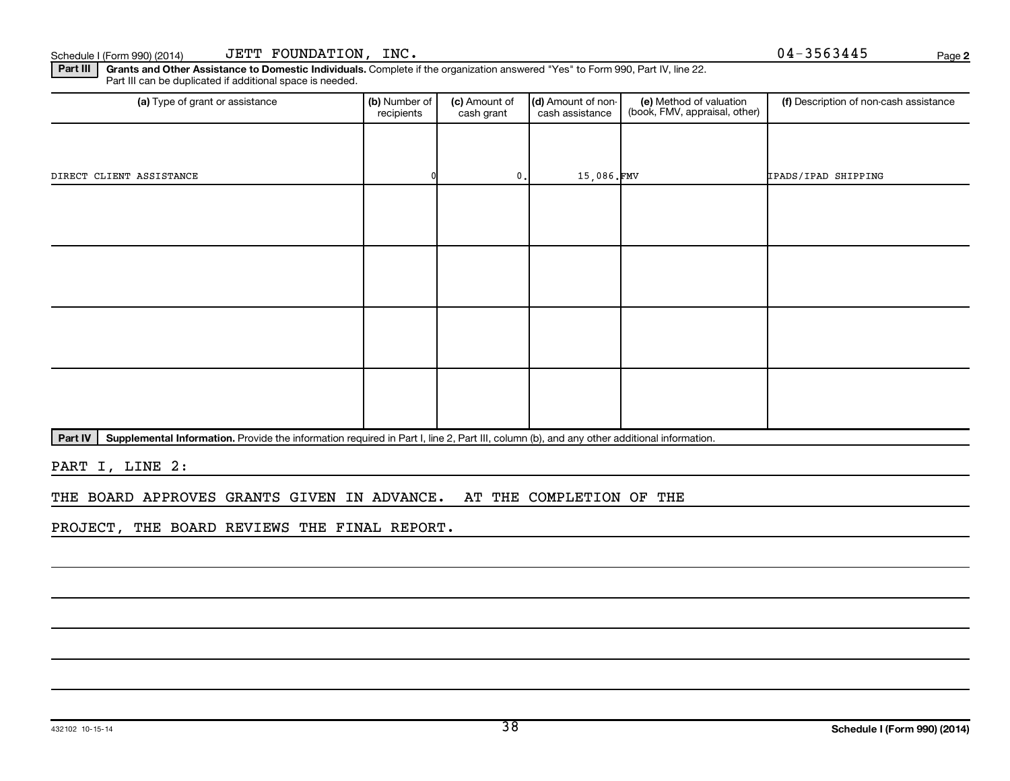Part III | Grants and Other Assistance to Domestic Individuals. Complete if the organization answered "Yes" to Form 990, Part IV, line 22. Part III can be duplicated if additional space is needed.

| (a) Type of grant or assistance | (b) Number of<br>recipients | (c) Amount of<br>cash grant | (d) Amount of non-<br>cash assistance | (e) Method of valuation<br>(book, FMV, appraisal, other) | (f) Description of non-cash assistance |
|---------------------------------|-----------------------------|-----------------------------|---------------------------------------|----------------------------------------------------------|----------------------------------------|
|                                 |                             |                             |                                       |                                                          |                                        |
| DIRECT CLIENT ASSISTANCE        |                             | $\mathbf{0}$ .              | 15,086.FMV                            |                                                          | IPADS/IPAD SHIPPING                    |
|                                 |                             |                             |                                       |                                                          |                                        |
|                                 |                             |                             |                                       |                                                          |                                        |
|                                 |                             |                             |                                       |                                                          |                                        |
|                                 |                             |                             |                                       |                                                          |                                        |
|                                 |                             |                             |                                       |                                                          |                                        |
|                                 |                             |                             |                                       |                                                          |                                        |
|                                 |                             |                             |                                       |                                                          |                                        |
|                                 |                             |                             |                                       |                                                          |                                        |

Part IV | Supplemental Information. Provide the information required in Part I, line 2, Part III, column (b), and any other additional information.

PART I, LINE 2:

THE BOARD APPROVES GRANTS GIVEN IN ADVANCE. AT THE COMPLETION OF THE

PROJECT, THE BOARD REVIEWS THE FINAL REPORT.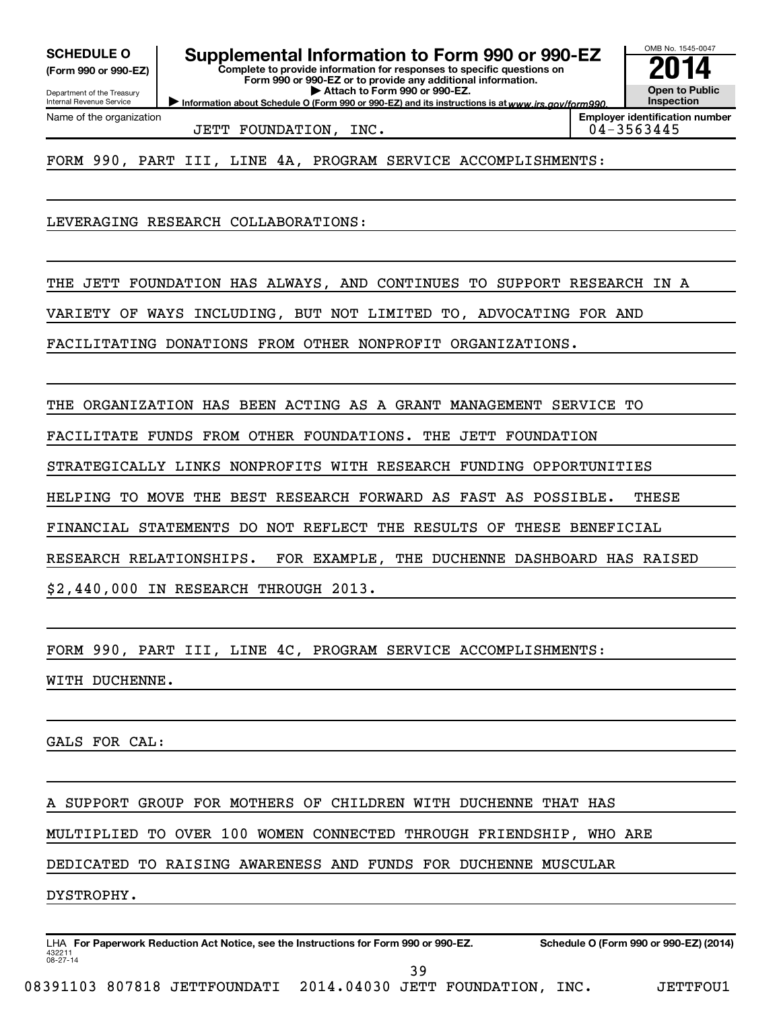Internal Revenue Service

Department of the Treasury **(Form 990 or 990-EZ)**

Name of the organization

**Complete to provide information for responses to specific questions on SCHEDULE O Supplemental Information to Form 990 or 990-EZ 2014** 

**Form 990 or 990-EZ or to provide any additional information. | Attach to Form 990 or 990-EZ.**

Information about Schedule O (Form 990 or 990-EZ) and its instructions is at www.irs.gov/form990.

OMB No. 1545-0047 **Open to Public Inspection**

**Employer identification number**

JETT FOUNDATION, INC.  $04-3563445$ 

FORM 990, PART III, LINE 4A, PROGRAM SERVICE ACCOMPLISHMENTS:

LEVERAGING RESEARCH COLLABORATIONS:

THE JETT FOUNDATION HAS ALWAYS, AND CONTINUES TO SUPPORT RESEARCH IN A

VARIETY OF WAYS INCLUDING, BUT NOT LIMITED TO, ADVOCATING FOR AND

FACILITATING DONATIONS FROM OTHER NONPROFIT ORGANIZATIONS.

THE ORGANIZATION HAS BEEN ACTING AS A GRANT MANAGEMENT SERVICE TO

FACILITATE FUNDS FROM OTHER FOUNDATIONS. THE JETT FOUNDATION

STRATEGICALLY LINKS NONPROFITS WITH RESEARCH FUNDING OPPORTUNITIES

HELPING TO MOVE THE BEST RESEARCH FORWARD AS FAST AS POSSIBLE. THESE

FINANCIAL STATEMENTS DO NOT REFLECT THE RESULTS OF THESE BENEFICIAL

RESEARCH RELATIONSHIPS. FOR EXAMPLE, THE DUCHENNE DASHBOARD HAS RAISED

\$2,440,000 IN RESEARCH THROUGH 2013.

FORM 990, PART III, LINE 4C, PROGRAM SERVICE ACCOMPLISHMENTS:

WITH DUCHENNE.

GALS FOR CAL:

SUPPORT GROUP FOR MOTHERS OF CHILDREN WITH DUCHENNE THAT HAS

MULTIPLIED TO OVER 100 WOMEN CONNECTED THROUGH FRIENDSHIP, WHO ARE

DEDICATED TO RAISING AWARENESS AND FUNDS FOR DUCHENNE MUSCULAR

DYSTROPHY.

432211 08-27-14 LHA For Paperwork Reduction Act Notice, see the Instructions for Form 990 or 990-EZ. Schedule O (Form 990 or 990-EZ) (2014) 39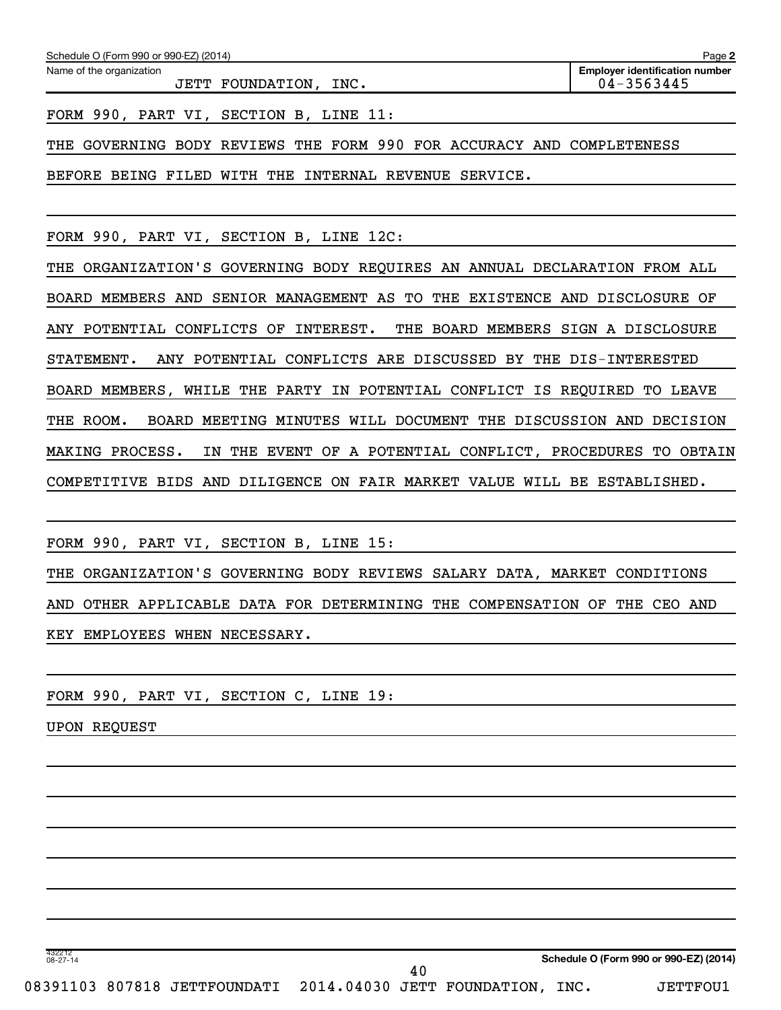| Schedule O (Form 990 or 990-EZ) (2014)            | Page 2                                                  |
|---------------------------------------------------|---------------------------------------------------------|
| Name of the organization<br>JETT FOUNDATION, INC. | <b>Employer identification number</b><br>$04 - 3563445$ |
| FORM 990, PART VI, SECTION B, LINE 11:            |                                                         |

THE GOVERNING BODY REVIEWS THE FORM 990 FOR ACCURACY AND COMPLETENESS

BEFORE BEING FILED WITH THE INTERNAL REVENUE SERVICE.

FORM 990, PART VI, SECTION B, LINE 12C:

THE ORGANIZATION'S GOVERNING BODY REQUIRES AN ANNUAL DECLARATION FROM ALL BOARD MEMBERS AND SENIOR MANAGEMENT AS TO THE EXISTENCE AND DISCLOSURE OF ANY POTENTIAL CONFLICTS OF INTEREST. THE BOARD MEMBERS SIGN A DISCLOSURE STATEMENT. ANY POTENTIAL CONFLICTS ARE DISCUSSED BY THE DIS-INTERESTED BOARD MEMBERS, WHILE THE PARTY IN POTENTIAL CONFLICT IS REQUIRED TO LEAVE THE ROOM. BOARD MEETING MINUTES WILL DOCUMENT THE DISCUSSION AND DECISION MAKING PROCESS. IN THE EVENT OF A POTENTIAL CONFLICT, PROCEDURES TO OBTAIN COMPETITIVE BIDS AND DILIGENCE ON FAIR MARKET VALUE WILL BE ESTABLISHED.

FORM 990, PART VI, SECTION B, LINE 15: THE ORGANIZATION'S GOVERNING BODY REVIEWS SALARY DATA, MARKET CONDITIONS AND OTHER APPLICABLE DATA FOR DETERMINING THE COMPENSATION OF THE CEO AND KEY EMPLOYEES WHEN NECESSARY.

40

FORM 990, PART VI, SECTION C, LINE 19:

UPON REQUEST

**Schedule O (Form 990 or 990-EZ) (2014)**